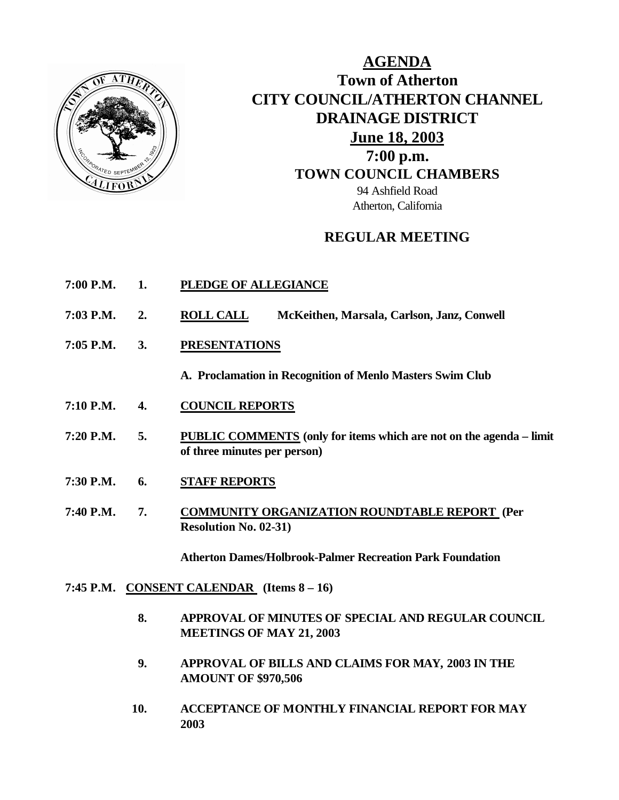

**AGENDA Town of Atherton CITY COUNCIL/ATHERTON CHANNEL DRAINAGE DISTRICT June 18, 2003 7:00 p.m. TOWN COUNCIL CHAMBERS** 94 Ashfield Road Atherton, California

# **REGULAR MEETING**

- **7:00 P.M. 1. PLEDGE OF ALLEGIANCE**
- **7:03 P.M. 2. ROLL CALL McKeithen, Marsala, Carlson, Janz, Conwell**
- **7:05 P.M. 3. PRESENTATIONS**

**A. Proclamation in Recognition of Menlo Masters Swim Club**

- **7:10 P.M. 4. COUNCIL REPORTS**
- **7:20 P.M. 5. PUBLIC COMMENTS (only for items which are not on the agenda limit of three minutes per person)**
- **7:30 P.M. 6. STAFF REPORTS**
- **7:40 P.M. 7. COMMUNITY ORGANIZATION ROUNDTABLE REPORT (Per Resolution No. 02-31)**

**Atherton Dames/Holbrook-Palmer Recreation Park Foundation**

- **7:45 P.M. CONSENT CALENDAR (Items 8 – 16)**
	- **8. APPROVAL OF MINUTES OF SPECIAL AND REGULAR COUNCIL MEETINGS OF MAY 21, 2003**
	- **9. APPROVAL OF BILLS AND CLAIMS FOR MAY, 2003 IN THE AMOUNT OF \$970,506**
	- **10. ACCEPTANCE OF MONTHLY FINANCIAL REPORT FOR MAY 2003**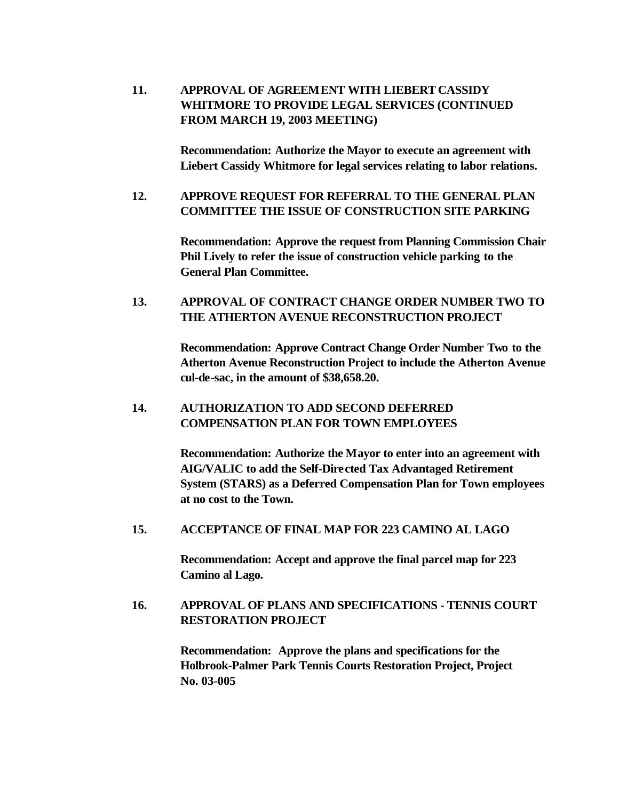**11. APPROVAL OF AGREEMENT WITH LIEBERT CASSIDY WHITMORE TO PROVIDE LEGAL SERVICES (CONTINUED FROM MARCH 19, 2003 MEETING)**

> **Recommendation: Authorize the Mayor to execute an agreement with Liebert Cassidy Whitmore for legal services relating to labor relations.**

## **12. APPROVE REQUEST FOR REFERRAL TO THE GENERAL PLAN COMMITTEE THE ISSUE OF CONSTRUCTION SITE PARKING**

**Recommendation: Approve the request from Planning Commission Chair Phil Lively to refer the issue of construction vehicle parking to the General Plan Committee.**

## **13. APPROVAL OF CONTRACT CHANGE ORDER NUMBER TWO TO THE ATHERTON AVENUE RECONSTRUCTION PROJECT**

**Recommendation: Approve Contract Change Order Number Two to the Atherton Avenue Reconstruction Project to include the Atherton Avenue cul-de-sac, in the amount of \$38,658.20.**

## **14. AUTHORIZATION TO ADD SECOND DEFERRED COMPENSATION PLAN FOR TOWN EMPLOYEES**

**Recommendation: Authorize the Mayor to enter into an agreement with AIG/VALIC to add the Self-Directed Tax Advantaged Retirement System (STARS) as a Deferred Compensation Plan for Town employees at no cost to the Town.**

### **15. ACCEPTANCE OF FINAL MAP FOR 223 CAMINO AL LAGO**

**Recommendation: Accept and approve the final parcel map for 223 Camino al Lago.**

## **16. APPROVAL OF PLANS AND SPECIFICATIONS - TENNIS COURT RESTORATION PROJECT**

**Recommendation: Approve the plans and specifications for the Holbrook-Palmer Park Tennis Courts Restoration Project, Project No. 03-005**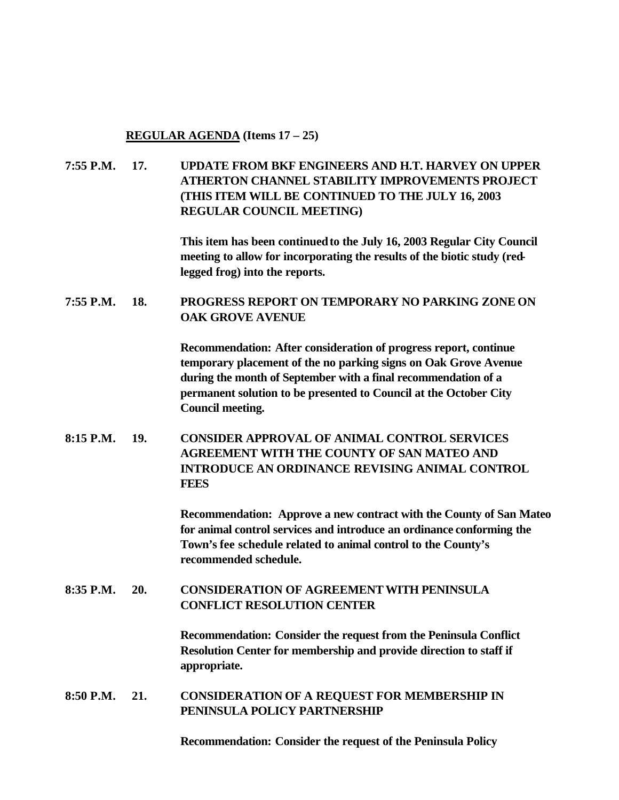**REGULAR AGENDA (Items 17 – 25)**

**7:55 P.M. 17. UPDATE FROM BKF ENGINEERS AND H.T. HARVEY ON UPPER ATHERTON CHANNEL STABILITY IMPROVEMENTS PROJECT (THIS ITEM WILL BE CONTINUED TO THE JULY 16, 2003 REGULAR COUNCIL MEETING)**

> **This item has been continued to the July 16, 2003 Regular City Council meeting to allow for incorporating the results of the biotic study (redlegged frog) into the reports.**

**7:55 P.M. 18. PROGRESS REPORT ON TEMPORARY NO PARKING ZONE ON OAK GROVE AVENUE**

> **Recommendation: After consideration of progress report, continue temporary placement of the no parking signs on Oak Grove Avenue during the month of September with a final recommendation of a permanent solution to be presented to Council at the October City Council meeting.**

**8:15 P.M. 19. CONSIDER APPROVAL OF ANIMAL CONTROL SERVICES AGREEMENT WITH THE COUNTY OF SAN MATEO AND INTRODUCE AN ORDINANCE REVISING ANIMAL CONTROL FEES**

> **Recommendation: Approve a new contract with the County of San Mateo for animal control services and introduce an ordinance conforming the Town's fee schedule related to animal control to the County's recommended schedule.**

**8:35 P.M. 20. CONSIDERATION OF AGREEMENT WITH PENINSULA CONFLICT RESOLUTION CENTER**

> **Recommendation: Consider the request from the Peninsula Conflict Resolution Center for membership and provide direction to staff if appropriate.**

**8:50 P.M. 21. CONSIDERATION OF A REQUEST FOR MEMBERSHIP IN PENINSULA POLICY PARTNERSHIP** 

**Recommendation: Consider the request of the Peninsula Policy**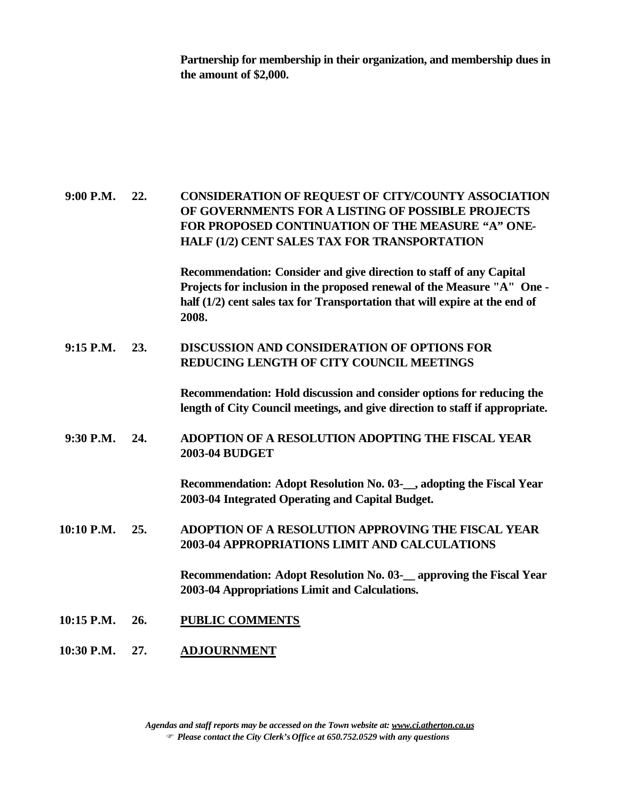**Partnership for membership in their organization, and membership dues in the amount of \$2,000.**

**9:00 P.M. 22. CONSIDERATION OF REQUEST OF CITY/COUNTY ASSOCIATION OF GOVERNMENTS FOR A LISTING OF POSSIBLE PROJECTS FOR PROPOSED CONTINUATION OF THE MEASURE "A" ONE-HALF (1/2) CENT SALES TAX FOR TRANSPORTATION Recommendation: Consider and give direction to staff of any Capital Projects for inclusion in the proposed renewal of the Measure "A" One half (1/2) cent sales tax for Transportation that will expire at the end of 2008. 9:15 P.M. 23. DISCUSSION AND CONSIDERATION OF OPTIONS FOR REDUCING LENGTH OF CITY COUNCIL MEETINGS Recommendation: Hold discussion and consider options for reducing the length of City Council meetings, and give direction to staff if appropriate. 9:30 P.M. 24. ADOPTION OF A RESOLUTION ADOPTING THE FISCAL YEAR 2003-04 BUDGET Recommendation: Adopt Resolution No. 03-\_\_, adopting the Fiscal Year 2003-04 Integrated Operating and Capital Budget. 10:10 P.M. 25. ADOPTION OF A RESOLUTION APPROVING THE FISCAL YEAR 2003-04 APPROPRIATIONS LIMIT AND CALCULATIONS Recommendation: Adopt Resolution No. 03-\_\_ approving the Fiscal Year 2003-04 Appropriations Limit and Calculations. 10:15 P.M. 26. PUBLIC COMMENTS 10:30 P.M. 27. ADJOURNMENT**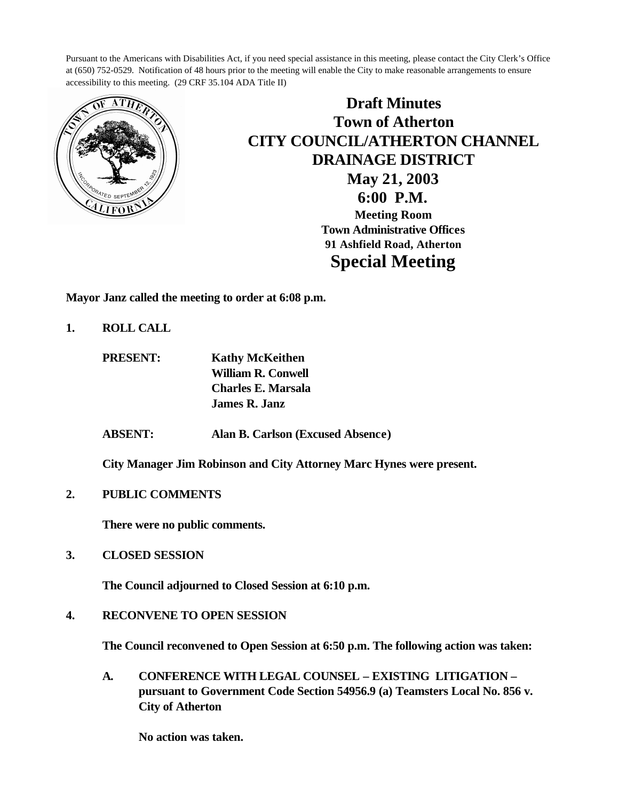Pursuant to the Americans with Disabilities Act, if you need special assistance in this meeting, please contact the City Clerk's Office at (650) 752-0529. Notification of 48 hours prior to the meeting will enable the City to make reasonable arrangements to ensure accessibility to this meeting. (29 CRF 35.104 ADA Title II)



**Draft Minutes Town of Atherton CITY COUNCIL/ATHERTON CHANNEL DRAINAGE DISTRICT May 21, 2003 6:00 P.M. Meeting Room Town Administrative Offices 91 Ashfield Road, Atherton Special Meeting**

**Mayor Janz called the meeting to order at 6:08 p.m.**

- **1. ROLL CALL**
	- **PRESENT: Kathy McKeithen William R. Conwell Charles E. Marsala James R. Janz**
	- **ABSENT: Alan B. Carlson (Excused Absence)**

**City Manager Jim Robinson and City Attorney Marc Hynes were present.**

**2. PUBLIC COMMENTS**

**There were no public comments.**

**3. CLOSED SESSION**

**The Council adjourned to Closed Session at 6:10 p.m.**

**4. RECONVENE TO OPEN SESSION**

**The Council reconvened to Open Session at 6:50 p.m. The following action was taken:**

 **A. CONFERENCE WITH LEGAL COUNSEL – EXISTING LITIGATION – pursuant to Government Code Section 54956.9 (a) Teamsters Local No. 856 v. City of Atherton**

**No action was taken.**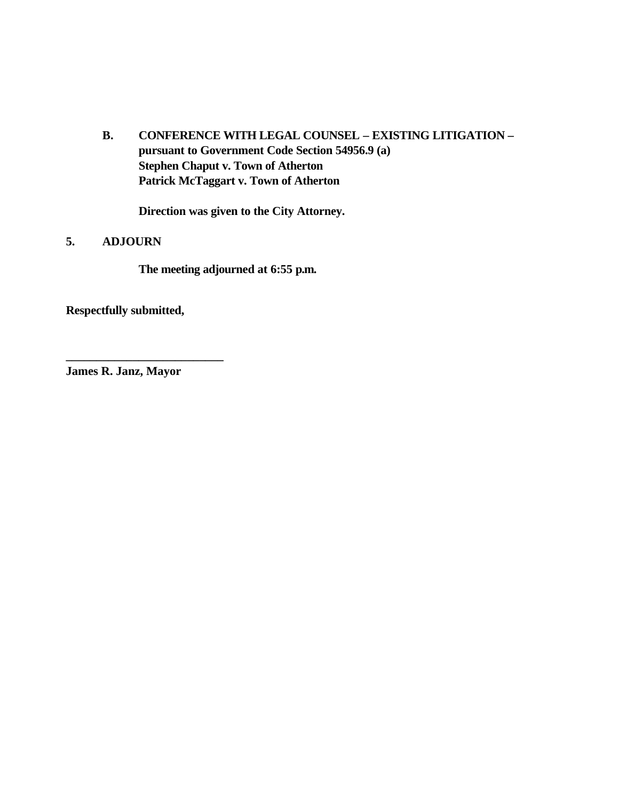**B. CONFERENCE WITH LEGAL COUNSEL – EXISTING LITIGATION – pursuant to Government Code Section 54956.9 (a) Stephen Chaput v. Town of Atherton Patrick McTaggart v. Town of Atherton**

**Direction was given to the City Attorney.**

## **5. ADJOURN**

**The meeting adjourned at 6:55 p.m.**

**Respectfully submitted,**

**James R. Janz, Mayor**

**\_\_\_\_\_\_\_\_\_\_\_\_\_\_\_\_\_\_\_\_\_\_\_\_\_\_**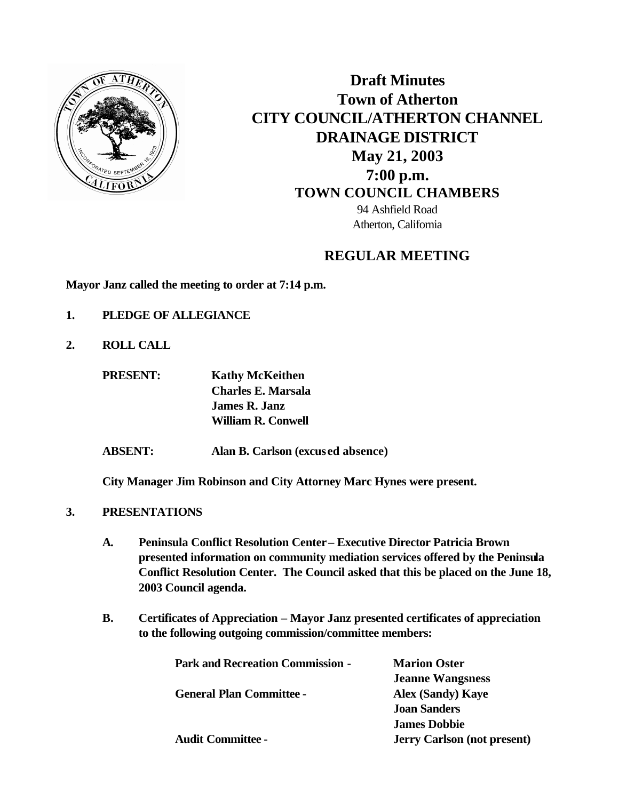

**Draft Minutes Town of Atherton CITY COUNCIL/ATHERTON CHANNEL DRAINAGE DISTRICT May 21, 2003 7:00 p.m. TOWN COUNCIL CHAMBERS** 94 Ashfield Road Atherton, California

# **REGULAR MEETING**

**Mayor Janz called the meeting to order at 7:14 p.m.**

- **1. PLEDGE OF ALLEGIANCE**
- **2. ROLL CALL**

**PRESENT: Kathy McKeithen Charles E. Marsala James R. Janz William R. Conwell**

**ABSENT: Alan B. Carlson (excused absence)**

**City Manager Jim Robinson and City Attorney Marc Hynes were present.**

- **3. PRESENTATIONS** 
	- **A. Peninsula Conflict Resolution Center– Executive Director Patricia Brown presented information on community mediation services offered by the Peninsula Conflict Resolution Center. The Council asked that this be placed on the June 18, 2003 Council agenda.**
	- **B. Certificates of Appreciation Mayor Janz presented certificates of appreciation to the following outgoing commission/committee members:**

| <b>Park and Recreation Commission -</b> | <b>Marion Oster</b>                |
|-----------------------------------------|------------------------------------|
|                                         | <b>Jeanne Wangsness</b>            |
| <b>General Plan Committee -</b>         | <b>Alex (Sandy) Kaye</b>           |
|                                         | <b>Joan Sanders</b>                |
|                                         | <b>James Dobbie</b>                |
| <b>Audit Committee -</b>                | <b>Jerry Carlson (not present)</b> |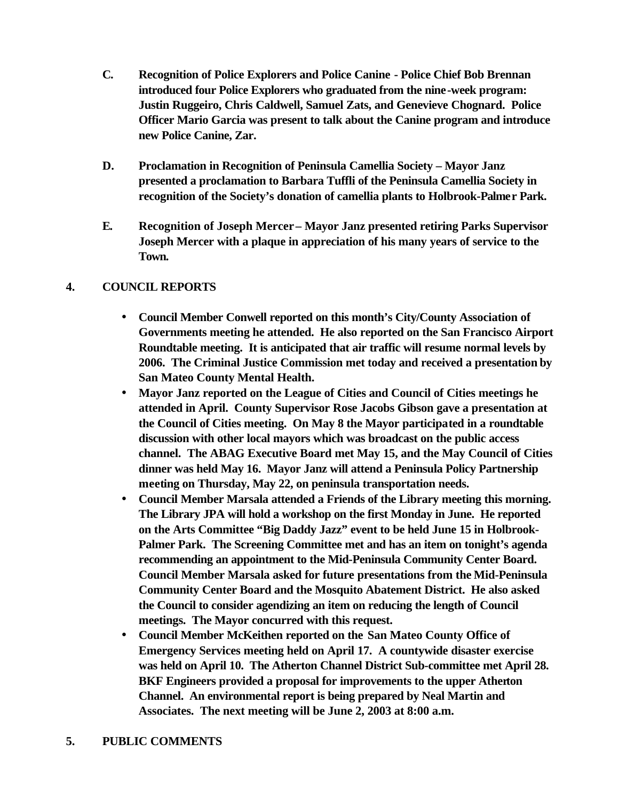- **C. Recognition of Police Explorers and Police Canine Police Chief Bob Brennan introduced four Police Explorers who graduated from the nine-week program: Justin Ruggeiro, Chris Caldwell, Samuel Zats, and Genevieve Chognard. Police Officer Mario Garcia was present to talk about the Canine program and introduce new Police Canine, Zar.**
- **D. Proclamation in Recognition of Peninsula Camellia Society Mayor Janz presented a proclamation to Barbara Tuffli of the Peninsula Camellia Society in recognition of the Society's donation of camellia plants to Holbrook-Palmer Park.**
- **E. Recognition of Joseph Mercer Mayor Janz presented retiring Parks Supervisor Joseph Mercer with a plaque in appreciation of his many years of service to the Town.**

# **4. COUNCIL REPORTS**

- **Council Member Conwell reported on this month's City/County Association of Governments meeting he attended. He also reported on the San Francisco Airport Roundtable meeting. It is anticipated that air traffic will resume normal levels by 2006. The Criminal Justice Commission met today and received a presentation by San Mateo County Mental Health.**
- **Mayor Janz reported on the League of Cities and Council of Cities meetings he attended in April. County Supervisor Rose Jacobs Gibson gave a presentation at the Council of Cities meeting. On May 8 the Mayor participated in a roundtable discussion with other local mayors which was broadcast on the public access channel. The ABAG Executive Board met May 15, and the May Council of Cities dinner was held May 16. Mayor Janz will attend a Peninsula Policy Partnership meeting on Thursday, May 22, on peninsula transportation needs.**
- **Council Member Marsala attended a Friends of the Library meeting this morning. The Library JPA will hold a workshop on the first Monday in June. He reported on the Arts Committee "Big Daddy Jazz" event to be held June 15 in Holbrook-Palmer Park. The Screening Committee met and has an item on tonight's agenda recommending an appointment to the Mid-Peninsula Community Center Board. Council Member Marsala asked for future presentations from the Mid-Peninsula Community Center Board and the Mosquito Abatement District. He also asked the Council to consider agendizing an item on reducing the length of Council meetings. The Mayor concurred with this request.**
- **Council Member McKeithen reported on the San Mateo County Office of Emergency Services meeting held on April 17. A countywide disaster exercise was held on April 10. The Atherton Channel District Sub-committee met April 28. BKF Engineers provided a proposal for improvements to the upper Atherton Channel. An environmental report is being prepared by Neal Martin and Associates. The next meeting will be June 2, 2003 at 8:00 a.m.**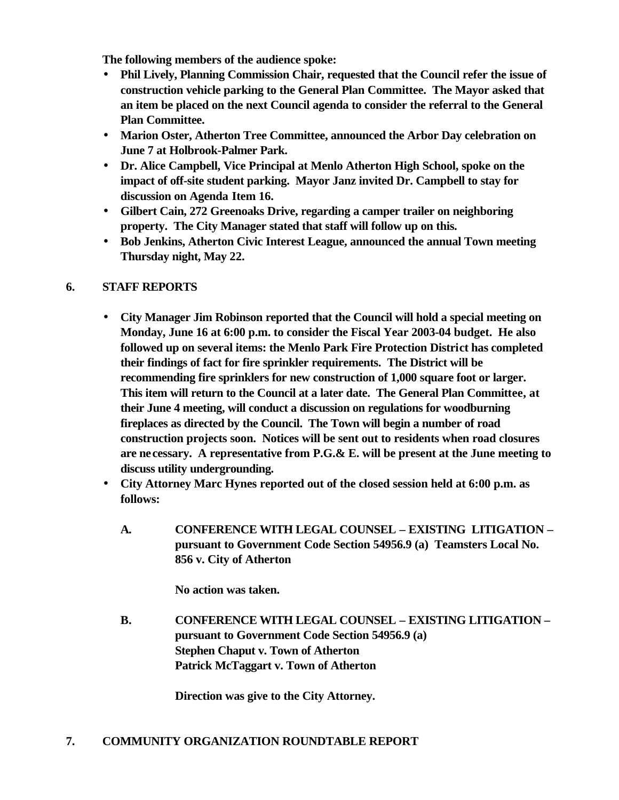**The following members of the audience spoke:**

- **Phil Lively, Planning Commission Chair, requested that the Council refer the issue of construction vehicle parking to the General Plan Committee. The Mayor asked that an item be placed on the next Council agenda to consider the referral to the General Plan Committee.**
- **Marion Oster, Atherton Tree Committee, announced the Arbor Day celebration on June 7 at Holbrook-Palmer Park.**
- **Dr. Alice Campbell, Vice Principal at Menlo Atherton High School, spoke on the impact of off-site student parking. Mayor Janz invited Dr. Campbell to stay for discussion on Agenda Item 16.**
- **Gilbert Cain, 272 Greenoaks Drive, regarding a camper trailer on neighboring property. The City Manager stated that staff will follow up on this.**
- **Bob Jenkins, Atherton Civic Interest League, announced the annual Town meeting Thursday night, May 22.**

# **6. STAFF REPORTS**

- **City Manager Jim Robinson reported that the Council will hold a special meeting on Monday, June 16 at 6:00 p.m. to consider the Fiscal Year 2003-04 budget. He also followed up on several items: the Menlo Park Fire Protection District has completed their findings of fact for fire sprinkler requirements. The District will be recommending fire sprinklers for new construction of 1,000 square foot or larger. This item will return to the Council at a later date. The General Plan Committee, at their June 4 meeting, will conduct a discussion on regulations for woodburning fireplaces as directed by the Council. The Town will begin a number of road construction projects soon. Notices will be sent out to residents when road closures are necessary. A representative from P.G.& E. will be present at the June meeting to discuss utility undergrounding.**
- **City Attorney Marc Hynes reported out of the closed session held at 6:00 p.m. as follows:**
	- **A. CONFERENCE WITH LEGAL COUNSEL EXISTING LITIGATION – pursuant to Government Code Section 54956.9 (a) Teamsters Local No. 856 v. City of Atherton**

**No action was taken.**

**B. CONFERENCE WITH LEGAL COUNSEL – EXISTING LITIGATION – pursuant to Government Code Section 54956.9 (a) Stephen Chaput v. Town of Atherton Patrick McTaggart v. Town of Atherton**

**Direction was give to the City Attorney.**

# **7. COMMUNITY ORGANIZATION ROUNDTABLE REPORT**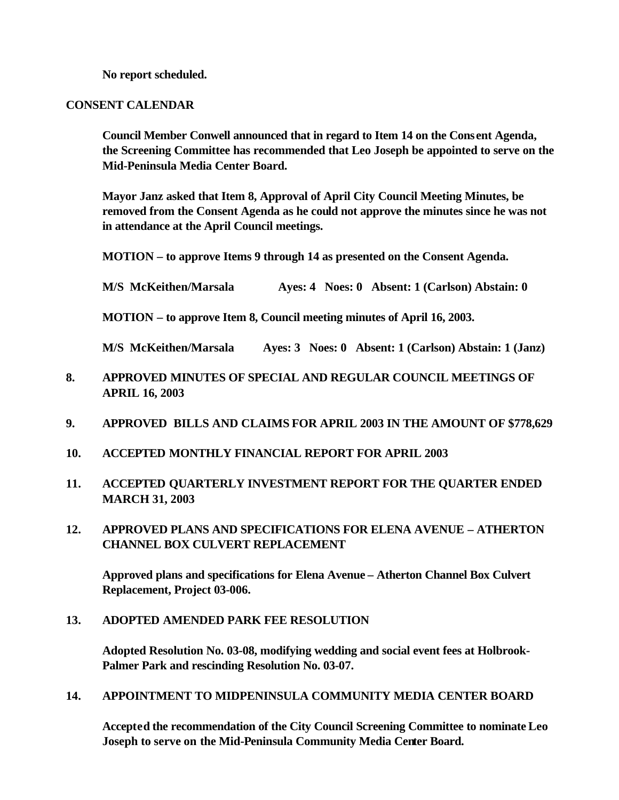**No report scheduled.**

### **CONSENT CALENDAR**

**Council Member Conwell announced that in regard to Item 14 on the Consent Agenda, the Screening Committee has recommended that Leo Joseph be appointed to serve on the Mid-Peninsula Media Center Board.** 

**Mayor Janz asked that Item 8, Approval of April City Council Meeting Minutes, be removed from the Consent Agenda as he could not approve the minutes since he was not in attendance at the April Council meetings.**

**MOTION – to approve Items 9 through 14 as presented on the Consent Agenda.**

**M/S McKeithen/Marsala Ayes: 4 Noes: 0 Absent: 1 (Carlson) Abstain: 0**

**MOTION – to approve Item 8, Council meeting minutes of April 16, 2003.**

**M/S McKeithen/Marsala Ayes: 3 Noes: 0 Absent: 1 (Carlson) Abstain: 1 (Janz)**

- **8. APPROVED MINUTES OF SPECIAL AND REGULAR COUNCIL MEETINGS OF APRIL 16, 2003**
- **9. APPROVED BILLS AND CLAIMS FOR APRIL 2003 IN THE AMOUNT OF \$778,629**
- **10. ACCEPTED MONTHLY FINANCIAL REPORT FOR APRIL 2003**
- **11. ACCEPTED QUARTERLY INVESTMENT REPORT FOR THE QUARTER ENDED MARCH 31, 2003**
- **12. APPROVED PLANS AND SPECIFICATIONS FOR ELENA AVENUE ATHERTON CHANNEL BOX CULVERT REPLACEMENT**

**Approved plans and specifications for Elena Avenue – Atherton Channel Box Culvert Replacement, Project 03-006.**

## **13. ADOPTED AMENDED PARK FEE RESOLUTION**

**Adopted Resolution No. 03-08, modifying wedding and social event fees at Holbrook-Palmer Park and rescinding Resolution No. 03-07.**

## **14. APPOINTMENT TO MIDPENINSULA COMMUNITY MEDIA CENTER BOARD**

**Accepted the recommendation of the City Council Screening Committee to nominate Leo Joseph to serve on the Mid-Peninsula Community Media Center Board.**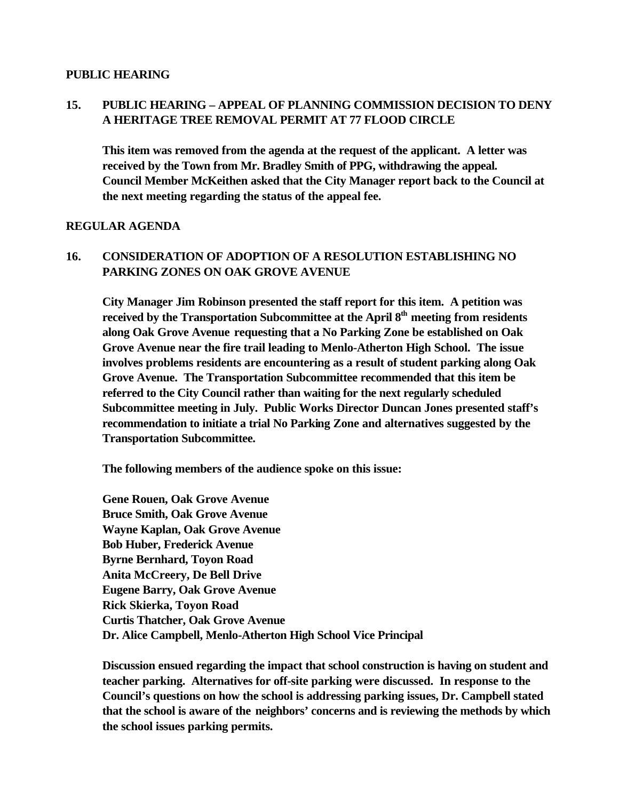### **PUBLIC HEARING**

# **15. PUBLIC HEARING – APPEAL OF PLANNING COMMISSION DECISION TO DENY A HERITAGE TREE REMOVAL PERMIT AT 77 FLOOD CIRCLE**

**This item was removed from the agenda at the request of the applicant. A letter was received by the Town from Mr. Bradley Smith of PPG, withdrawing the appeal. Council Member McKeithen asked that the City Manager report back to the Council at the next meeting regarding the status of the appeal fee.**

### **REGULAR AGENDA**

# **16. CONSIDERATION OF ADOPTION OF A RESOLUTION ESTABLISHING NO PARKING ZONES ON OAK GROVE AVENUE**

**City Manager Jim Robinson presented the staff report for this item. A petition was received by the Transportation Subcommittee at the April 8th meeting from residents along Oak Grove Avenue requesting that a No Parking Zone be established on Oak Grove Avenue near the fire trail leading to Menlo-Atherton High School. The issue involves problems residents are encountering as a result of student parking along Oak Grove Avenue. The Transportation Subcommittee recommended that this item be referred to the City Council rather than waiting for the next regularly scheduled Subcommittee meeting in July. Public Works Director Duncan Jones presented staff's recommendation to initiate a trial No Parking Zone and alternatives suggested by the Transportation Subcommittee.**

**The following members of the audience spoke on this issue:**

**Gene Rouen, Oak Grove Avenue Bruce Smith, Oak Grove Avenue Wayne Kaplan, Oak Grove Avenue Bob Huber, Frederick Avenue Byrne Bernhard, Toyon Road Anita McCreery, De Bell Drive Eugene Barry, Oak Grove Avenue Rick Skierka, Toyon Road Curtis Thatcher, Oak Grove Avenue Dr. Alice Campbell, Menlo-Atherton High School Vice Principal**

**Discussion ensued regarding the impact that school construction is having on student and teacher parking. Alternatives for off-site parking were discussed. In response to the Council's questions on how the school is addressing parking issues, Dr. Campbell stated that the school is aware of the neighbors' concerns and is reviewing the methods by which the school issues parking permits.**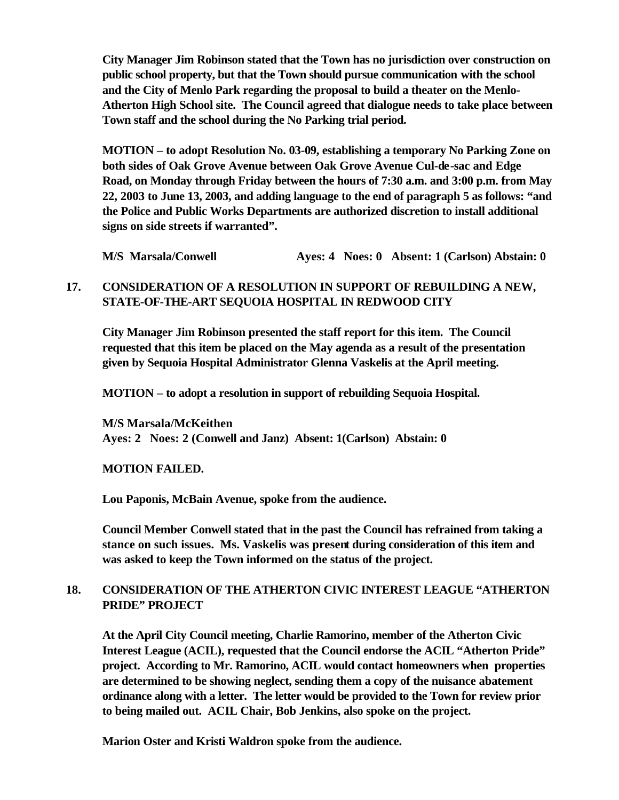**City Manager Jim Robinson stated that the Town has no jurisdiction over construction on public school property, but that the Town should pursue communication with the school and the City of Menlo Park regarding the proposal to build a theater on the Menlo-Atherton High School site. The Council agreed that dialogue needs to take place between Town staff and the school during the No Parking trial period.** 

**MOTION – to adopt Resolution No. 03-09, establishing a temporary No Parking Zone on both sides of Oak Grove Avenue between Oak Grove Avenue Cul-de-sac and Edge Road, on Monday through Friday between the hours of 7:30 a.m. and 3:00 p.m. from May 22, 2003 to June 13, 2003, and adding language to the end of paragraph 5 as follows: "and the Police and Public Works Departments are authorized discretion to install additional signs on side streets if warranted".**

**M/S Marsala/Conwell Ayes: 4 Noes: 0 Absent: 1 (Carlson) Abstain: 0**

# **17. CONSIDERATION OF A RESOLUTION IN SUPPORT OF REBUILDING A NEW, STATE-OF-THE-ART SEQUOIA HOSPITAL IN REDWOOD CITY**

**City Manager Jim Robinson presented the staff report for this item. The Council requested that this item be placed on the May agenda as a result of the presentation given by Sequoia Hospital Administrator Glenna Vaskelis at the April meeting.** 

**MOTION – to adopt a resolution in support of rebuilding Sequoia Hospital.**

**M/S Marsala/McKeithen Ayes: 2 Noes: 2 (Conwell and Janz) Absent: 1(Carlson) Abstain: 0**

## **MOTION FAILED.**

**Lou Paponis, McBain Avenue, spoke from the audience.**

**Council Member Conwell stated that in the past the Council has refrained from taking a stance on such issues. Ms. Vaskelis was present during consideration of this item and was asked to keep the Town informed on the status of the project.**

# **18. CONSIDERATION OF THE ATHERTON CIVIC INTEREST LEAGUE "ATHERTON PRIDE" PROJECT**

**At the April City Council meeting, Charlie Ramorino, member of the Atherton Civic Interest League (ACIL), requested that the Council endorse the ACIL "Atherton Pride" project. According to Mr. Ramorino, ACIL would contact homeowners when properties are determined to be showing neglect, sending them a copy of the nuisance abatement ordinance along with a letter. The letter would be provided to the Town for review prior to being mailed out. ACIL Chair, Bob Jenkins, also spoke on the project.**

**Marion Oster and Kristi Waldron spoke from the audience.**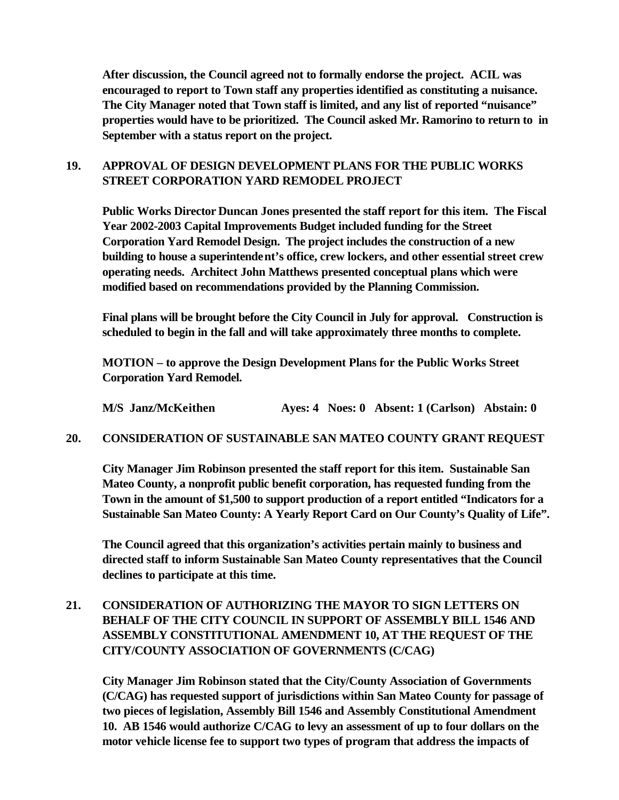**After discussion, the Council agreed not to formally endorse the project. ACIL was encouraged to report to Town staff any properties identified as constituting a nuisance. The City Manager noted that Town staff is limited, and any list of reported "nuisance" properties would have to be prioritized. The Council asked Mr. Ramorino to return to in September with a status report on the project.**

# **19. APPROVAL OF DESIGN DEVELOPMENT PLANS FOR THE PUBLIC WORKS STREET CORPORATION YARD REMODEL PROJECT**

**Public Works Director Duncan Jones presented the staff report for this item. The Fiscal Year 2002-2003 Capital Improvements Budget included funding for the Street Corporation Yard Remodel Design. The project includes the construction of a new building to house a superintendent's office, crew lockers, and other essential street crew operating needs. Architect John Matthews presented conceptual plans which were modified based on recommendations provided by the Planning Commission.**

**Final plans will be brought before the City Council in July for approval. Construction is scheduled to begin in the fall and will take approximately three months to complete.** 

**MOTION – to approve the Design Development Plans for the Public Works Street Corporation Yard Remodel.**

**M/S Janz/McKeithen Ayes: 4 Noes: 0 Absent: 1 (Carlson) Abstain: 0**

### **20. CONSIDERATION OF SUSTAINABLE SAN MATEO COUNTY GRANT REQUEST**

**City Manager Jim Robinson presented the staff report for this item. Sustainable San Mateo County, a nonprofit public benefit corporation, has requested funding from the Town in the amount of \$1,500 to support production of a report entitled "Indicators for a Sustainable San Mateo County: A Yearly Report Card on Our County's Quality of Life".** 

**The Council agreed that this organization's activities pertain mainly to business and directed staff to inform Sustainable San Mateo County representatives that the Council declines to participate at this time.**

# **21. CONSIDERATION OF AUTHORIZING THE MAYOR TO SIGN LETTERS ON BEHALF OF THE CITY COUNCIL IN SUPPORT OF ASSEMBLY BILL 1546 AND ASSEMBLY CONSTITUTIONAL AMENDMENT 10, AT THE REQUEST OF THE CITY/COUNTY ASSOCIATION OF GOVERNMENTS (C/CAG)**

**City Manager Jim Robinson stated that the City/County Association of Governments (C/CAG) has requested support of jurisdictions within San Mateo County for passage of two pieces of legislation, Assembly Bill 1546 and Assembly Constitutional Amendment 10. AB 1546 would authorize C/CAG to levy an assessment of up to four dollars on the motor vehicle license fee to support two types of program that address the impacts of**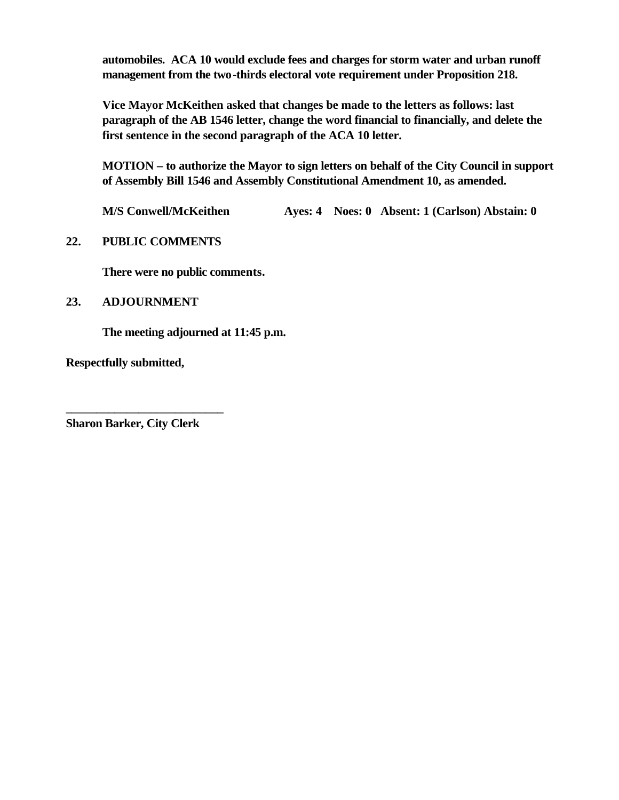**automobiles. ACA 10 would exclude fees and charges for storm water and urban runoff management from the two-thirds electoral vote requirement under Proposition 218.**

**Vice Mayor McKeithen asked that changes be made to the letters as follows: last paragraph of the AB 1546 letter, change the word financial to financially, and delete the first sentence in the second paragraph of the ACA 10 letter.**

**MOTION – to authorize the Mayor to sign letters on behalf of the City Council in support of Assembly Bill 1546 and Assembly Constitutional Amendment 10, as amended.**

**M/S Conwell/McKeithen Ayes: 4 Noes: 0 Absent: 1 (Carlson) Abstain: 0**

## **22. PUBLIC COMMENTS**

**There were no public comments.**

## **23. ADJOURNMENT**

**The meeting adjourned at 11:45 p.m.**

**Respectfully submitted,**

**Sharon Barker, City Clerk**

**\_\_\_\_\_\_\_\_\_\_\_\_\_\_\_\_\_\_\_\_\_\_\_\_\_\_**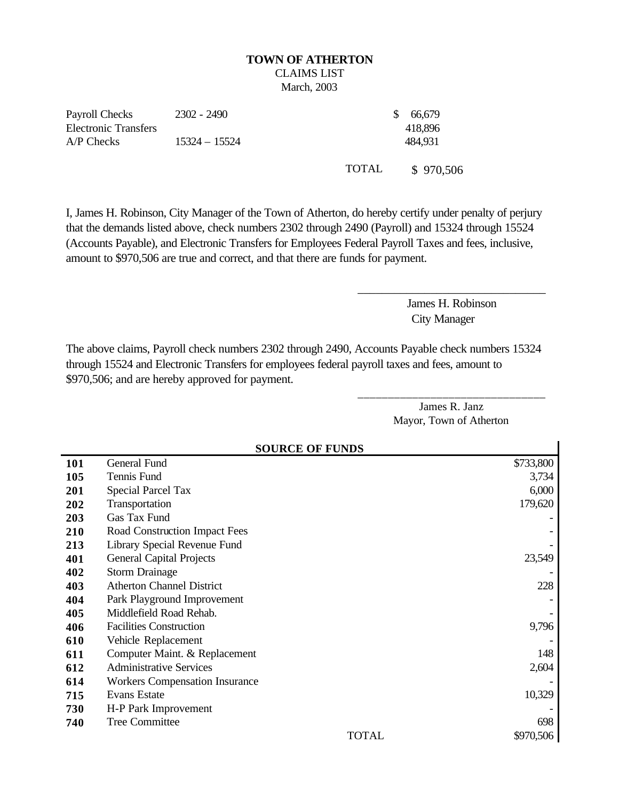# **TOWN OF ATHERTON**  CLAIMS LIST

March, 2003

Payroll Checks Electronic Transfers 2302 - 2490 \$ 66,679 A/P Checks 15324 – 15524 484,931

418,896

TOTAL \$ 970,506

I, James H. Robinson, City Manager of the Town of Atherton, do hereby certify under penalty of perjury that the demands listed above, check numbers 2302 through 2490 (Payroll) and 15324 through 15524 (Accounts Payable), and Electronic Transfers for Employees Federal Payroll Taxes and fees, inclusive, amount to \$970,506 are true and correct, and that there are funds for payment.

> James H. Robinson City Manager

\_\_\_\_\_\_\_\_\_\_\_\_\_\_\_\_\_\_\_\_\_\_\_\_\_\_\_\_\_\_\_

The above claims, Payroll check numbers 2302 through 2490, Accounts Payable check numbers 15324 through 15524 and Electronic Transfers for employees federal payroll taxes and fees, amount to \$970,506; and are hereby approved for payment.

> James R. Janz Mayor, Town of Atherton

\_\_\_\_\_\_\_\_\_\_\_\_\_\_\_\_\_\_\_\_\_\_\_\_\_\_\_\_\_\_\_

| <b>SOURCE OF FUNDS</b> |                                       |           |
|------------------------|---------------------------------------|-----------|
| 101                    | General Fund                          | \$733,800 |
| 105                    | Tennis Fund                           | 3,734     |
| 201                    | <b>Special Parcel Tax</b>             | 6,000     |
| 202                    | Transportation                        | 179,620   |
| 203                    | Gas Tax Fund                          |           |
| 210                    | Road Construction Impact Fees         |           |
| 213                    | Library Special Revenue Fund          |           |
| 401                    | <b>General Capital Projects</b>       | 23,549    |
| 402                    | <b>Storm Drainage</b>                 |           |
| 403                    | <b>Atherton Channel District</b>      | 228       |
| 404                    | Park Playground Improvement           |           |
| 405                    | Middlefield Road Rehab.               |           |
| 406                    | <b>Facilities Construction</b>        | 9,796     |
| 610                    | Vehicle Replacement                   |           |
| 611                    | Computer Maint. & Replacement         | 148       |
| 612                    | <b>Administrative Services</b>        | 2,604     |
| 614                    | <b>Workers Compensation Insurance</b> |           |
| 715                    | Evans Estate                          | 10,329    |
| 730                    | H-P Park Improvement                  |           |
| 740                    | <b>Tree Committee</b>                 | 698       |
|                        | <b>TOTAL</b>                          | \$970,506 |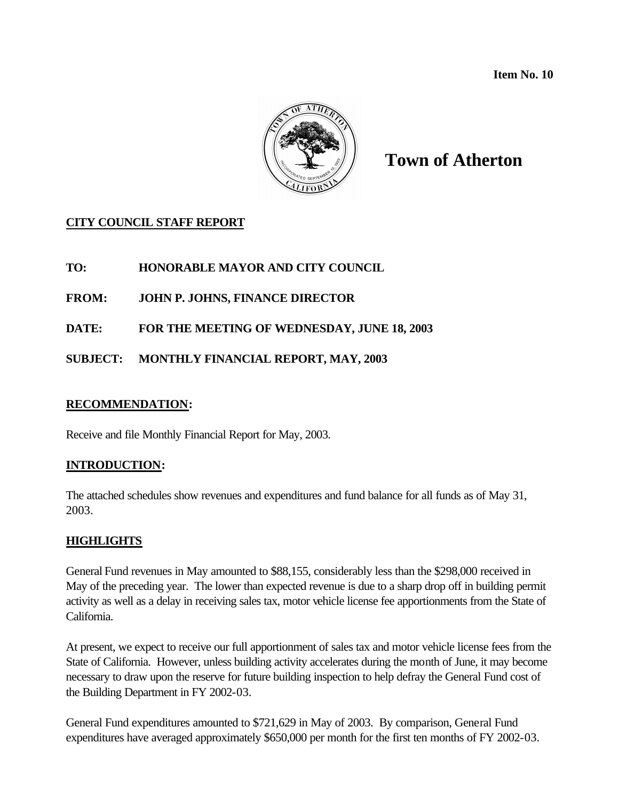**Item No. 10** 



# **Town of Atherton**

# **CITY COUNCIL STAFF REPORT**

**TO: HONORABLE MAYOR AND CITY COUNCIL**

**FROM: JOHN P. JOHNS, FINANCE DIRECTOR**

**DATE: FOR THE MEETING OF WEDNESDAY, JUNE 18, 2003**

**SUBJECT: MONTHLY FINANCIAL REPORT, MAY, 2003**

## **RECOMMENDATION:**

Receive and file Monthly Financial Report for May, 2003.

## **INTRODUCTION:**

The attached schedules show revenues and expenditures and fund balance for all funds as of May 31, 2003.

## **HIGHLIGHTS**

General Fund revenues in May amounted to \$88,155, considerably less than the \$298,000 received in May of the preceding year. The lower than expected revenue is due to a sharp drop off in building permit activity as well as a delay in receiving sales tax, motor vehicle license fee apportionments from the State of California.

At present, we expect to receive our full apportionment of sales tax and motor vehicle license fees from the State of California. However, unless building activity accelerates during the month of June, it may become necessary to draw upon the reserve for future building inspection to help defray the General Fund cost of the Building Department in FY 2002-03.

General Fund expenditures amounted to \$721,629 in May of 2003. By comparison, General Fund expenditures have averaged approximately \$650,000 per month for the first ten months of FY 2002-03.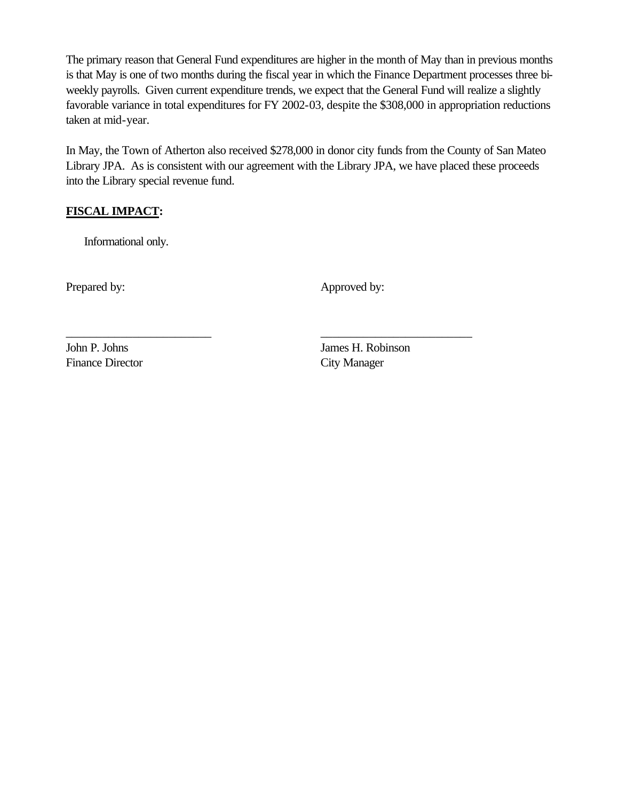The primary reason that General Fund expenditures are higher in the month of May than in previous months is that May is one of two months during the fiscal year in which the Finance Department processes three biweekly payrolls. Given current expenditure trends, we expect that the General Fund will realize a slightly favorable variance in total expenditures for FY 2002-03, despite the \$308,000 in appropriation reductions taken at mid-year.

In May, the Town of Atherton also received \$278,000 in donor city funds from the County of San Mateo Library JPA. As is consistent with our agreement with the Library JPA, we have placed these proceeds into the Library special revenue fund.

\_\_\_\_\_\_\_\_\_\_\_\_\_\_\_\_\_\_\_\_\_\_\_\_ \_\_\_\_\_\_\_\_\_\_\_\_\_\_\_\_\_\_\_\_\_\_\_\_\_

# **FISCAL IMPACT:**

Informational only.

Prepared by: Approved by:

Finance Director City Manager

John P. Johns James H. Robinson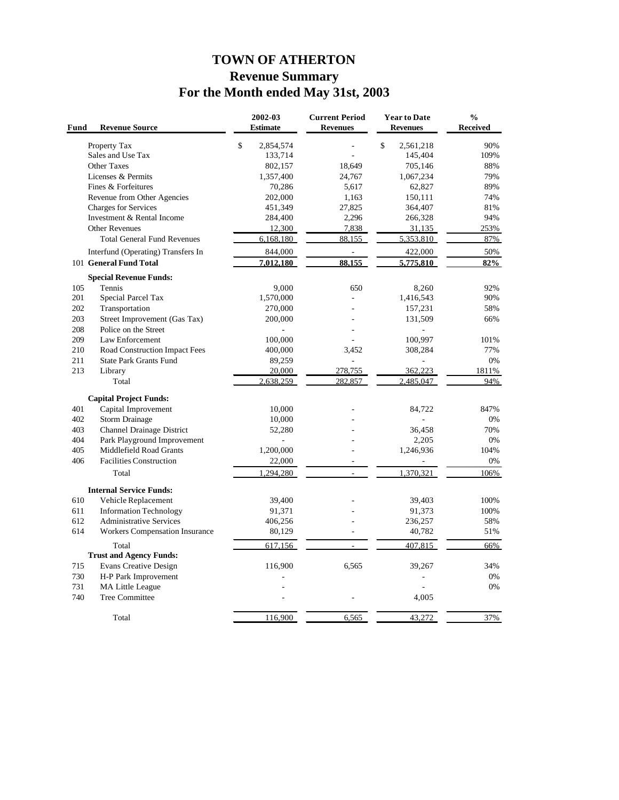# **TOWN OF ATHERTON Revenue Summary For the Month ended May 31st, 2003**

| Fund | <b>Revenue Source</b>              | 2002-03<br><b>Estimate</b> | <b>Current Period</b><br><b>Revenues</b> | <b>Year to Date</b><br><b>Revenues</b> | $\frac{0}{0}$<br>Received |
|------|------------------------------------|----------------------------|------------------------------------------|----------------------------------------|---------------------------|
|      | Property Tax                       | \$<br>2,854,574            |                                          | \$<br>2,561,218                        | 90%                       |
|      | Sales and Use Tax                  | 133,714                    |                                          | 145,404                                | 109%                      |
|      | Other Taxes                        | 802,157                    | 18.649                                   | 705,146                                | 88%                       |
|      | Licenses & Permits                 | 1,357,400                  | 24,767                                   | 1,067,234                              | 79%                       |
|      | Fines & Forfeitures                | 70,286                     | 5,617                                    | 62,827                                 | 89%                       |
|      | Revenue from Other Agencies        | 202,000                    | 1,163                                    | 150,111                                | 74%                       |
|      | <b>Charges for Services</b>        | 451,349                    | 27,825                                   | 364,407                                | 81%                       |
|      | Investment & Rental Income         | 284,400                    | 2,296                                    | 266,328                                | 94%                       |
|      | <b>Other Revenues</b>              | 12,300                     | 7,838                                    | 31,135                                 | 253%                      |
|      | <b>Total General Fund Revenues</b> | 6,168,180                  | 88,155                                   | 5,353,810                              | 87%                       |
|      | Interfund (Operating) Transfers In | 844,000                    | L.                                       | 422,000                                | 50%                       |
|      | 101 General Fund Total             | 7,012,180                  | 88.155                                   | 5,775,810                              | 82%                       |
|      | <b>Special Revenue Funds:</b>      |                            |                                          |                                        |                           |
| 105  | Tennis                             | 9.000                      | 650                                      | 8.260                                  | 92%                       |
| 201  | Special Parcel Tax                 | 1,570,000                  |                                          | 1,416,543                              | 90%                       |
| 202  | Transportation                     | 270,000                    |                                          | 157,231                                | 58%                       |
| 203  | Street Improvement (Gas Tax)       | 200,000                    |                                          | 131,509                                | 66%                       |
| 208  | Police on the Street               |                            |                                          |                                        |                           |
| 209  | Law Enforcement                    | 100,000                    |                                          | 100,997                                | 101%                      |
| 210  | Road Construction Impact Fees      | 400,000                    | 3,452                                    | 308,284                                | 77%                       |
| 211  | <b>State Park Grants Fund</b>      | 89,259                     | L.                                       |                                        | 0%                        |
| 213  | Library                            | 20,000                     | 278,755                                  | 362,223                                | 1811%                     |
|      | Total                              | 2,638,259                  | 282,857                                  | 2.485.047                              | 94%                       |
|      | <b>Capital Project Funds:</b>      |                            |                                          |                                        |                           |
| 401  | Capital Improvement                | 10.000                     |                                          | 84,722                                 | 847%                      |
| 402  | <b>Storm Drainage</b>              | 10,000                     |                                          |                                        | 0%                        |
| 403  | <b>Channel Drainage District</b>   | 52,280                     |                                          | 36,458                                 | 70%                       |
| 404  | Park Playground Improvement        |                            |                                          | 2,205                                  | 0%                        |
| 405  | Middlefield Road Grants            | 1,200,000                  |                                          | 1,246,936                              | 104%                      |
| 406  | <b>Facilities Construction</b>     | 22,000                     | $\sim$                                   |                                        | 0%                        |
|      | Total                              | 1.294.280                  |                                          | 1,370,321                              | 106%                      |
|      | <b>Internal Service Funds:</b>     |                            |                                          |                                        |                           |
| 610  | Vehicle Replacement                | 39,400                     |                                          | 39,403                                 | 100%                      |
| 611  | <b>Information Technology</b>      | 91,371                     |                                          | 91,373                                 | 100%                      |
| 612  | <b>Administrative Services</b>     | 406,256                    |                                          | 236,257                                | 58%                       |
| 614  | Workers Compensation Insurance     | 80,129                     | ÷,                                       | 40,782                                 | 51%                       |
|      | Total                              | 617,156                    |                                          | 407,815                                | 66%                       |
|      | <b>Trust and Agency Funds:</b>     |                            |                                          |                                        |                           |
| 715  | <b>Evans Creative Design</b>       | 116,900                    | 6,565                                    | 39,267                                 | 34%                       |
| 730  | H-P Park Improvement               |                            |                                          |                                        | 0%                        |
| 731  | MA Little League                   |                            |                                          |                                        | 0%                        |
| 740  | <b>Tree Committee</b>              |                            |                                          | 4,005                                  |                           |
|      |                                    |                            |                                          |                                        |                           |
|      | Total                              | 116,900                    | 6,565                                    | 43,272                                 | 37%                       |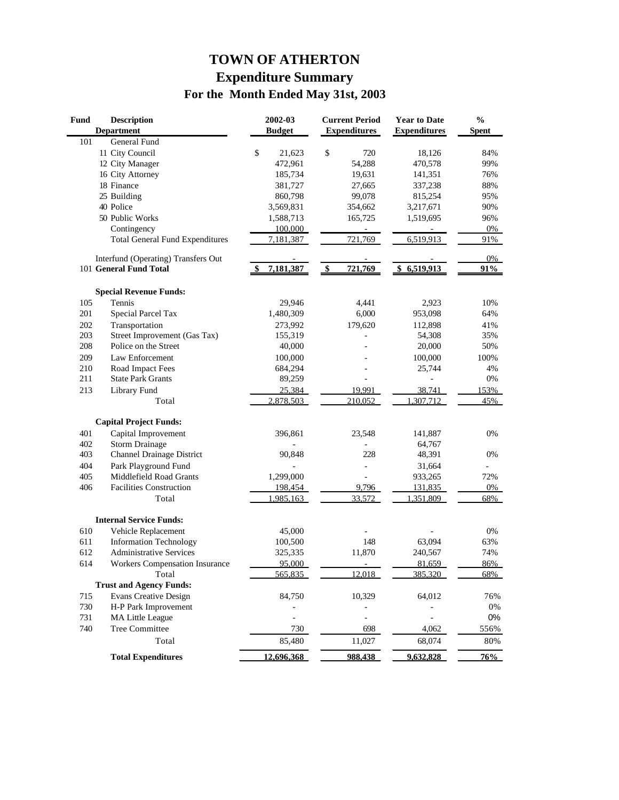# **TOWN OF ATHERTON Expenditure Summary For the Month Ended May 31st, 2003**

| <b>Fund</b> | <b>Description</b>                     | 2002-03       | <b>Current Period</b> | <b>Year to Date</b> | $\frac{0}{0}$ |
|-------------|----------------------------------------|---------------|-----------------------|---------------------|---------------|
|             | <b>Department</b>                      | <b>Budget</b> | <b>Expenditures</b>   | <b>Expenditures</b> | <b>Spent</b>  |
| 101         | General Fund                           |               |                       |                     |               |
|             | 11 City Council                        | \$<br>21,623  | \$<br>720             | 18,126              | 84%           |
|             | 12 City Manager                        | 472,961       | 54,288                | 470,578             | 99%           |
|             | 16 City Attorney                       | 185,734       | 19,631                | 141,351             | 76%           |
|             | 18 Finance                             | 381,727       | 27,665                | 337,238             | 88%           |
|             | 25 Building                            | 860,798       | 99,078                | 815,254             | 95%           |
|             | 40 Police                              | 3,569,831     | 354,662               | 3,217,671           | 90%           |
|             | 50 Public Works                        | 1,588,713     | 165,725               | 1,519,695           | 96%           |
|             | Contingency                            | 100,000       |                       |                     | 0%            |
|             | <b>Total General Fund Expenditures</b> | 7,181,387     | 721,769               | 6,519,913           | 91%           |
|             | Interfund (Operating) Transfers Out    |               |                       |                     | $0\%$         |
|             | 101 General Fund Total                 | 7,181,387     | \$<br>721,769         | \$<br>6,519,913     | 91%           |
|             | <b>Special Revenue Funds:</b>          |               |                       |                     |               |
| 105         | Tennis                                 | 29,946        | 4,441                 | 2,923               | 10%           |
| 201         | Special Parcel Tax                     | 1,480,309     | 6,000                 | 953,098             | 64%           |
| 202         | Transportation                         | 273,992       | 179,620               | 112,898             | 41%           |
| 203         | Street Improvement (Gas Tax)           | 155,319       |                       | 54,308              | 35%           |
| 208         | Police on the Street                   | 40,000        |                       | 20,000              | 50%           |
| 209         | Law Enforcement                        | 100,000       |                       | 100,000             | 100%          |
| 210         | Road Impact Fees                       | 684,294       |                       | 25,744              | 4%            |
| 211         | <b>State Park Grants</b>               | 89,259        |                       |                     | 0%            |
| 213         | Library Fund                           | 25.384        | 19.991                | 38,741              | 153%          |
|             | Total                                  | 2,878,503     | 210,052               | 1.307.712           | 45%           |
|             | <b>Capital Project Funds:</b>          |               |                       |                     |               |
| 401         | Capital Improvement                    | 396,861       | 23,548                | 141,887             | 0%            |
| 402         | <b>Storm Drainage</b>                  |               |                       | 64,767              |               |
| 403         | <b>Channel Drainage District</b>       | 90,848        | 228                   | 48,391              | 0%            |
| 404         | Park Playground Fund                   |               |                       | 31,664              |               |
| 405         | Middlefield Road Grants                | 1,299,000     | L,                    | 933,265             | 72%           |
| 406         | <b>Facilities Construction</b>         | 198,454       | 9,796                 | 131,835             | 0%            |
|             | Total                                  | 1,985,163     | 33,572                | 1,351,809           | 68%           |
|             |                                        |               |                       |                     |               |
|             | <b>Internal Service Funds:</b>         |               |                       |                     |               |
| 610         | Vehicle Replacement                    | 45,000        |                       |                     | 0%            |
| 611         | <b>Information Technology</b>          | 100,500       | 148                   | 63,094              | 63%           |
| 612         | <b>Administrative Services</b>         | 325,335       | 11,870                | 240,567             | 74%           |
| 614         | Workers Compensation Insurance         | 95,000        |                       | 81.659              | 86%           |
|             | Total                                  | 565,835       | 12,018                | 385,320             | 68%           |
|             | <b>Trust and Agency Funds:</b>         |               |                       |                     |               |
| 715         | <b>Evans Creative Design</b>           | 84,750        | 10,329                | 64,012              | 76%           |
| 730         | H-P Park Improvement                   |               |                       |                     | $0\%$         |
| 731         | <b>MA Little League</b>                |               |                       |                     | 0%            |
| 740         | <b>Tree Committee</b>                  | 730           | 698                   | 4,062               | 556%          |
|             | Total                                  | 85,480        | 11,027                | 68,074              | 80%           |
|             | <b>Total Expenditures</b>              | 12,696,368    | 988,438               | 9,632,828           | 76%           |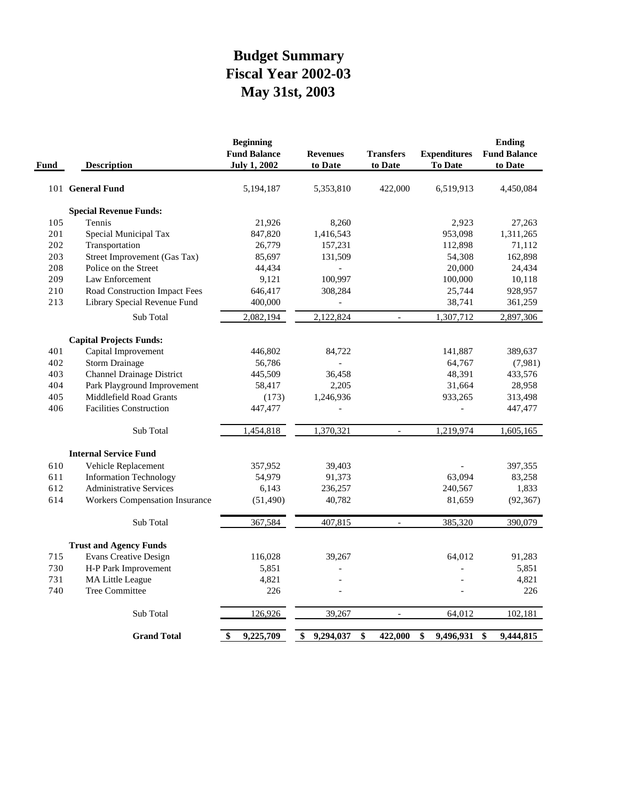# **May 31st, 2003 Fiscal Year 2002-03 Budget Summary**

| Fund | <b>Description</b>                    | <b>Beginning</b><br><b>Fund Balance</b><br><b>July 1, 2002</b> | <b>Revenues</b><br>to Date | <b>Transfers</b><br>to Date | <b>Expenditures</b><br><b>To Date</b> | <b>Ending</b><br><b>Fund Balance</b><br>to Date |
|------|---------------------------------------|----------------------------------------------------------------|----------------------------|-----------------------------|---------------------------------------|-------------------------------------------------|
|      | 101 General Fund                      | 5,194,187                                                      | 5,353,810                  | 422,000                     | 6,519,913                             | 4,450,084                                       |
|      | <b>Special Revenue Funds:</b>         |                                                                |                            |                             |                                       |                                                 |
| 105  | Tennis                                | 21,926                                                         | 8,260                      |                             | 2,923                                 | 27,263                                          |
| 201  | Special Municipal Tax                 | 847,820                                                        | 1,416,543                  |                             | 953,098                               | 1,311,265                                       |
| 202  | Transportation                        | 26,779                                                         | 157,231                    |                             | 112,898                               | 71,112                                          |
| 203  | Street Improvement (Gas Tax)          | 85,697                                                         | 131,509                    |                             | 54,308                                | 162,898                                         |
| 208  | Police on the Street                  | 44,434                                                         |                            |                             | 20,000                                | 24,434                                          |
| 209  | Law Enforcement                       | 9,121                                                          | 100,997                    |                             | 100,000                               | 10,118                                          |
| 210  | Road Construction Impact Fees         | 646,417                                                        | 308,284                    |                             | 25,744                                | 928,957                                         |
| 213  | Library Special Revenue Fund          | 400,000                                                        |                            |                             | 38,741                                | 361,259                                         |
|      | Sub Total                             | 2,082,194                                                      | 2,122,824                  |                             | 1,307,712                             | 2,897,306                                       |
|      | <b>Capital Projects Funds:</b>        |                                                                |                            |                             |                                       |                                                 |
| 401  | Capital Improvement                   | 446,802                                                        | 84,722                     |                             | 141,887                               | 389,637                                         |
| 402  | <b>Storm Drainage</b>                 | 56,786                                                         |                            |                             | 64,767                                | (7,981)                                         |
| 403  | <b>Channel Drainage District</b>      | 445,509                                                        | 36,458                     |                             | 48,391                                | 433,576                                         |
| 404  | Park Playground Improvement           | 58,417                                                         | 2,205                      |                             | 31,664                                | 28,958                                          |
| 405  | Middlefield Road Grants               | (173)                                                          | 1,246,936                  |                             | 933,265                               | 313,498                                         |
| 406  | <b>Facilities Construction</b>        | 447,477                                                        | $\overline{\phantom{0}}$   |                             | $\overline{\phantom{0}}$              | 447,477                                         |
|      | Sub Total                             | 1,454,818                                                      | 1,370,321                  | $\sim$                      | 1,219,974                             | 1,605,165                                       |
|      | <b>Internal Service Fund</b>          |                                                                |                            |                             |                                       |                                                 |
| 610  | Vehicle Replacement                   | 357,952                                                        | 39,403                     |                             |                                       | 397,355                                         |
| 611  | <b>Information Technology</b>         | 54,979                                                         | 91,373                     |                             | 63,094                                | 83,258                                          |
| 612  | <b>Administrative Services</b>        | 6,143                                                          | 236,257                    |                             | 240,567                               | 1,833                                           |
| 614  | <b>Workers Compensation Insurance</b> | (51, 490)                                                      | 40,782                     |                             | 81,659                                | (92, 367)                                       |
|      | Sub Total                             | 367,584                                                        | 407,815                    |                             | 385,320                               | 390,079                                         |
|      | <b>Trust and Agency Funds</b>         |                                                                |                            |                             |                                       |                                                 |
| 715  | <b>Evans Creative Design</b>          | 116,028                                                        | 39,267                     |                             | 64,012                                | 91,283                                          |
| 730  | H-P Park Improvement                  | 5,851                                                          |                            |                             |                                       | 5,851                                           |
| 731  | <b>MA Little League</b>               | 4,821                                                          |                            |                             |                                       | 4,821                                           |
| 740  | Tree Committee                        | 226                                                            |                            |                             |                                       | 226                                             |
|      | Sub Total                             | 126,926                                                        | 39,267                     | $\overline{\phantom{a}}$    | 64,012                                | 102,181                                         |
|      | <b>Grand Total</b>                    | \$<br>9,225,709                                                | 9,294,037<br>\$            | \$<br>422,000               | \$<br>9,496,931                       | \$<br>9,444,815                                 |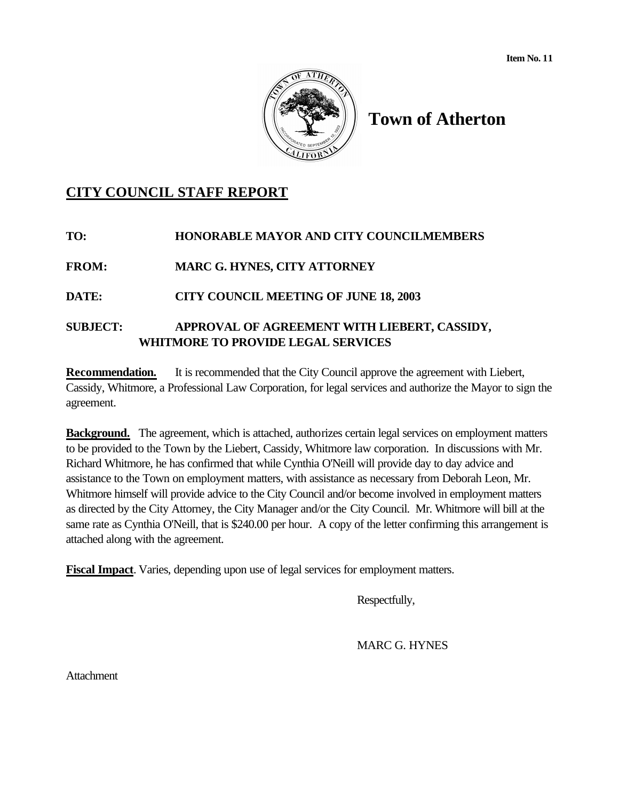

# **Town of Atherton**

# **CITY COUNCIL STAFF REPORT**

# **TO: HONORABLE MAYOR AND CITY COUNCILMEMBERS**

**FROM: MARC G. HYNES, CITY ATTORNEY**

**DATE: CITY COUNCIL MEETING OF JUNE 18, 2003**

# **SUBJECT: APPROVAL OF AGREEMENT WITH LIEBERT, CASSIDY, WHITMORE TO PROVIDE LEGAL SERVICES**

**Recommendation.** It is recommended that the City Council approve the agreement with Liebert, Cassidy, Whitmore, a Professional Law Corporation, for legal services and authorize the Mayor to sign the agreement.

**Background.** The agreement, which is attached, authorizes certain legal services on employment matters to be provided to the Town by the Liebert, Cassidy, Whitmore law corporation. In discussions with Mr. Richard Whitmore, he has confirmed that while Cynthia O'Neill will provide day to day advice and assistance to the Town on employment matters, with assistance as necessary from Deborah Leon, Mr. Whitmore himself will provide advice to the City Council and/or become involved in employment matters as directed by the City Attorney, the City Manager and/or the City Council. Mr. Whitmore will bill at the same rate as Cynthia O'Neill, that is \$240.00 per hour. A copy of the letter confirming this arrangement is attached along with the agreement.

**Fiscal Impact**. Varies, depending upon use of legal services for employment matters.

Respectfully,

MARC G. HYNES

Attachment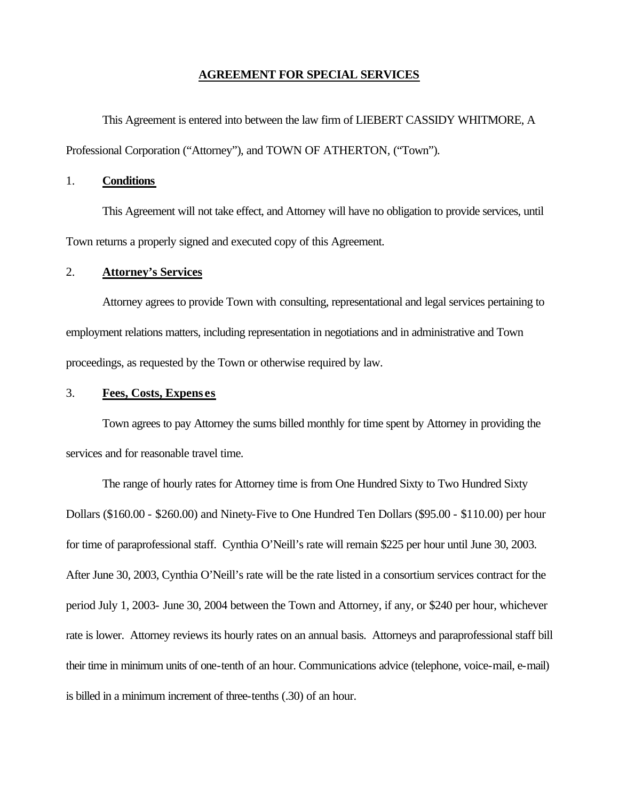### **AGREEMENT FOR SPECIAL SERVICES**

This Agreement is entered into between the law firm of LIEBERT CASSIDY WHITMORE, A Professional Corporation ("Attorney"), and TOWN OF ATHERTON, ("Town").

### 1. **Conditions**

This Agreement will not take effect, and Attorney will have no obligation to provide services, until Town returns a properly signed and executed copy of this Agreement.

### 2. **Attorney's Services**

Attorney agrees to provide Town with consulting, representational and legal services pertaining to employment relations matters, including representation in negotiations and in administrative and Town proceedings, as requested by the Town or otherwise required by law.

### 3. **Fees, Costs, Expens es**

Town agrees to pay Attorney the sums billed monthly for time spent by Attorney in providing the services and for reasonable travel time.

The range of hourly rates for Attorney time is from One Hundred Sixty to Two Hundred Sixty Dollars (\$160.00 - \$260.00) and Ninety-Five to One Hundred Ten Dollars (\$95.00 - \$110.00) per hour for time of paraprofessional staff. Cynthia O'Neill's rate will remain \$225 per hour until June 30, 2003. After June 30, 2003, Cynthia O'Neill's rate will be the rate listed in a consortium services contract for the period July 1, 2003- June 30, 2004 between the Town and Attorney, if any, or \$240 per hour, whichever rate is lower. Attorney reviews its hourly rates on an annual basis. Attorneys and paraprofessional staff bill their time in minimum units of one-tenth of an hour. Communications advice (telephone, voice-mail, e-mail) is billed in a minimum increment of three-tenths (.30) of an hour.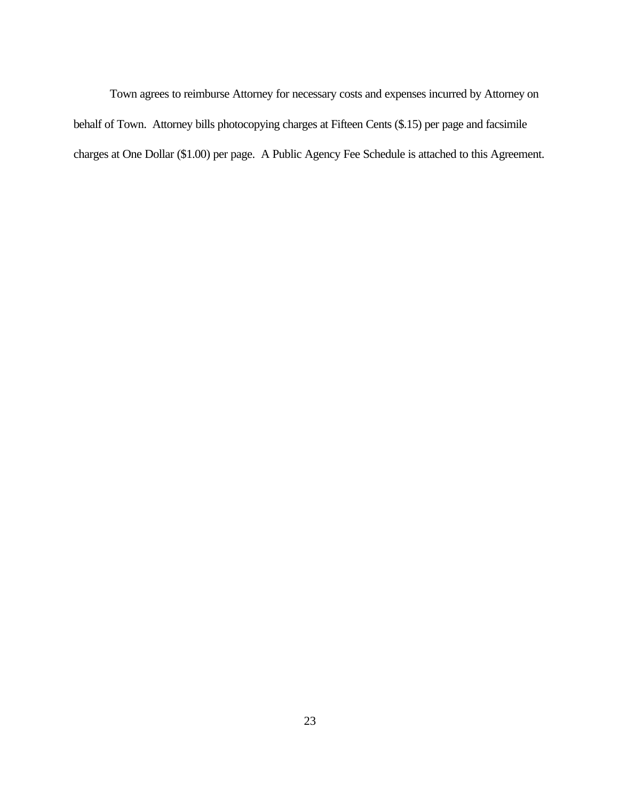Town agrees to reimburse Attorney for necessary costs and expenses incurred by Attorney on behalf of Town. Attorney bills photocopying charges at Fifteen Cents (\$.15) per page and facsimile charges at One Dollar (\$1.00) per page. A Public Agency Fee Schedule is attached to this Agreement.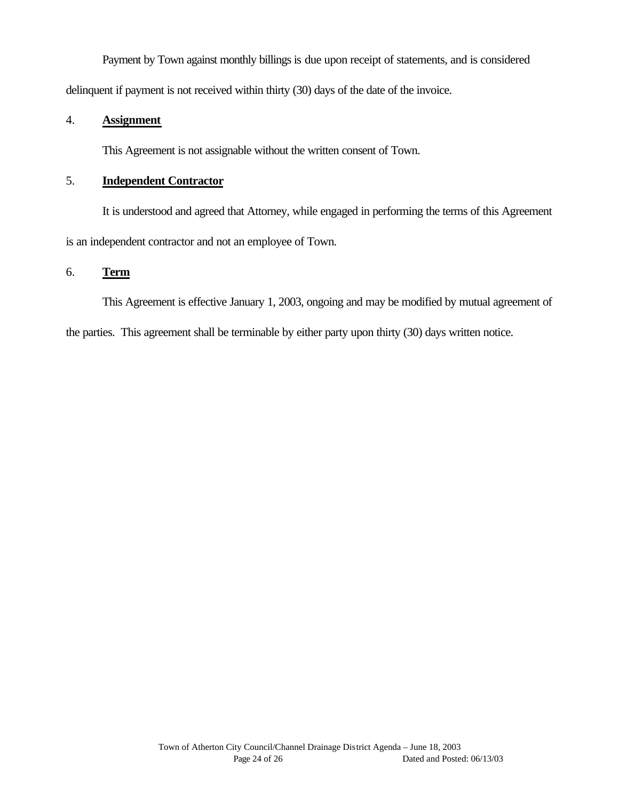Payment by Town against monthly billings is due upon receipt of statements, and is considered delinquent if payment is not received within thirty (30) days of the date of the invoice.

# 4. **Assignment**

This Agreement is not assignable without the written consent of Town.

## 5. **Independent Contractor**

It is understood and agreed that Attorney, while engaged in performing the terms of this Agreement is an independent contractor and not an employee of Town.

# 6. **Term**

This Agreement is effective January 1, 2003, ongoing and may be modified by mutual agreement of the parties. This agreement shall be terminable by either party upon thirty (30) days written notice.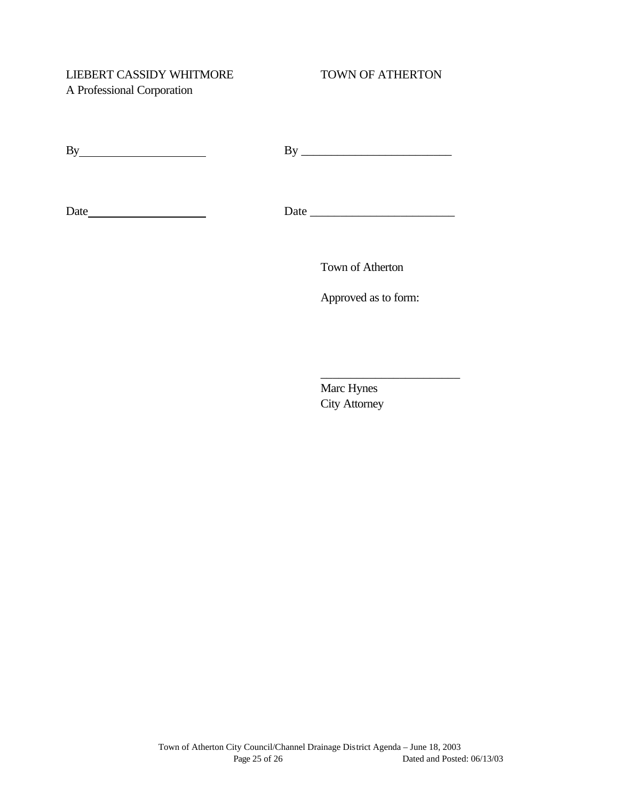# LIEBERT CASSIDY WHITMORE TOWN OF ATHERTON A Professional Corporation

| - |  |
|---|--|
|   |  |

Date Date \_\_\_\_\_\_\_\_\_\_\_\_\_\_\_\_\_\_\_\_\_\_\_\_

Town of Atherton

Approved as to form:

Marc Hynes City Attorney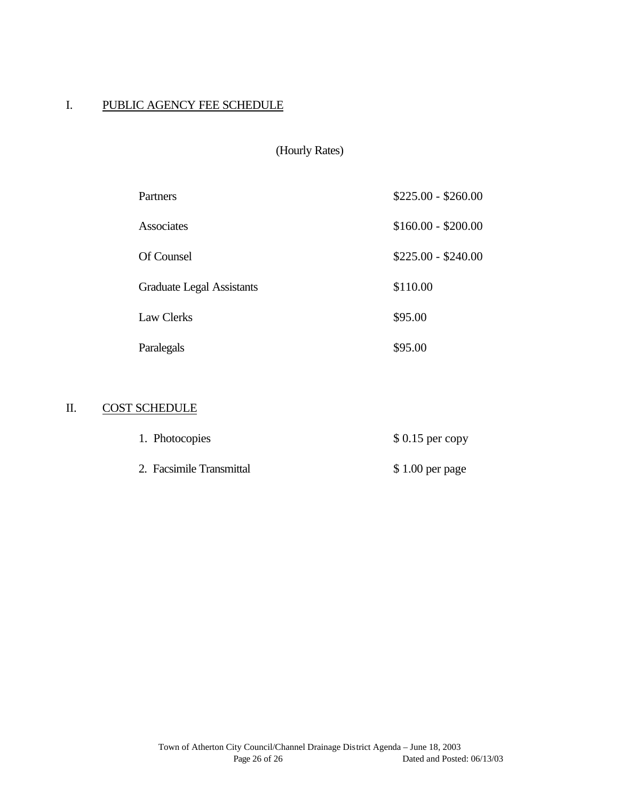## I. PUBLIC AGENCY FEE SCHEDULE

| Partners                         | $$225.00 - $260.00$ |
|----------------------------------|---------------------|
| Associates                       | $$160.00 - $200.00$ |
| Of Counsel                       | $$225.00 - $240.00$ |
| <b>Graduate Legal Assistants</b> | \$110.00            |
| <b>Law Clerks</b>                | \$95.00             |
| Paralegals                       | \$95.00             |

# II. COST SCHEDULE

| 1. Photocopies           | $$0.15$ per copy |
|--------------------------|------------------|
| 2. Facsimile Transmittal | $$1.00$ per page |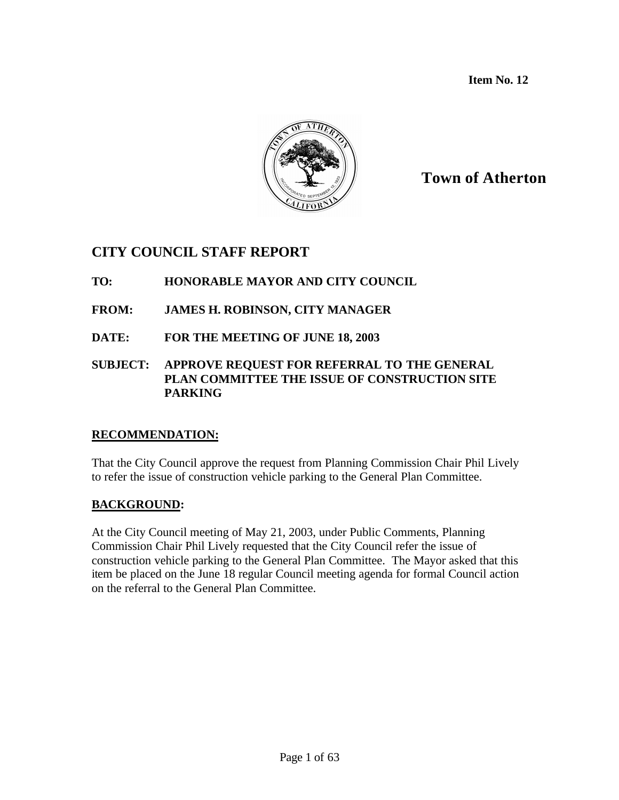**Item No. 12**



# **Town of Atherton**

# **CITY COUNCIL STAFF REPORT**

# **TO: HONORABLE MAYOR AND CITY COUNCIL**

# **FROM: JAMES H. ROBINSON, CITY MANAGER**

**DATE: FOR THE MEETING OF JUNE 18, 2003**

## **SUBJECT: APPROVE REQUEST FOR REFERRAL TO THE GENERAL PLAN COMMITTEE THE ISSUE OF CONSTRUCTION SITE PARKING**

## **RECOMMENDATION:**

That the City Council approve the request from Planning Commission Chair Phil Lively to refer the issue of construction vehicle parking to the General Plan Committee.

# **BACKGROUND:**

At the City Council meeting of May 21, 2003, under Public Comments, Planning Commission Chair Phil Lively requested that the City Council refer the issue of construction vehicle parking to the General Plan Committee. The Mayor asked that this item be placed on the June 18 regular Council meeting agenda for formal Council action on the referral to the General Plan Committee.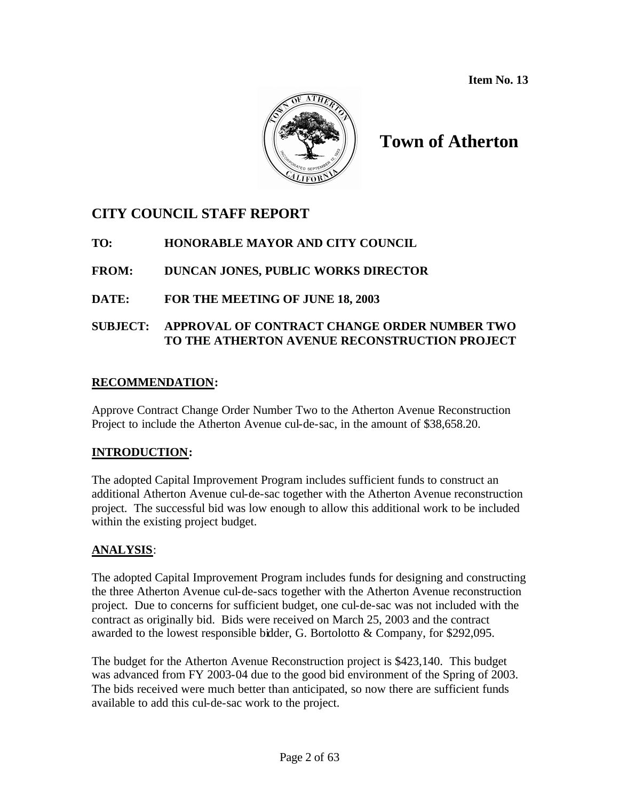**Item No. 13**



# **Town of Atherton**

# **CITY COUNCIL STAFF REPORT**

# **TO: HONORABLE MAYOR AND CITY COUNCIL**

# **FROM: DUNCAN JONES, PUBLIC WORKS DIRECTOR**

# **DATE: FOR THE MEETING OF JUNE 18, 2003**

# **SUBJECT: APPROVAL OF CONTRACT CHANGE ORDER NUMBER TWO TO THE ATHERTON AVENUE RECONSTRUCTION PROJECT**

## **RECOMMENDATION:**

Approve Contract Change Order Number Two to the Atherton Avenue Reconstruction Project to include the Atherton Avenue cul-de-sac, in the amount of \$38,658.20.

## **INTRODUCTION:**

The adopted Capital Improvement Program includes sufficient funds to construct an additional Atherton Avenue cul-de-sac together with the Atherton Avenue reconstruction project. The successful bid was low enough to allow this additional work to be included within the existing project budget.

## **ANALYSIS**:

The adopted Capital Improvement Program includes funds for designing and constructing the three Atherton Avenue cul-de-sacs together with the Atherton Avenue reconstruction project. Due to concerns for sufficient budget, one cul-de-sac was not included with the contract as originally bid. Bids were received on March 25, 2003 and the contract awarded to the lowest responsible bidder, G. Bortolotto & Company, for \$292,095.

The budget for the Atherton Avenue Reconstruction project is \$423,140. This budget was advanced from FY 2003-04 due to the good bid environment of the Spring of 2003. The bids received were much better than anticipated, so now there are sufficient funds available to add this cul-de-sac work to the project.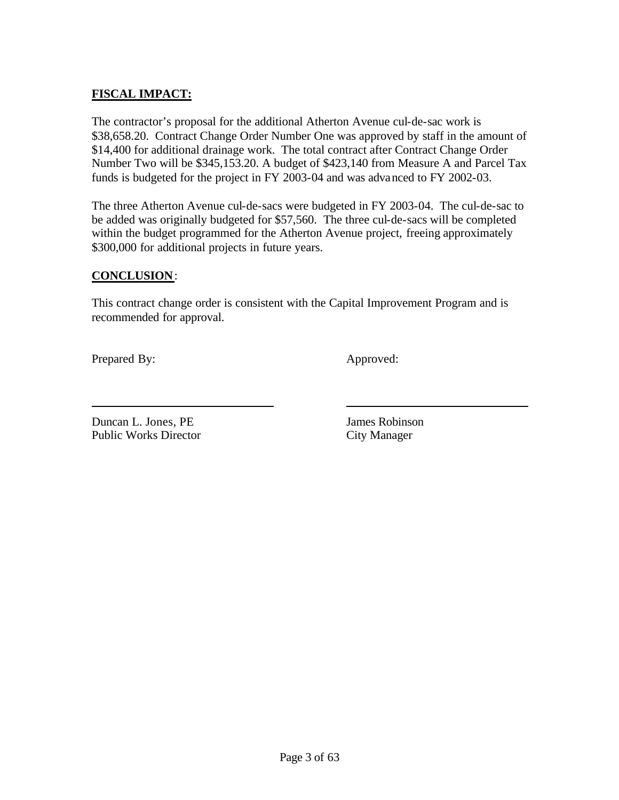# **FISCAL IMPACT:**

The contractor's proposal for the additional Atherton Avenue cul-de-sac work is \$38,658.20. Contract Change Order Number One was approved by staff in the amount of \$14,400 for additional drainage work. The total contract after Contract Change Order Number Two will be \$345,153.20. A budget of \$423,140 from Measure A and Parcel Tax funds is budgeted for the project in FY 2003-04 and was advanced to FY 2002-03.

The three Atherton Avenue cul-de-sacs were budgeted in FY 2003-04. The cul-de-sac to be added was originally budgeted for \$57,560. The three cul-de-sacs will be completed within the budget programmed for the Atherton Avenue project, freeing approximately \$300,000 for additional projects in future years.

### **CONCLUSION**:

This contract change order is consistent with the Capital Improvement Program and is recommended for approval.

Prepared By: Approved:

**Duncan L. Jones, PE** James Robinson Public Works Director City Manager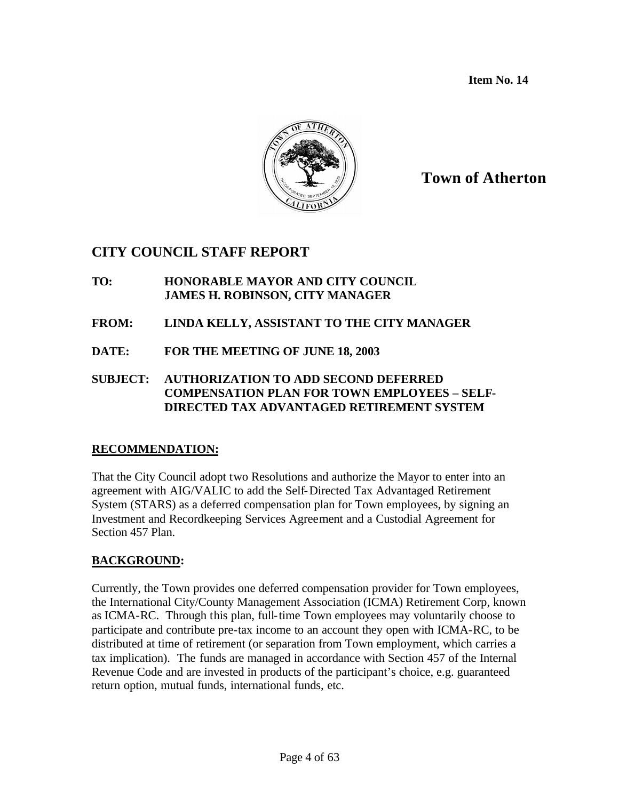**Item No. 14**



# **Town of Atherton**

# **CITY COUNCIL STAFF REPORT**

- **TO: HONORABLE MAYOR AND CITY COUNCIL JAMES H. ROBINSON, CITY MANAGER**
- **FROM: LINDA KELLY, ASSISTANT TO THE CITY MANAGER**
- **DATE: FOR THE MEETING OF JUNE 18, 2003**
- **SUBJECT: AUTHORIZATION TO ADD SECOND DEFERRED COMPENSATION PLAN FOR TOWN EMPLOYEES – SELF-DIRECTED TAX ADVANTAGED RETIREMENT SYSTEM**

## **RECOMMENDATION:**

That the City Council adopt two Resolutions and authorize the Mayor to enter into an agreement with AIG/VALIC to add the Self-Directed Tax Advantaged Retirement System (STARS) as a deferred compensation plan for Town employees, by signing an Investment and Recordkeeping Services Agreement and a Custodial Agreement for Section 457 Plan.

# **BACKGROUND:**

Currently, the Town provides one deferred compensation provider for Town employees, the International City/County Management Association (ICMA) Retirement Corp, known as ICMA-RC. Through this plan, full-time Town employees may voluntarily choose to participate and contribute pre-tax income to an account they open with ICMA-RC, to be distributed at time of retirement (or separation from Town employment, which carries a tax implication). The funds are managed in accordance with Section 457 of the Internal Revenue Code and are invested in products of the participant's choice, e.g. guaranteed return option, mutual funds, international funds, etc.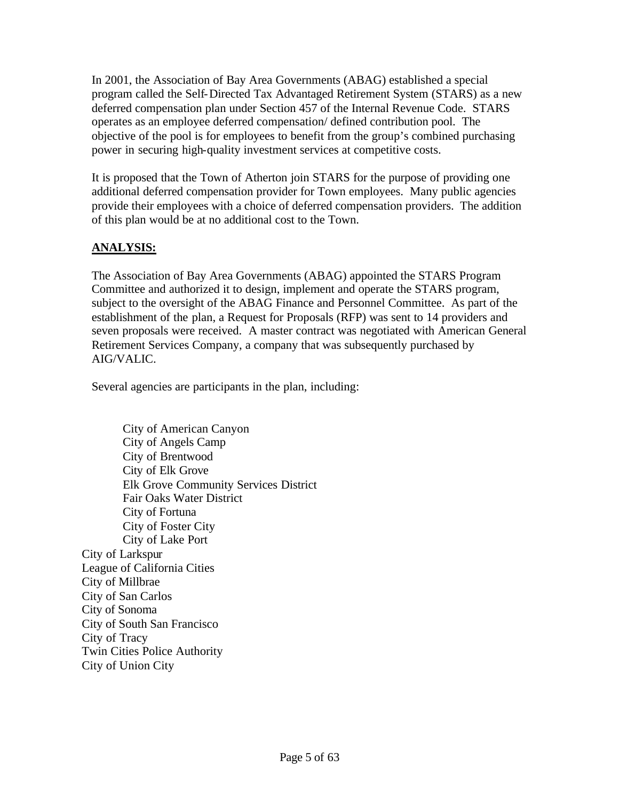In 2001, the Association of Bay Area Governments (ABAG) established a special program called the Self-Directed Tax Advantaged Retirement System (STARS) as a new deferred compensation plan under Section 457 of the Internal Revenue Code. STARS operates as an employee deferred compensation/ defined contribution pool. The objective of the pool is for employees to benefit from the group's combined purchasing power in securing high-quality investment services at competitive costs.

It is proposed that the Town of Atherton join STARS for the purpose of providing one additional deferred compensation provider for Town employees. Many public agencies provide their employees with a choice of deferred compensation providers. The addition of this plan would be at no additional cost to the Town.

# **ANALYSIS:**

The Association of Bay Area Governments (ABAG) appointed the STARS Program Committee and authorized it to design, implement and operate the STARS program, subject to the oversight of the ABAG Finance and Personnel Committee. As part of the establishment of the plan, a Request for Proposals (RFP) was sent to 14 providers and seven proposals were received. A master contract was negotiated with American General Retirement Services Company, a company that was subsequently purchased by AIG/VALIC.

Several agencies are participants in the plan, including:

City of American Canyon City of Angels Camp City of Brentwood City of Elk Grove Elk Grove Community Services District Fair Oaks Water District City of Fortuna City of Foster City City of Lake Port City of Larkspur League of California Cities City of Millbrae City of San Carlos City of Sonoma City of South San Francisco City of Tracy Twin Cities Police Authority City of Union City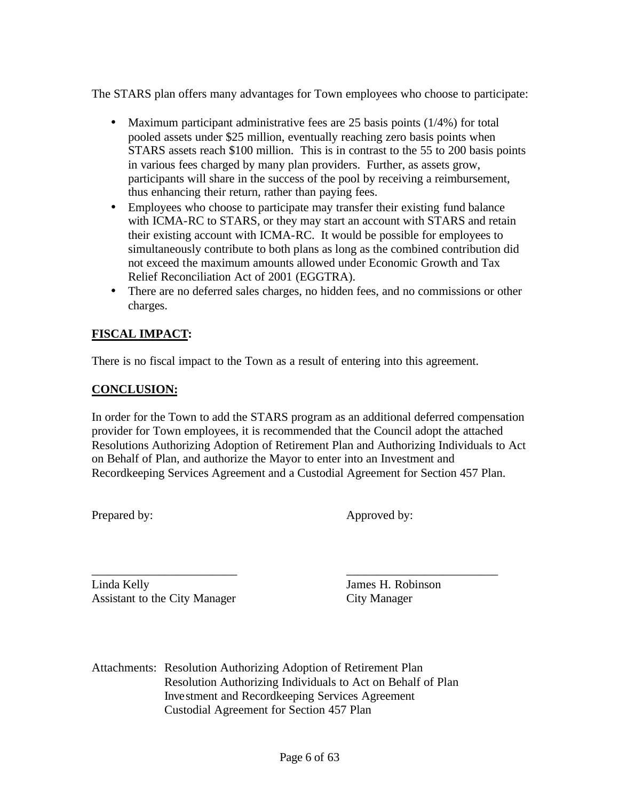The STARS plan offers many advantages for Town employees who choose to participate:

- Maximum participant administrative fees are 25 basis points (1/4%) for total pooled assets under \$25 million, eventually reaching zero basis points when STARS assets reach \$100 million. This is in contrast to the 55 to 200 basis points in various fees charged by many plan providers. Further, as assets grow, participants will share in the success of the pool by receiving a reimbursement, thus enhancing their return, rather than paying fees.
- Employees who choose to participate may transfer their existing fund balance with ICMA-RC to STARS, or they may start an account with STARS and retain their existing account with ICMA-RC. It would be possible for employees to simultaneously contribute to both plans as long as the combined contribution did not exceed the maximum amounts allowed under Economic Growth and Tax Relief Reconciliation Act of 2001 (EGGTRA).
- There are no deferred sales charges, no hidden fees, and no commissions or other charges.

# **FISCAL IMPACT:**

There is no fiscal impact to the Town as a result of entering into this agreement.

# **CONCLUSION:**

In order for the Town to add the STARS program as an additional deferred compensation provider for Town employees, it is recommended that the Council adopt the attached Resolutions Authorizing Adoption of Retirement Plan and Authorizing Individuals to Act on Behalf of Plan, and authorize the Mayor to enter into an Investment and Recordkeeping Services Agreement and a Custodial Agreement for Section 457 Plan.

\_\_\_\_\_\_\_\_\_\_\_\_\_\_\_\_\_\_\_\_\_\_\_\_ \_\_\_\_\_\_\_\_\_\_\_\_\_\_\_\_\_\_\_\_\_\_\_\_\_

Prepared by: Approved by:

Linda Kelly James H. Robinson Assistant to the City Manager City Manager

Attachments: Resolution Authorizing Adoption of Retirement Plan Resolution Authorizing Individuals to Act on Behalf of Plan Investment and Recordkeeping Services Agreement Custodial Agreement for Section 457 Plan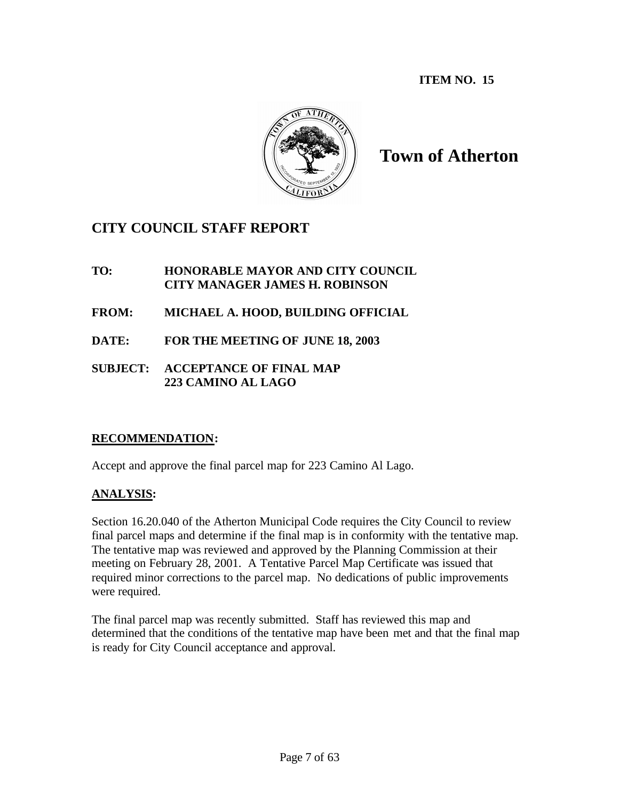**ITEM NO. 15**



**Town of Atherton**

# **CITY COUNCIL STAFF REPORT**

## **TO: HONORABLE MAYOR AND CITY COUNCIL CITY MANAGER JAMES H. ROBINSON**

- **FROM: MICHAEL A. HOOD, BUILDING OFFICIAL**
- **DATE: FOR THE MEETING OF JUNE 18, 2003**
- **SUBJECT: ACCEPTANCE OF FINAL MAP 223 CAMINO AL LAGO**

# **RECOMMENDATION:**

Accept and approve the final parcel map for 223 Camino Al Lago.

# **ANALYSIS:**

Section 16.20.040 of the Atherton Municipal Code requires the City Council to review final parcel maps and determine if the final map is in conformity with the tentative map. The tentative map was reviewed and approved by the Planning Commission at their meeting on February 28, 2001. A Tentative Parcel Map Certificate was issued that required minor corrections to the parcel map. No dedications of public improvements were required.

The final parcel map was recently submitted. Staff has reviewed this map and determined that the conditions of the tentative map have been met and that the final map is ready for City Council acceptance and approval.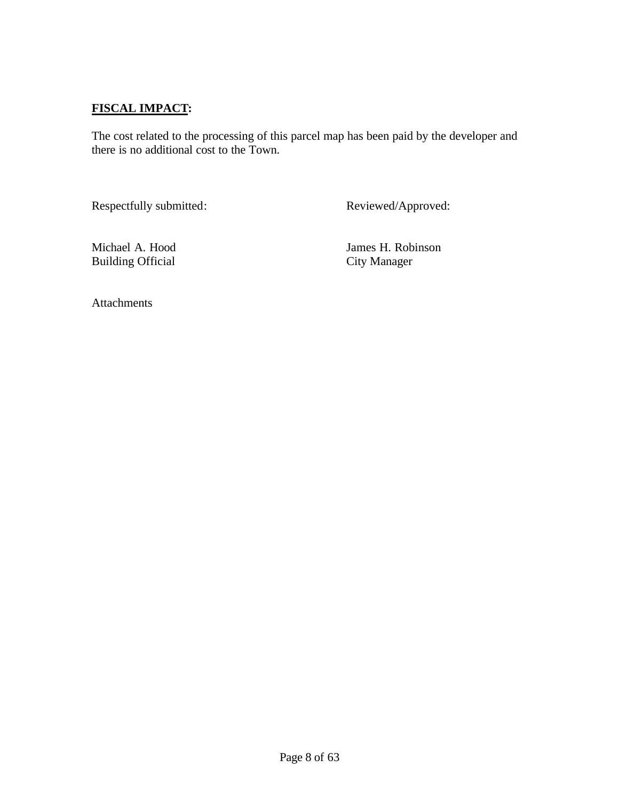# **FISCAL IMPACT:**

The cost related to the processing of this parcel map has been paid by the developer and there is no additional cost to the Town.

Respectfully submitted: Reviewed/Approved:

Building Official

Michael A. Hood James H. Robinson<br>Building Official City Manager

Attachments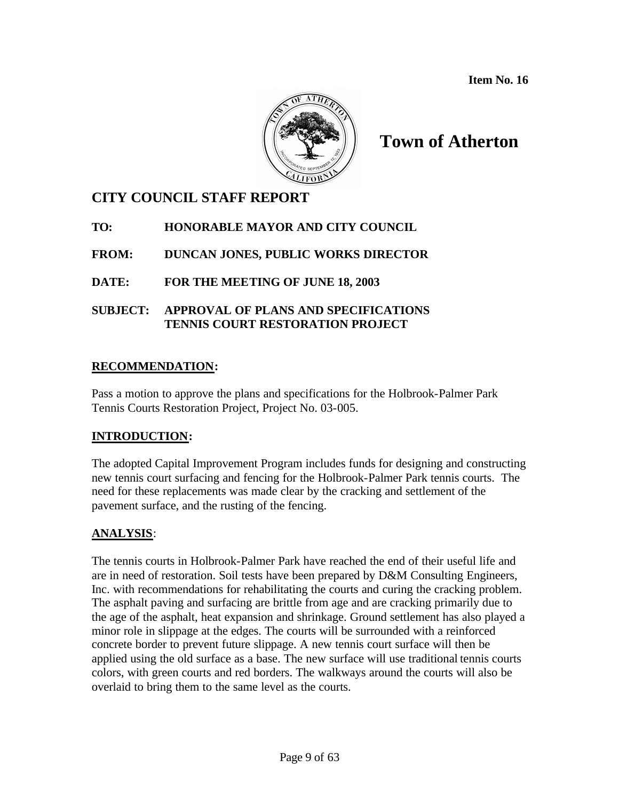**Item No. 16**



# **Town of Atherton**

# **CITY COUNCIL STAFF REPORT**

# **TO: HONORABLE MAYOR AND CITY COUNCIL**

**FROM: DUNCAN JONES, PUBLIC WORKS DIRECTOR**

**DATE: FOR THE MEETING OF JUNE 18, 2003**

**SUBJECT: APPROVAL OF PLANS AND SPECIFICATIONS TENNIS COURT RESTORATION PROJECT**

# **RECOMMENDATION:**

Pass a motion to approve the plans and specifications for the Holbrook-Palmer Park Tennis Courts Restoration Project, Project No. 03-005.

# **INTRODUCTION:**

The adopted Capital Improvement Program includes funds for designing and constructing new tennis court surfacing and fencing for the Holbrook-Palmer Park tennis courts. The need for these replacements was made clear by the cracking and settlement of the pavement surface, and the rusting of the fencing.

# **ANALYSIS**:

The tennis courts in Holbrook-Palmer Park have reached the end of their useful life and are in need of restoration. Soil tests have been prepared by D&M Consulting Engineers, Inc. with recommendations for rehabilitating the courts and curing the cracking problem. The asphalt paving and surfacing are brittle from age and are cracking primarily due to the age of the asphalt, heat expansion and shrinkage. Ground settlement has also played a minor role in slippage at the edges. The courts will be surrounded with a reinforced concrete border to prevent future slippage. A new tennis court surface will then be applied using the old surface as a base. The new surface will use traditional tennis courts colors, with green courts and red borders. The walkways around the courts will also be overlaid to bring them to the same level as the courts.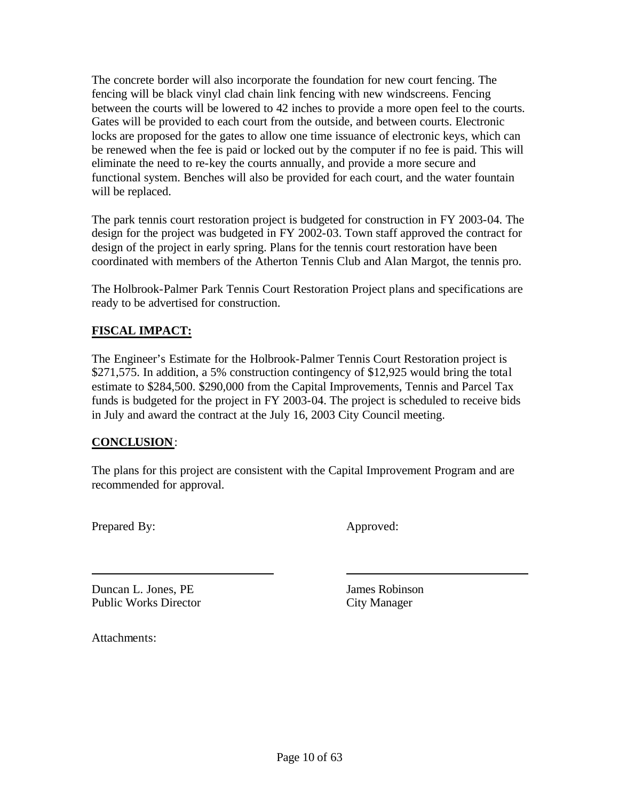The concrete border will also incorporate the foundation for new court fencing. The fencing will be black vinyl clad chain link fencing with new windscreens. Fencing between the courts will be lowered to 42 inches to provide a more open feel to the courts. Gates will be provided to each court from the outside, and between courts. Electronic locks are proposed for the gates to allow one time issuance of electronic keys, which can be renewed when the fee is paid or locked out by the computer if no fee is paid. This will eliminate the need to re-key the courts annually, and provide a more secure and functional system. Benches will also be provided for each court, and the water fountain will be replaced.

The park tennis court restoration project is budgeted for construction in FY 2003-04. The design for the project was budgeted in FY 2002-03. Town staff approved the contract for design of the project in early spring. Plans for the tennis court restoration have been coordinated with members of the Atherton Tennis Club and Alan Margot, the tennis pro.

The Holbrook-Palmer Park Tennis Court Restoration Project plans and specifications are ready to be advertised for construction.

## **FISCAL IMPACT:**

The Engineer's Estimate for the Holbrook-Palmer Tennis Court Restoration project is \$271,575. In addition, a 5% construction contingency of \$12,925 would bring the total estimate to \$284,500. \$290,000 from the Capital Improvements, Tennis and Parcel Tax funds is budgeted for the project in FY 2003-04. The project is scheduled to receive bids in July and award the contract at the July 16, 2003 City Council meeting.

## **CONCLUSION**:

The plans for this project are consistent with the Capital Improvement Program and are recommended for approval.

Prepared By: Approved:

**Duncan L. Jones, PE** James Robinson Public Works Director City Manager

Attachments: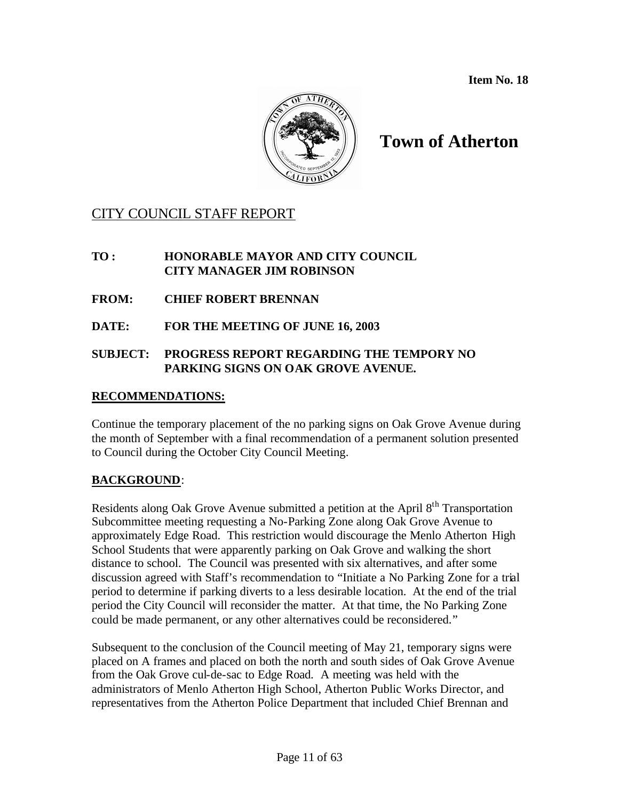**Item No. 18**



# **Town of Atherton**

# CITY COUNCIL STAFF REPORT

#### **TO : HONORABLE MAYOR AND CITY COUNCIL CITY MANAGER JIM ROBINSON**

- **FROM: CHIEF ROBERT BRENNAN**
- **DATE: FOR THE MEETING OF JUNE 16, 2003**

#### **SUBJECT: PROGRESS REPORT REGARDING THE TEMPORY NO PARKING SIGNS ON OAK GROVE AVENUE.**

#### **RECOMMENDATIONS:**

Continue the temporary placement of the no parking signs on Oak Grove Avenue during the month of September with a final recommendation of a permanent solution presented to Council during the October City Council Meeting.

#### **BACKGROUND**:

Residents along Oak Grove Avenue submitted a petition at the April 8<sup>th</sup> Transportation Subcommittee meeting requesting a No-Parking Zone along Oak Grove Avenue to approximately Edge Road. This restriction would discourage the Menlo Atherton High School Students that were apparently parking on Oak Grove and walking the short distance to school. The Council was presented with six alternatives, and after some discussion agreed with Staff's recommendation to "Initiate a No Parking Zone for a trial period to determine if parking diverts to a less desirable location. At the end of the trial period the City Council will reconsider the matter. At that time, the No Parking Zone could be made permanent, or any other alternatives could be reconsidered."

Subsequent to the conclusion of the Council meeting of May 21, temporary signs were placed on A frames and placed on both the north and south sides of Oak Grove Avenue from the Oak Grove cul-de-sac to Edge Road. A meeting was held with the administrators of Menlo Atherton High School, Atherton Public Works Director, and representatives from the Atherton Police Department that included Chief Brennan and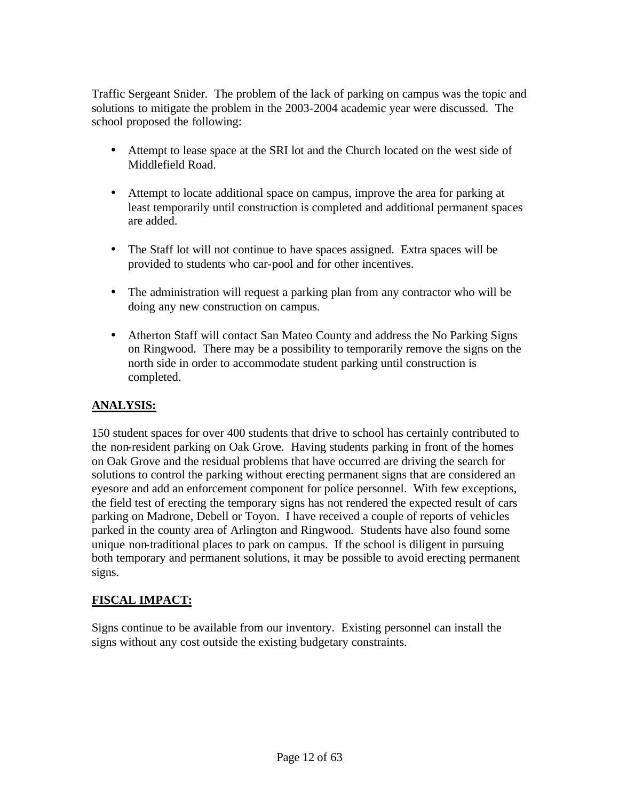Traffic Sergeant Snider. The problem of the lack of parking on campus was the topic and solutions to mitigate the problem in the 2003-2004 academic year were discussed. The school proposed the following:

- Attempt to lease space at the SRI lot and the Church located on the west side of Middlefield Road.
- Attempt to locate additional space on campus, improve the area for parking at least temporarily until construction is completed and additional permanent spaces are added.
- The Staff lot will not continue to have spaces assigned. Extra spaces will be provided to students who car-pool and for other incentives.
- The administration will request a parking plan from any contractor who will be doing any new construction on campus.
- Atherton Staff will contact San Mateo County and address the No Parking Signs on Ringwood. There may be a possibility to temporarily remove the signs on the north side in order to accommodate student parking until construction is completed.

#### **ANALYSIS:**

150 student spaces for over 400 students that drive to school has certainly contributed to the non-resident parking on Oak Grove. Having students parking in front of the homes on Oak Grove and the residual problems that have occurred are driving the search for solutions to control the parking without erecting permanent signs that are considered an eyesore and add an enforcement component for police personnel. With few exceptions, the field test of erecting the temporary signs has not rendered the expected result of cars parking on Madrone, Debell or Toyon. I have received a couple of reports of vehicles parked in the county area of Arlington and Ringwood. Students have also found some unique non-traditional places to park on campus. If the school is diligent in pursuing both temporary and permanent solutions, it may be possible to avoid erecting permanent signs.

### **FISCAL IMPACT:**

Signs continue to be available from our inventory. Existing personnel can install the signs without any cost outside the existing budgetary constraints.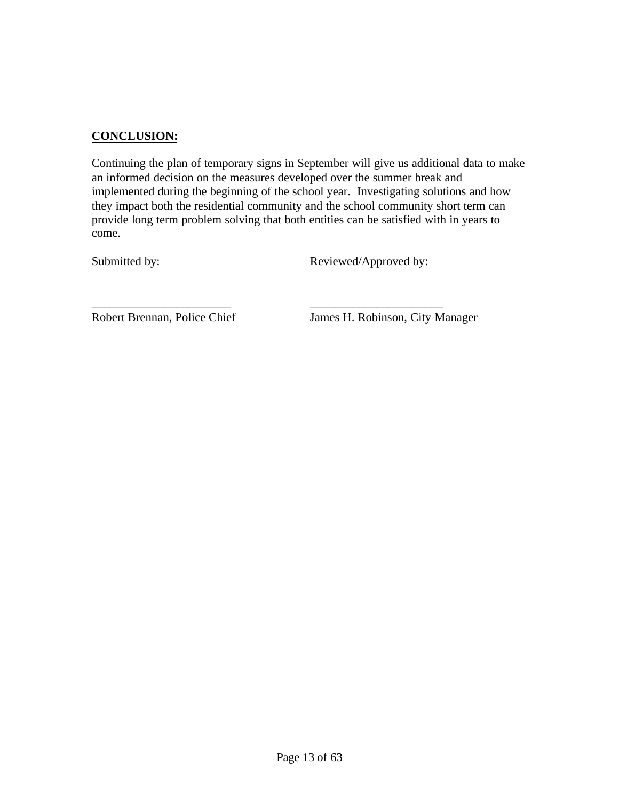#### **CONCLUSION:**

Continuing the plan of temporary signs in September will give us additional data to make an informed decision on the measures developed over the summer break and implemented during the beginning of the school year. Investigating solutions and how they impact both the residential community and the school community short term can provide long term problem solving that both entities can be satisfied with in years to come.

\_\_\_\_\_\_\_\_\_\_\_\_\_\_\_\_\_\_\_\_\_\_\_ \_\_\_\_\_\_\_\_\_\_\_\_\_\_\_\_\_\_\_\_\_\_

Submitted by: Reviewed/Approved by:

Robert Brennan, Police Chief James H. Robinson, City Manager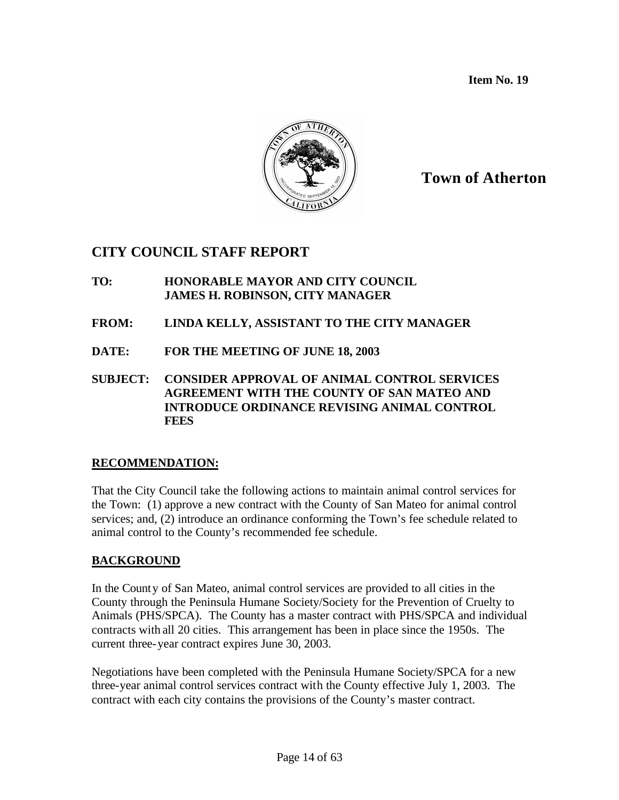**Item No. 19**



# **Town of Atherton**

# **CITY COUNCIL STAFF REPORT**

- **TO: HONORABLE MAYOR AND CITY COUNCIL JAMES H. ROBINSON, CITY MANAGER**
- **FROM: LINDA KELLY, ASSISTANT TO THE CITY MANAGER**
- **DATE: FOR THE MEETING OF JUNE 18, 2003**
- **SUBJECT: CONSIDER APPROVAL OF ANIMAL CONTROL SERVICES AGREEMENT WITH THE COUNTY OF SAN MATEO AND INTRODUCE ORDINANCE REVISING ANIMAL CONTROL FEES**

#### **RECOMMENDATION:**

That the City Council take the following actions to maintain animal control services for the Town: (1) approve a new contract with the County of San Mateo for animal control services; and, (2) introduce an ordinance conforming the Town's fee schedule related to animal control to the County's recommended fee schedule.

### **BACKGROUND**

In the County of San Mateo, animal control services are provided to all cities in the County through the Peninsula Humane Society/Society for the Prevention of Cruelty to Animals (PHS/SPCA). The County has a master contract with PHS/SPCA and individual contracts with all 20 cities. This arrangement has been in place since the 1950s. The current three-year contract expires June 30, 2003.

Negotiations have been completed with the Peninsula Humane Society/SPCA for a new three-year animal control services contract with the County effective July 1, 2003. The contract with each city contains the provisions of the County's master contract.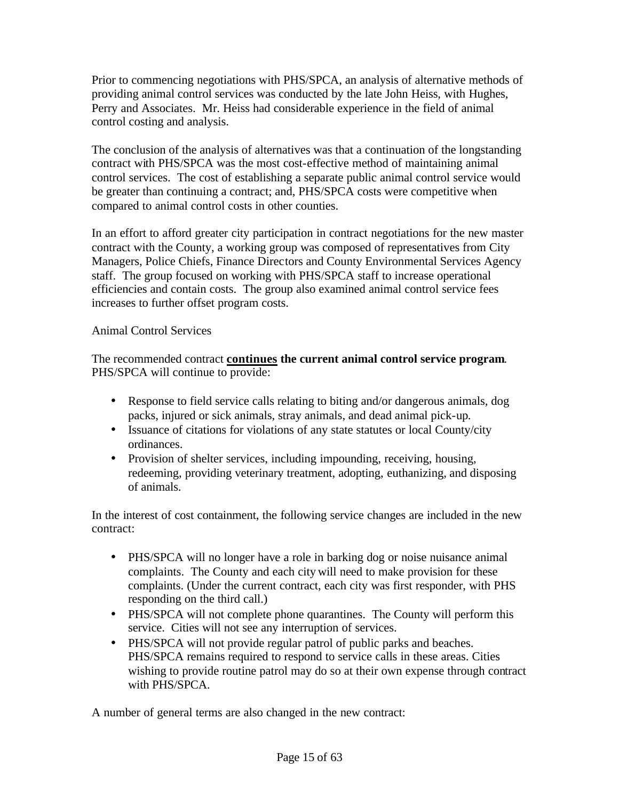Prior to commencing negotiations with PHS/SPCA, an analysis of alternative methods of providing animal control services was conducted by the late John Heiss, with Hughes, Perry and Associates. Mr. Heiss had considerable experience in the field of animal control costing and analysis.

The conclusion of the analysis of alternatives was that a continuation of the longstanding contract with PHS/SPCA was the most cost-effective method of maintaining animal control services. The cost of establishing a separate public animal control service would be greater than continuing a contract; and, PHS/SPCA costs were competitive when compared to animal control costs in other counties.

In an effort to afford greater city participation in contract negotiations for the new master contract with the County, a working group was composed of representatives from City Managers, Police Chiefs, Finance Directors and County Environmental Services Agency staff. The group focused on working with PHS/SPCA staff to increase operational efficiencies and contain costs. The group also examined animal control service fees increases to further offset program costs.

Animal Control Services

The recommended contract **continues the current animal control service program**. PHS/SPCA will continue to provide:

- Response to field service calls relating to biting and/or dangerous animals, dog packs, injured or sick animals, stray animals, and dead animal pick-up.
- Issuance of citations for violations of any state statutes or local County/city ordinances.
- Provision of shelter services, including impounding, receiving, housing, redeeming, providing veterinary treatment, adopting, euthanizing, and disposing of animals.

In the interest of cost containment, the following service changes are included in the new contract:

- PHS/SPCA will no longer have a role in barking dog or noise nuisance animal complaints. The County and each city will need to make provision for these complaints. (Under the current contract, each city was first responder, with PHS responding on the third call.)
- PHS/SPCA will not complete phone quarantines. The County will perform this service. Cities will not see any interruption of services.
- PHS/SPCA will not provide regular patrol of public parks and beaches. PHS/SPCA remains required to respond to service calls in these areas. Cities wishing to provide routine patrol may do so at their own expense through contract with PHS/SPCA.

A number of general terms are also changed in the new contract: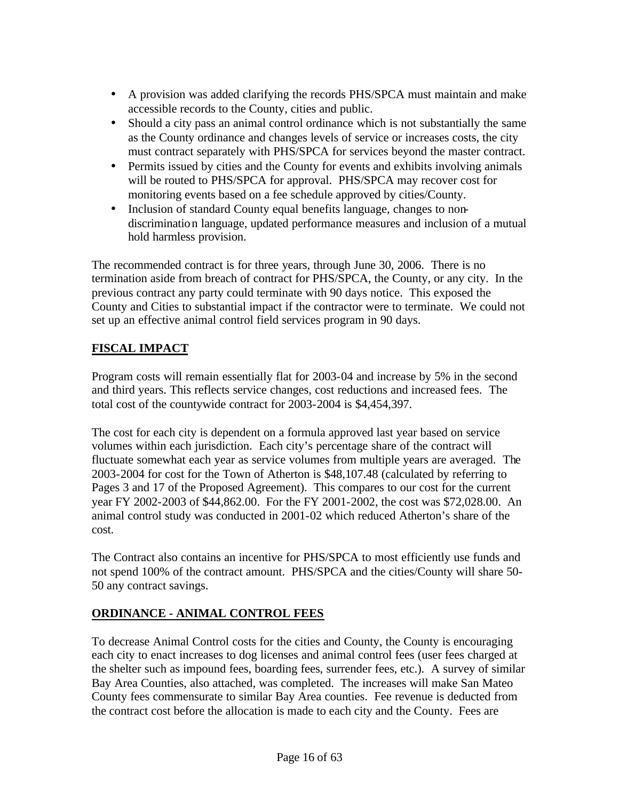- A provision was added clarifying the records PHS/SPCA must maintain and make accessible records to the County, cities and public.
- Should a city pass an animal control ordinance which is not substantially the same as the County ordinance and changes levels of service or increases costs, the city must contract separately with PHS/SPCA for services beyond the master contract.
- Permits issued by cities and the County for events and exhibits involving animals will be routed to PHS/SPCA for approval. PHS/SPCA may recover cost for monitoring events based on a fee schedule approved by cities/County.
- Inclusion of standard County equal benefits language, changes to nondiscrimination language, updated performance measures and inclusion of a mutual hold harmless provision.

The recommended contract is for three years, through June 30, 2006. There is no termination aside from breach of contract for PHS/SPCA, the County, or any city. In the previous contract any party could terminate with 90 days notice. This exposed the County and Cities to substantial impact if the contractor were to terminate. We could not set up an effective animal control field services program in 90 days.

# **FISCAL IMPACT**

Program costs will remain essentially flat for 2003-04 and increase by 5% in the second and third years. This reflects service changes, cost reductions and increased fees. The total cost of the countywide contract for 2003-2004 is \$4,454,397.

The cost for each city is dependent on a formula approved last year based on service volumes within each jurisdiction. Each city's percentage share of the contract will fluctuate somewhat each year as service volumes from multiple years are averaged. The 2003-2004 for cost for the Town of Atherton is \$48,107.48 (calculated by referring to Pages 3 and 17 of the Proposed Agreement). This compares to our cost for the current year FY 2002-2003 of \$44,862.00. For the FY 2001-2002, the cost was \$72,028.00. An animal control study was conducted in 2001-02 which reduced Atherton's share of the cost.

The Contract also contains an incentive for PHS/SPCA to most efficiently use funds and not spend 100% of the contract amount. PHS/SPCA and the cities/County will share 50- 50 any contract savings.

# **ORDINANCE - ANIMAL CONTROL FEES**

To decrease Animal Control costs for the cities and County, the County is encouraging each city to enact increases to dog licenses and animal control fees (user fees charged at the shelter such as impound fees, boarding fees, surrender fees, etc.). A survey of similar Bay Area Counties, also attached, was completed. The increases will make San Mateo County fees commensurate to similar Bay Area counties. Fee revenue is deducted from the contract cost before the allocation is made to each city and the County. Fees are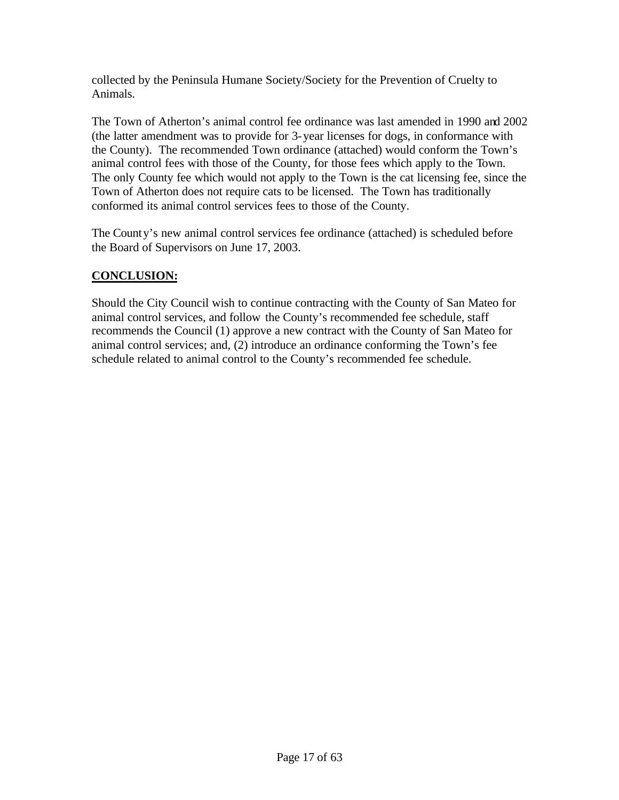collected by the Peninsula Humane Society/Society for the Prevention of Cruelty to Animals.

The Town of Atherton's animal control fee ordinance was last amended in 1990 and 2002 (the latter amendment was to provide for 3-year licenses for dogs, in conformance with the County). The recommended Town ordinance (attached) would conform the Town's animal control fees with those of the County, for those fees which apply to the Town. The only County fee which would not apply to the Town is the cat licensing fee, since the Town of Atherton does not require cats to be licensed. The Town has traditionally conformed its animal control services fees to those of the County.

The County's new animal control services fee ordinance (attached) is scheduled before the Board of Supervisors on June 17, 2003.

### **CONCLUSION:**

Should the City Council wish to continue contracting with the County of San Mateo for animal control services, and follow the County's recommended fee schedule, staff recommends the Council (1) approve a new contract with the County of San Mateo for animal control services; and, (2) introduce an ordinance conforming the Town's fee schedule related to animal control to the County's recommended fee schedule.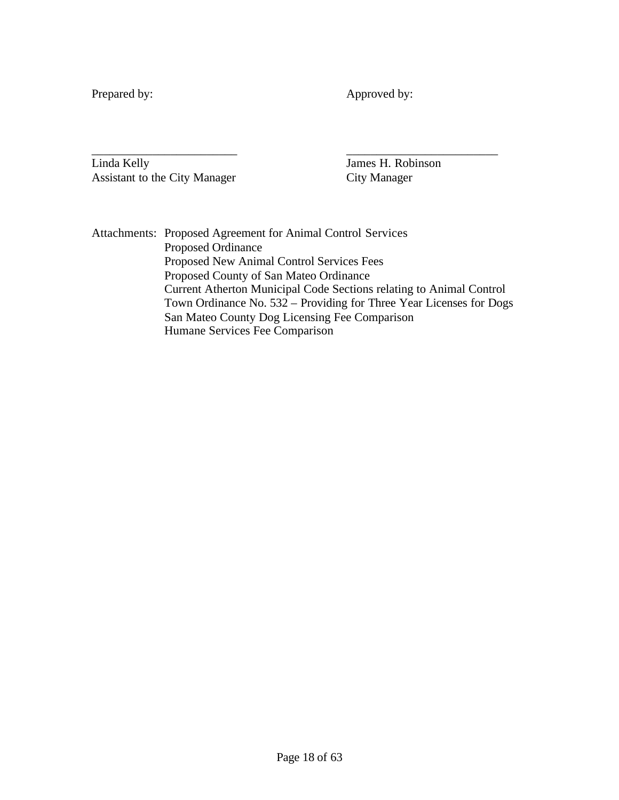Prepared by: Approved by:

\_\_\_\_\_\_\_\_\_\_\_\_\_\_\_\_\_\_\_\_\_\_\_\_ \_\_\_\_\_\_\_\_\_\_\_\_\_\_\_\_\_\_\_\_\_\_\_\_\_ Linda Kelly James H. Robinson Assistant to the City Manager City Manager

Attachments: Proposed Agreement for Animal Control Services Proposed Ordinance Proposed New Animal Control Services Fees Proposed County of San Mateo Ordinance Current Atherton Municipal Code Sections relating to Animal Control Town Ordinance No. 532 – Providing for Three Year Licenses for Dogs San Mateo County Dog Licensing Fee Comparison Humane Services Fee Comparison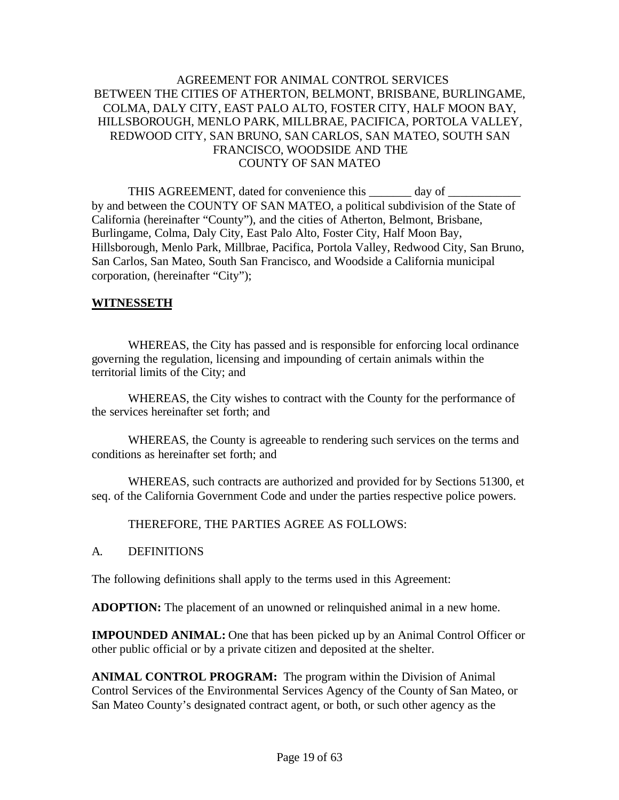#### AGREEMENT FOR ANIMAL CONTROL SERVICES BETWEEN THE CITIES OF ATHERTON, BELMONT, BRISBANE, BURLINGAME, COLMA, DALY CITY, EAST PALO ALTO, FOSTER CITY, HALF MOON BAY, HILLSBOROUGH, MENLO PARK, MILLBRAE, PACIFICA, PORTOLA VALLEY, REDWOOD CITY, SAN BRUNO, SAN CARLOS, SAN MATEO, SOUTH SAN FRANCISCO, WOODSIDE AND THE COUNTY OF SAN MATEO

THIS AGREEMENT, dated for convenience this day of by and between the COUNTY OF SAN MATEO, a political subdivision of the State of California (hereinafter "County"), and the cities of Atherton, Belmont, Brisbane, Burlingame, Colma, Daly City, East Palo Alto, Foster City, Half Moon Bay, Hillsborough, Menlo Park, Millbrae, Pacifica, Portola Valley, Redwood City, San Bruno, San Carlos, San Mateo, South San Francisco, and Woodside a California municipal corporation, (hereinafter "City");

#### **WITNESSETH**

WHEREAS, the City has passed and is responsible for enforcing local ordinance governing the regulation, licensing and impounding of certain animals within the territorial limits of the City; and

WHEREAS, the City wishes to contract with the County for the performance of the services hereinafter set forth; and

WHEREAS, the County is agreeable to rendering such services on the terms and conditions as hereinafter set forth; and

WHEREAS, such contracts are authorized and provided for by Sections 51300, et seq. of the California Government Code and under the parties respective police powers.

THEREFORE, THE PARTIES AGREE AS FOLLOWS:

#### A. DEFINITIONS

The following definitions shall apply to the terms used in this Agreement:

**ADOPTION:** The placement of an unowned or relinquished animal in a new home.

**IMPOUNDED ANIMAL:** One that has been picked up by an Animal Control Officer or other public official or by a private citizen and deposited at the shelter.

**ANIMAL CONTROL PROGRAM:** The program within the Division of Animal Control Services of the Environmental Services Agency of the County of San Mateo, or San Mateo County's designated contract agent, or both, or such other agency as the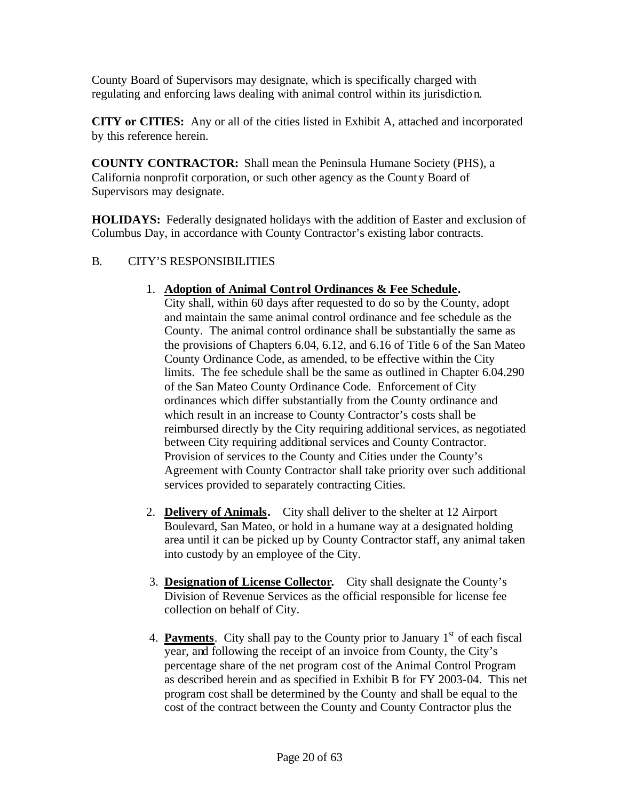County Board of Supervisors may designate, which is specifically charged with regulating and enforcing laws dealing with animal control within its jurisdiction.

**CITY or CITIES:** Any or all of the cities listed in Exhibit A, attached and incorporated by this reference herein.

**COUNTY CONTRACTOR:** Shall mean the Peninsula Humane Society (PHS), a California nonprofit corporation, or such other agency as the County Board of Supervisors may designate.

**HOLIDAYS:** Federally designated holidays with the addition of Easter and exclusion of Columbus Day, in accordance with County Contractor's existing labor contracts.

#### B. CITY'S RESPONSIBILITIES

#### 1. **Adoption of Animal Cont rol Ordinances & Fee Schedule.**

City shall, within 60 days after requested to do so by the County, adopt and maintain the same animal control ordinance and fee schedule as the County. The animal control ordinance shall be substantially the same as the provisions of Chapters 6.04, 6.12, and 6.16 of Title 6 of the San Mateo County Ordinance Code, as amended, to be effective within the City limits. The fee schedule shall be the same as outlined in Chapter 6.04.290 of the San Mateo County Ordinance Code. Enforcement of City ordinances which differ substantially from the County ordinance and which result in an increase to County Contractor's costs shall be reimbursed directly by the City requiring additional services, as negotiated between City requiring additional services and County Contractor. Provision of services to the County and Cities under the County's Agreement with County Contractor shall take priority over such additional services provided to separately contracting Cities.

- 2. **Delivery of Animals.** City shall deliver to the shelter at 12 Airport Boulevard, San Mateo, or hold in a humane way at a designated holding area until it can be picked up by County Contractor staff, any animal taken into custody by an employee of the City.
- 3. **Designation of License Collector.** City shall designate the County's Division of Revenue Services as the official responsible for license fee collection on behalf of City.
- 4. **Payments**. City shall pay to the County prior to January 1<sup>st</sup> of each fiscal year, and following the receipt of an invoice from County, the City's percentage share of the net program cost of the Animal Control Program as described herein and as specified in Exhibit B for FY 2003-04. This net program cost shall be determined by the County and shall be equal to the cost of the contract between the County and County Contractor plus the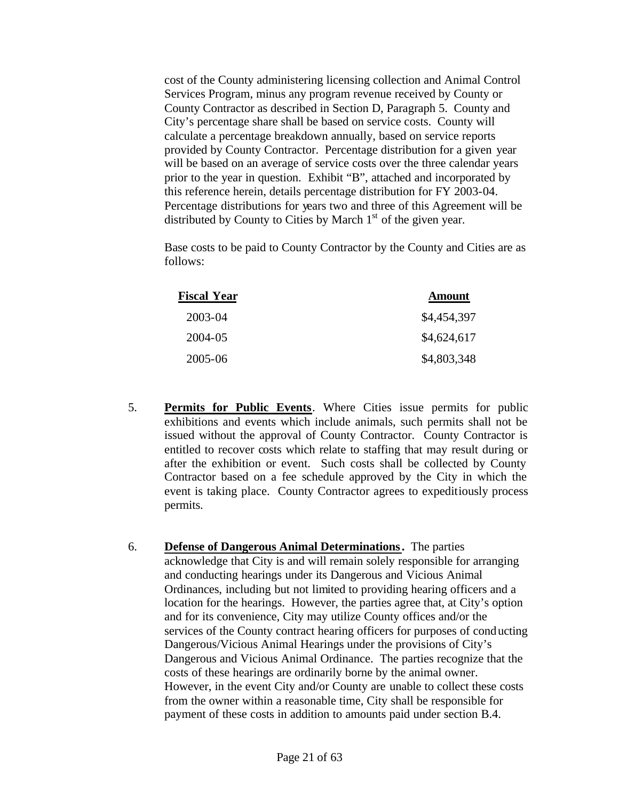cost of the County administering licensing collection and Animal Control Services Program, minus any program revenue received by County or County Contractor as described in Section D, Paragraph 5. County and City's percentage share shall be based on service costs. County will calculate a percentage breakdown annually, based on service reports provided by County Contractor. Percentage distribution for a given year will be based on an average of service costs over the three calendar years prior to the year in question. Exhibit "B", attached and incorporated by this reference herein, details percentage distribution for FY 2003-04. Percentage distributions for years two and three of this Agreement will be distributed by County to Cities by March  $1<sup>st</sup>$  of the given year.

Base costs to be paid to County Contractor by the County and Cities are as follows:

| Fiscal Year | <b>Amount</b> |
|-------------|---------------|
| 2003-04     | \$4,454,397   |
| 2004-05     | \$4,624,617   |
| 2005-06     | \$4,803,348   |

- 5. **Permits for Public Events**. Where Cities issue permits for public exhibitions and events which include animals, such permits shall not be issued without the approval of County Contractor. County Contractor is entitled to recover costs which relate to staffing that may result during or after the exhibition or event. Such costs shall be collected by County Contractor based on a fee schedule approved by the City in which the event is taking place. County Contractor agrees to expeditiously process permits.
- 6. **Defense of Dangerous Animal Determinations.** The parties acknowledge that City is and will remain solely responsible for arranging and conducting hearings under its Dangerous and Vicious Animal Ordinances, including but not limited to providing hearing officers and a location for the hearings. However, the parties agree that, at City's option and for its convenience, City may utilize County offices and/or the services of the County contract hearing officers for purposes of conducting Dangerous/Vicious Animal Hearings under the provisions of City's Dangerous and Vicious Animal Ordinance. The parties recognize that the costs of these hearings are ordinarily borne by the animal owner. However, in the event City and/or County are unable to collect these costs from the owner within a reasonable time, City shall be responsible for payment of these costs in addition to amounts paid under section B.4.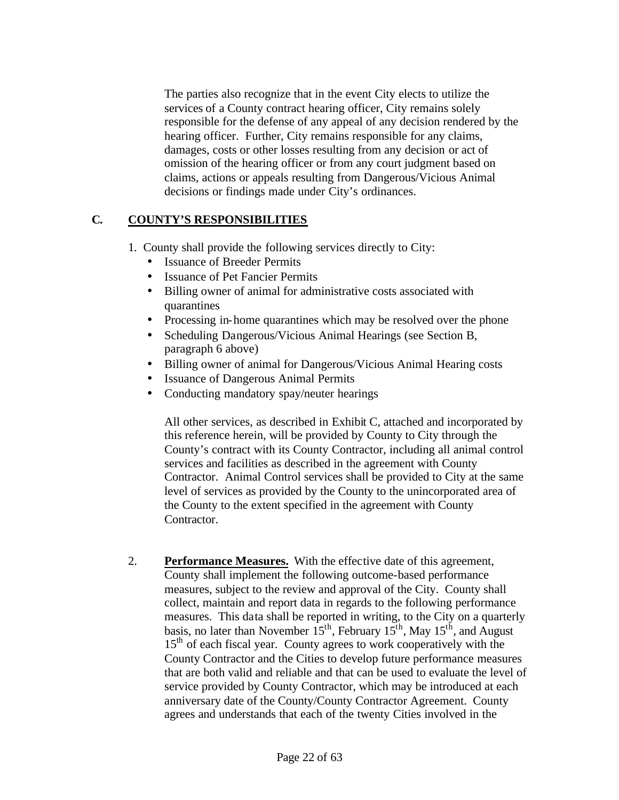The parties also recognize that in the event City elects to utilize the services of a County contract hearing officer, City remains solely responsible for the defense of any appeal of any decision rendered by the hearing officer. Further, City remains responsible for any claims, damages, costs or other losses resulting from any decision or act of omission of the hearing officer or from any court judgment based on claims, actions or appeals resulting from Dangerous/Vicious Animal decisions or findings made under City's ordinances.

#### **C. COUNTY'S RESPONSIBILITIES**

- 1. County shall provide the following services directly to City:
	- Issuance of Breeder Permits
	- **Issuance of Pet Fancier Permits**
	- Billing owner of animal for administrative costs associated with quarantines
	- Processing in-home quarantines which may be resolved over the phone
	- Scheduling Dangerous/Vicious Animal Hearings (see Section B, paragraph 6 above)
	- Billing owner of animal for Dangerous/Vicious Animal Hearing costs
	- Issuance of Dangerous Animal Permits
	- Conducting mandatory spay/neuter hearings

All other services, as described in Exhibit C, attached and incorporated by this reference herein, will be provided by County to City through the County's contract with its County Contractor, including all animal control services and facilities as described in the agreement with County Contractor. Animal Control services shall be provided to City at the same level of services as provided by the County to the unincorporated area of the County to the extent specified in the agreement with County Contractor.

2. **Performance Measures.** With the effective date of this agreement, County shall implement the following outcome-based performance measures, subject to the review and approval of the City. County shall collect, maintain and report data in regards to the following performance measures. This data shall be reported in writing, to the City on a quarterly basis, no later than November  $15^{th}$ , February  $15^{th}$ , May  $15^{th}$ , and August 15<sup>th</sup> of each fiscal year. County agrees to work cooperatively with the County Contractor and the Cities to develop future performance measures that are both valid and reliable and that can be used to evaluate the level of service provided by County Contractor, which may be introduced at each anniversary date of the County/County Contractor Agreement. County agrees and understands that each of the twenty Cities involved in the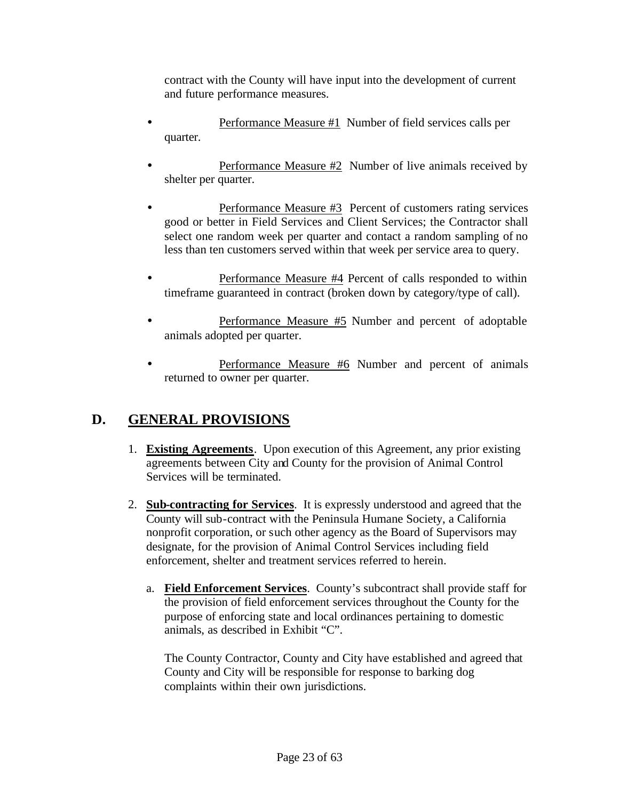contract with the County will have input into the development of current and future performance measures.

- Performance Measure #1 Number of field services calls per quarter.
- Performance Measure #2 Number of live animals received by shelter per quarter.
- Performance Measure #3 Percent of customers rating services good or better in Field Services and Client Services; the Contractor shall select one random week per quarter and contact a random sampling of no less than ten customers served within that week per service area to query.
- Performance Measure #4 Percent of calls responded to within timeframe guaranteed in contract (broken down by category/type of call).
- Performance Measure #5 Number and percent of adoptable animals adopted per quarter.
- Performance Measure #6 Number and percent of animals returned to owner per quarter.

# **D. GENERAL PROVISIONS**

- 1. **Existing Agreements**. Upon execution of this Agreement, any prior existing agreements between City and County for the provision of Animal Control Services will be terminated.
- 2. **Sub-contracting for Services**. It is expressly understood and agreed that the County will sub-contract with the Peninsula Humane Society, a California nonprofit corporation, or such other agency as the Board of Supervisors may designate, for the provision of Animal Control Services including field enforcement, shelter and treatment services referred to herein.
	- a. **Field Enforcement Services**. County's subcontract shall provide staff for the provision of field enforcement services throughout the County for the purpose of enforcing state and local ordinances pertaining to domestic animals, as described in Exhibit "C".

The County Contractor, County and City have established and agreed that County and City will be responsible for response to barking dog complaints within their own jurisdictions.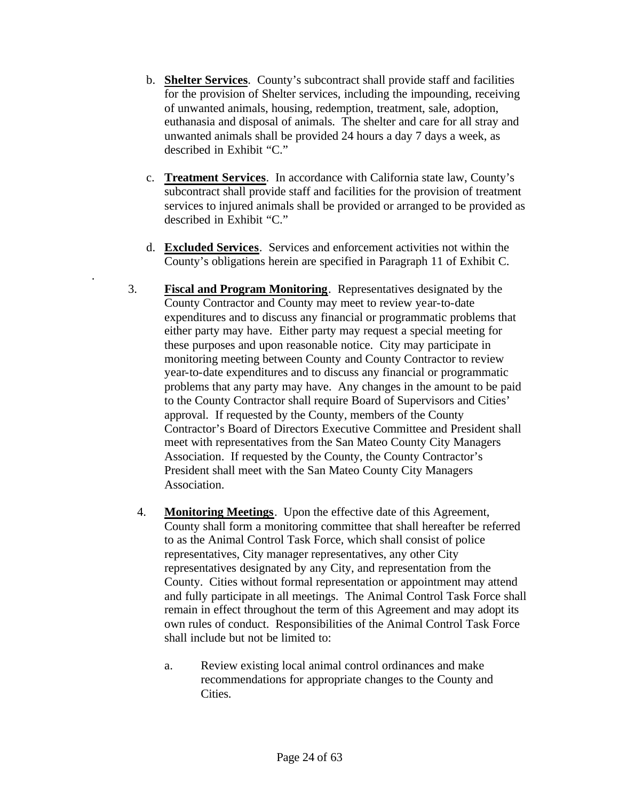- b. **Shelter Services**. County's subcontract shall provide staff and facilities for the provision of Shelter services, including the impounding, receiving of unwanted animals, housing, redemption, treatment, sale, adoption, euthanasia and disposal of animals. The shelter and care for all stray and unwanted animals shall be provided 24 hours a day 7 days a week, as described in Exhibit "C."
- c. **Treatment Services**. In accordance with California state law, County's subcontract shall provide staff and facilities for the provision of treatment services to injured animals shall be provided or arranged to be provided as described in Exhibit "C."
- d. **Excluded Services**. Services and enforcement activities not within the County's obligations herein are specified in Paragraph 11 of Exhibit C.

.

- 3. **Fiscal and Program Monitoring**. Representatives designated by the County Contractor and County may meet to review year-to-date expenditures and to discuss any financial or programmatic problems that either party may have. Either party may request a special meeting for these purposes and upon reasonable notice. City may participate in monitoring meeting between County and County Contractor to review year-to-date expenditures and to discuss any financial or programmatic problems that any party may have. Any changes in the amount to be paid to the County Contractor shall require Board of Supervisors and Cities' approval. If requested by the County, members of the County Contractor's Board of Directors Executive Committee and President shall meet with representatives from the San Mateo County City Managers Association. If requested by the County, the County Contractor's President shall meet with the San Mateo County City Managers Association.
	- 4. **Monitoring Meetings**. Upon the effective date of this Agreement, County shall form a monitoring committee that shall hereafter be referred to as the Animal Control Task Force, which shall consist of police representatives, City manager representatives, any other City representatives designated by any City, and representation from the County. Cities without formal representation or appointment may attend and fully participate in all meetings. The Animal Control Task Force shall remain in effect throughout the term of this Agreement and may adopt its own rules of conduct. Responsibilities of the Animal Control Task Force shall include but not be limited to:
		- a. Review existing local animal control ordinances and make recommendations for appropriate changes to the County and Cities.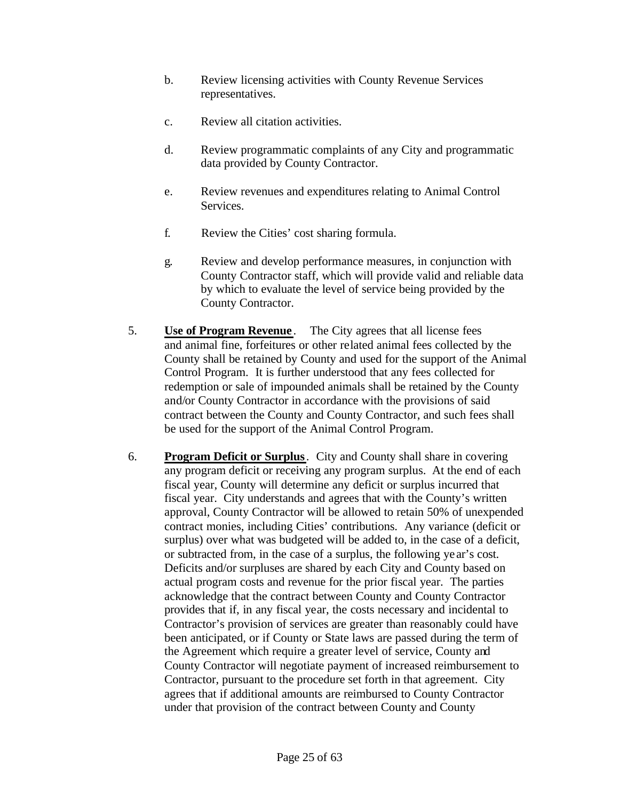- b. Review licensing activities with County Revenue Services representatives.
- c. Review all citation activities.
- d. Review programmatic complaints of any City and programmatic data provided by County Contractor.
- e. Review revenues and expenditures relating to Animal Control Services.
- f. Review the Cities' cost sharing formula.
- g. Review and develop performance measures, in conjunction with County Contractor staff, which will provide valid and reliable data by which to evaluate the level of service being provided by the County Contractor.
- 5. **Use of Program Revenue** . The City agrees that all license fees and animal fine, forfeitures or other related animal fees collected by the County shall be retained by County and used for the support of the Animal Control Program. It is further understood that any fees collected for redemption or sale of impounded animals shall be retained by the County and/or County Contractor in accordance with the provisions of said contract between the County and County Contractor, and such fees shall be used for the support of the Animal Control Program.
- 6. **Program Deficit or Surplus**. City and County shall share in covering any program deficit or receiving any program surplus. At the end of each fiscal year, County will determine any deficit or surplus incurred that fiscal year. City understands and agrees that with the County's written approval, County Contractor will be allowed to retain 50% of unexpended contract monies, including Cities' contributions. Any variance (deficit or surplus) over what was budgeted will be added to, in the case of a deficit, or subtracted from, in the case of a surplus, the following ye ar's cost. Deficits and/or surpluses are shared by each City and County based on actual program costs and revenue for the prior fiscal year. The parties acknowledge that the contract between County and County Contractor provides that if, in any fiscal year, the costs necessary and incidental to Contractor's provision of services are greater than reasonably could have been anticipated, or if County or State laws are passed during the term of the Agreement which require a greater level of service, County and County Contractor will negotiate payment of increased reimbursement to Contractor, pursuant to the procedure set forth in that agreement. City agrees that if additional amounts are reimbursed to County Contractor under that provision of the contract between County and County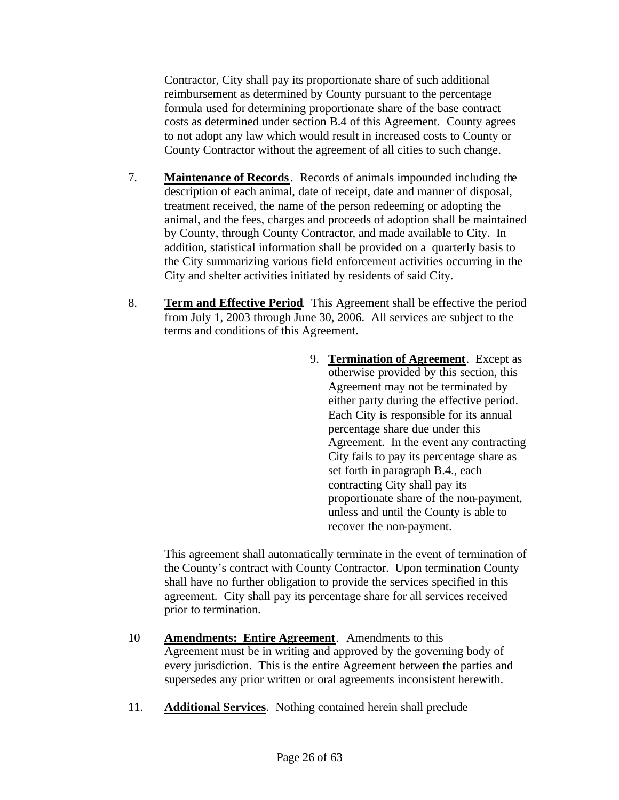Contractor, City shall pay its proportionate share of such additional reimbursement as determined by County pursuant to the percentage formula used for determining proportionate share of the base contract costs as determined under section B.4 of this Agreement. County agrees to not adopt any law which would result in increased costs to County or County Contractor without the agreement of all cities to such change.

- 7. **Maintenance of Records**. Records of animals impounded including the description of each animal, date of receipt, date and manner of disposal, treatment received, the name of the person redeeming or adopting the animal, and the fees, charges and proceeds of adoption shall be maintained by County, through County Contractor, and made available to City. In addition, statistical information shall be provided on a-quarterly basis to the City summarizing various field enforcement activities occurring in the City and shelter activities initiated by residents of said City.
- 8. **Term and Effective Period**. This Agreement shall be effective the period from July 1, 2003 through June 30, 2006. All services are subject to the terms and conditions of this Agreement.
	- 9. **Termination of Agreement**. Except as otherwise provided by this section, this Agreement may not be terminated by either party during the effective period. Each City is responsible for its annual percentage share due under this Agreement. In the event any contracting City fails to pay its percentage share as set forth in paragraph B.4., each contracting City shall pay its proportionate share of the non-payment, unless and until the County is able to recover the non-payment.

This agreement shall automatically terminate in the event of termination of the County's contract with County Contractor. Upon termination County shall have no further obligation to provide the services specified in this agreement. City shall pay its percentage share for all services received prior to termination.

- 10 **Amendments: Entire Agreement**. Amendments to this Agreement must be in writing and approved by the governing body of every jurisdiction. This is the entire Agreement between the parties and supersedes any prior written or oral agreements inconsistent herewith.
- 11. **Additional Services**. Nothing contained herein shall preclude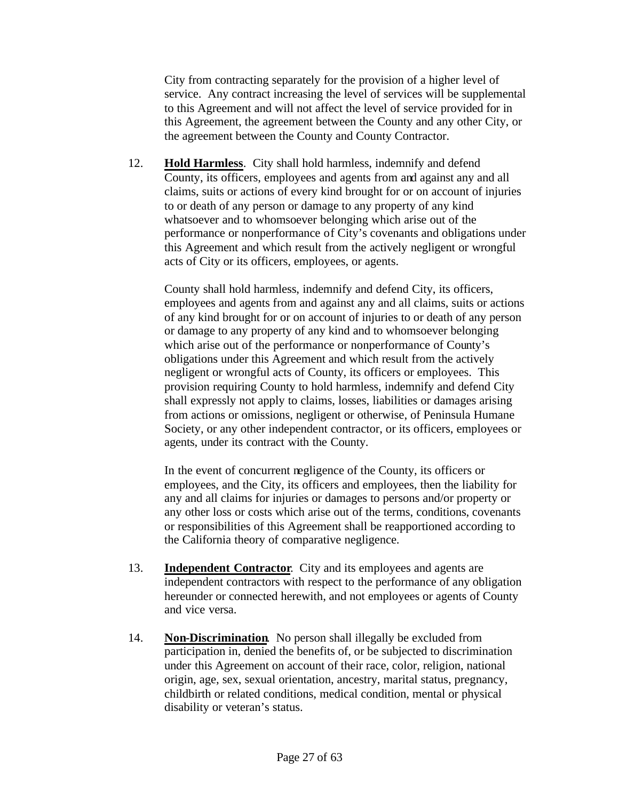City from contracting separately for the provision of a higher level of service. Any contract increasing the level of services will be supplemental to this Agreement and will not affect the level of service provided for in this Agreement, the agreement between the County and any other City, or the agreement between the County and County Contractor.

12. **Hold Harmless**. City shall hold harmless, indemnify and defend County, its officers, employees and agents from and against any and all claims, suits or actions of every kind brought for or on account of injuries to or death of any person or damage to any property of any kind whatsoever and to whomsoever belonging which arise out of the performance or nonperformance of City's covenants and obligations under this Agreement and which result from the actively negligent or wrongful acts of City or its officers, employees, or agents.

County shall hold harmless, indemnify and defend City, its officers, employees and agents from and against any and all claims, suits or actions of any kind brought for or on account of injuries to or death of any person or damage to any property of any kind and to whomsoever belonging which arise out of the performance or nonperformance of County's obligations under this Agreement and which result from the actively negligent or wrongful acts of County, its officers or employees. This provision requiring County to hold harmless, indemnify and defend City shall expressly not apply to claims, losses, liabilities or damages arising from actions or omissions, negligent or otherwise, of Peninsula Humane Society, or any other independent contractor, or its officers, employees or agents, under its contract with the County.

In the event of concurrent negligence of the County, its officers or employees, and the City, its officers and employees, then the liability for any and all claims for injuries or damages to persons and/or property or any other loss or costs which arise out of the terms, conditions, covenants or responsibilities of this Agreement shall be reapportioned according to the California theory of comparative negligence.

- 13. **Independent Contractor**. City and its employees and agents are independent contractors with respect to the performance of any obligation hereunder or connected herewith, and not employees or agents of County and vice versa.
- 14. **Non-Discrimination**. No person shall illegally be excluded from participation in, denied the benefits of, or be subjected to discrimination under this Agreement on account of their race, color, religion, national origin, age, sex, sexual orientation, ancestry, marital status, pregnancy, childbirth or related conditions, medical condition, mental or physical disability or veteran's status.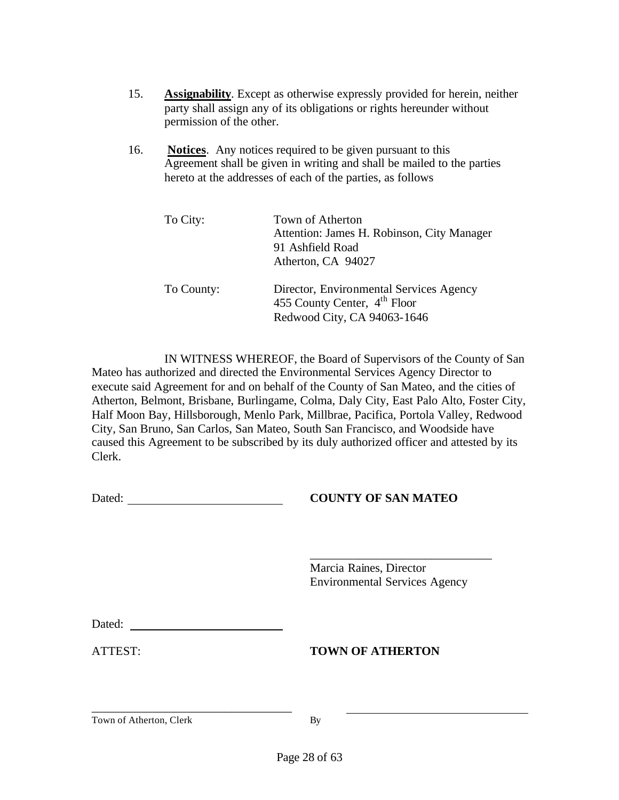- 15. **Assignability**. Except as otherwise expressly provided for herein, neither party shall assign any of its obligations or rights hereunder without permission of the other.
- 16. **Notices**. Any notices required to be given pursuant to this Agreement shall be given in writing and shall be mailed to the parties hereto at the addresses of each of the parties, as follows

| To City:   | Town of Atherton<br>Attention: James H. Robinson, City Manager<br>91 Ashfield Road<br>Atherton, CA 94027 |
|------------|----------------------------------------------------------------------------------------------------------|
| To County: | Director, Environmental Services Agency<br>455 County Center, $4th$ Floor<br>Redwood City, CA 94063-1646 |

IN WITNESS WHEREOF, the Board of Supervisors of the County of San Mateo has authorized and directed the Environmental Services Agency Director to execute said Agreement for and on behalf of the County of San Mateo, and the cities of Atherton, Belmont, Brisbane, Burlingame, Colma, Daly City, East Palo Alto, Foster City, Half Moon Bay, Hillsborough, Menlo Park, Millbrae, Pacifica, Portola Valley, Redwood City, San Bruno, San Carlos, San Mateo, South San Francisco, and Woodside have caused this Agreement to be subscribed by its duly authorized officer and attested by its Clerk.

#### **COUNTY OF SAN MATEO**

Marcia Raines, Director Environmental Services Agency

\_\_\_\_\_\_\_\_\_\_\_\_\_\_\_\_\_\_\_\_\_\_\_\_\_\_\_\_\_\_

\_\_\_\_\_\_\_\_\_\_\_\_\_\_\_\_\_\_\_\_\_\_\_\_\_\_\_\_\_\_\_\_\_

#### ATTEST: **TOWN OF ATHERTON**

Town of Atherton, Clerk By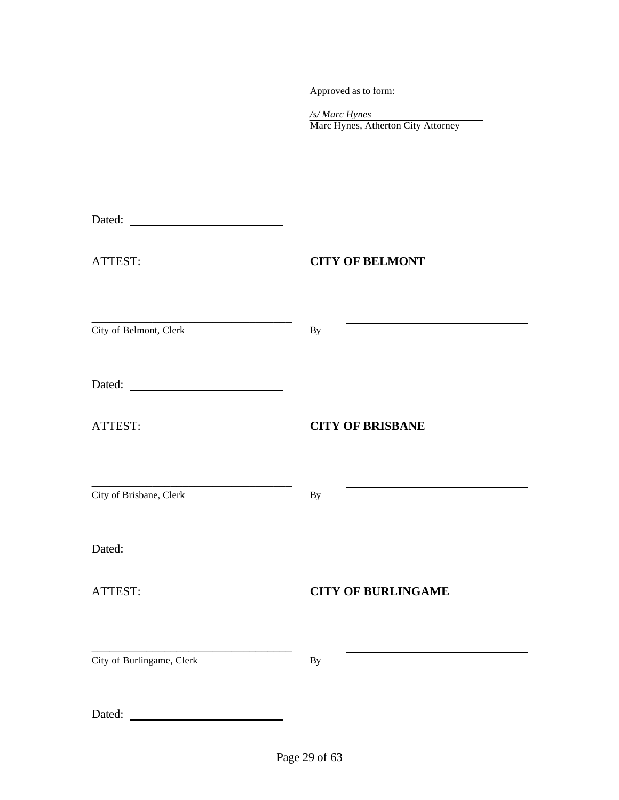Approved as to form:

| /s/ Marc Hynes                     |  |
|------------------------------------|--|
| Marc Hynes, Atherton City Attorney |  |

| ATTEST:                   | <b>CITY OF BELMONT</b>    |
|---------------------------|---------------------------|
| City of Belmont, Clerk    | <b>By</b>                 |
|                           |                           |
| ATTEST:                   | <b>CITY OF BRISBANE</b>   |
| City of Brisbane, Clerk   | By                        |
|                           |                           |
| ATTEST:                   | <b>CITY OF BURLINGAME</b> |
| City of Burlingame, Clerk | By                        |
| Dated:                    |                           |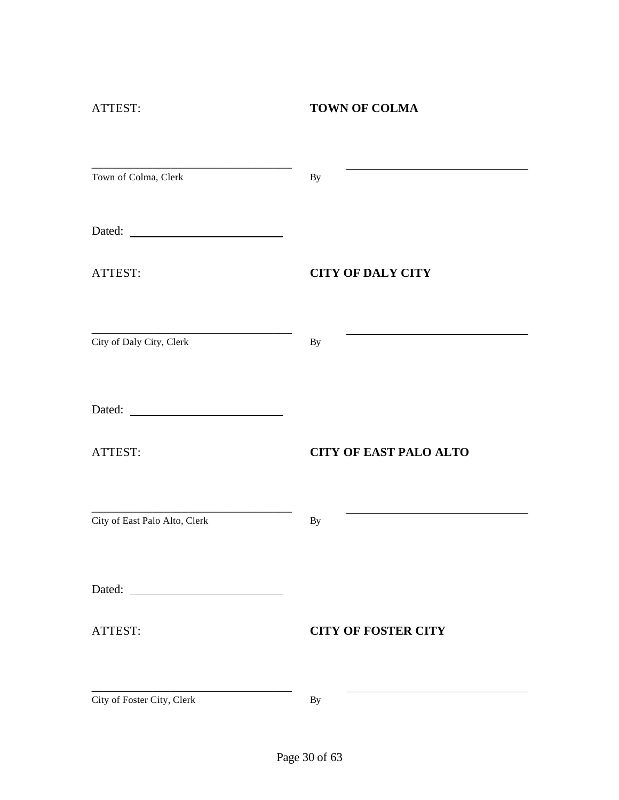# ATTEST: **TOWN OF COLMA**

| Town of Colma, Clerk                                        | By                            |
|-------------------------------------------------------------|-------------------------------|
| Dated:<br><u> 1989 - Johann Barnett, fransk politiker (</u> |                               |
| ATTEST:                                                     | <b>CITY OF DALY CITY</b>      |
| City of Daly City, Clerk                                    | By                            |
| Dated:                                                      |                               |
| ATTEST:                                                     | <b>CITY OF EAST PALO ALTO</b> |
| City of East Palo Alto, Clerk                               | By                            |
| Dated:                                                      |                               |
| ATTEST:                                                     | <b>CITY OF FOSTER CITY</b>    |
| City of Foster City, Clerk                                  | By                            |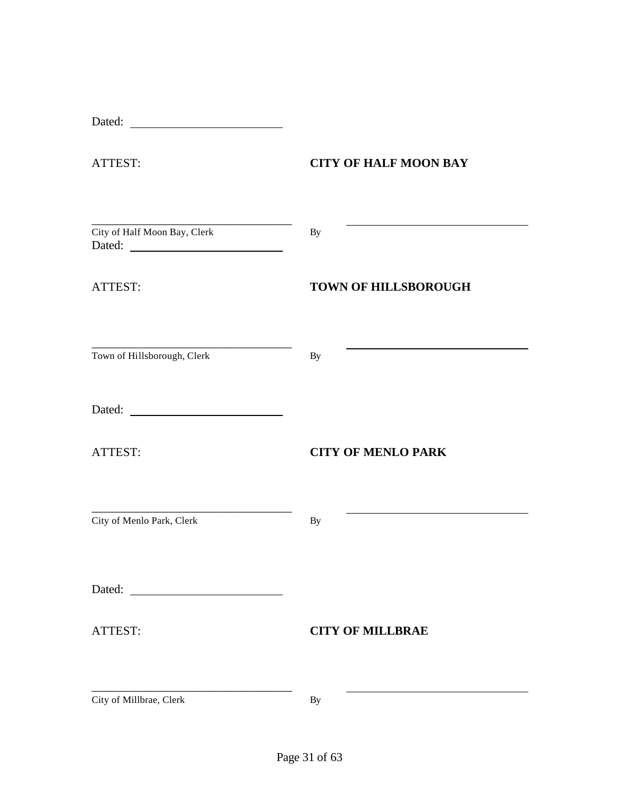| Dated:                                                                                                                                            |                              |
|---------------------------------------------------------------------------------------------------------------------------------------------------|------------------------------|
| ATTEST:                                                                                                                                           | <b>CITY OF HALF MOON BAY</b> |
| City of Half Moon Bay, Clerk                                                                                                                      | By                           |
| ATTEST:                                                                                                                                           | <b>TOWN OF HILLSBOROUGH</b>  |
| Town of Hillsborough, Clerk                                                                                                                       | By                           |
|                                                                                                                                                   |                              |
| ATTEST:                                                                                                                                           | <b>CITY OF MENLO PARK</b>    |
| <u> 1980 - Johann Barn, mars eta bat eta bat eta bat eta bat eta bat ez arteko hamarkada eta bat eta bat eta bat</u><br>City of Menlo Park, Clerk | By                           |
| Dated:                                                                                                                                            |                              |
| ATTEST:                                                                                                                                           | <b>CITY OF MILLBRAE</b>      |
| City of Millbrae, Clerk                                                                                                                           | By                           |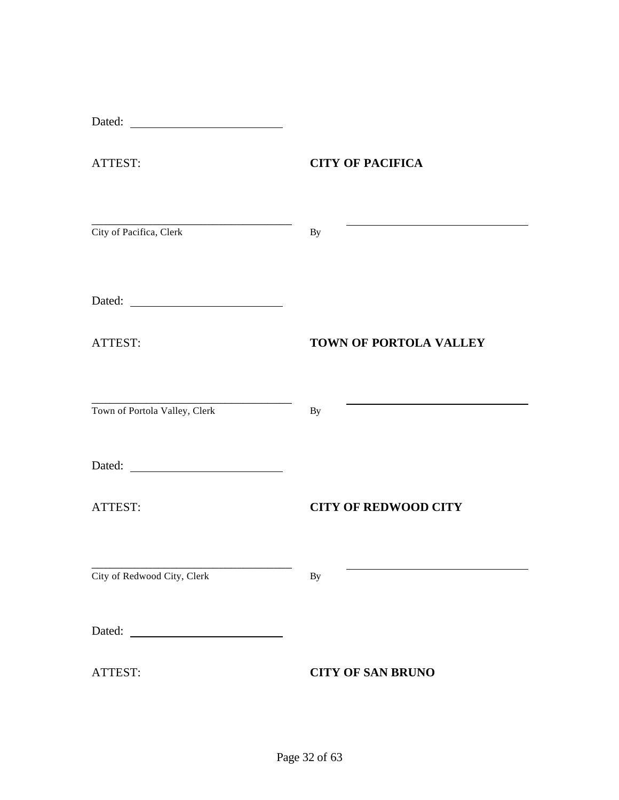| ATTEST:                                                                                                                                         | <b>CITY OF PACIFICA</b>     |
|-------------------------------------------------------------------------------------------------------------------------------------------------|-----------------------------|
| <u> 1989 - Johann John Stone, markin biskup og det blev til store og en store og en som som som som som som som </u><br>City of Pacifica, Clerk | By                          |
|                                                                                                                                                 |                             |
| ATTEST:                                                                                                                                         | TOWN OF PORTOLA VALLEY      |
| Town of Portola Valley, Clerk                                                                                                                   | By                          |
|                                                                                                                                                 |                             |
| ATTEST:                                                                                                                                         | <b>CITY OF REDWOOD CITY</b> |
| City of Redwood City, Clerk                                                                                                                     | By                          |
| Dated:<br><u> 2000 - Andrea Albert III, martin a</u>                                                                                            |                             |
| ATTEST:                                                                                                                                         | <b>CITY OF SAN BRUNO</b>    |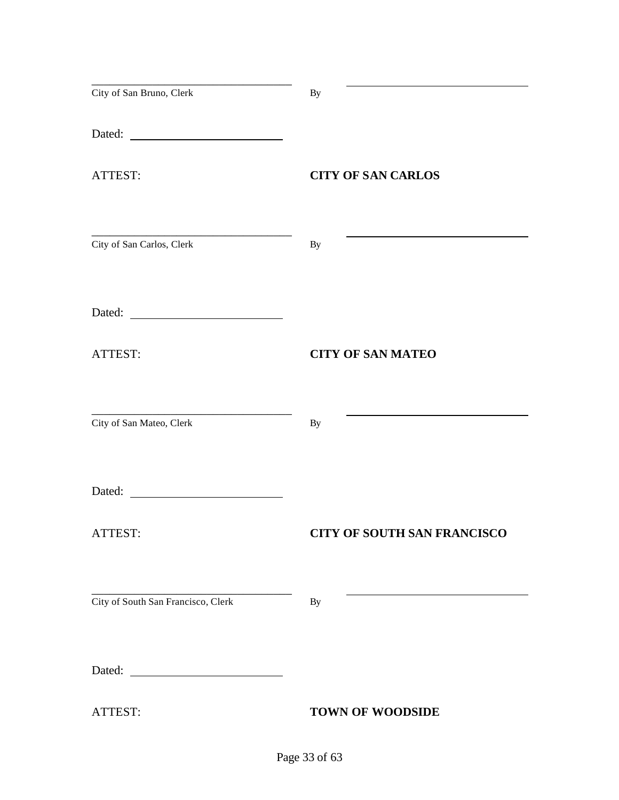| City of San Bruno, Clerk           | <b>By</b>                          |
|------------------------------------|------------------------------------|
|                                    |                                    |
| ATTEST:                            | <b>CITY OF SAN CARLOS</b>          |
| City of San Carlos, Clerk          | <b>By</b>                          |
|                                    |                                    |
| ATTEST:                            | <b>CITY OF SAN MATEO</b>           |
| City of San Mateo, Clerk           | By                                 |
| Dated:                             |                                    |
| ATTEST:                            | <b>CITY OF SOUTH SAN FRANCISCO</b> |
| City of South San Francisco, Clerk | By                                 |
|                                    |                                    |
| ATTEST:                            | <b>TOWN OF WOODSIDE</b>            |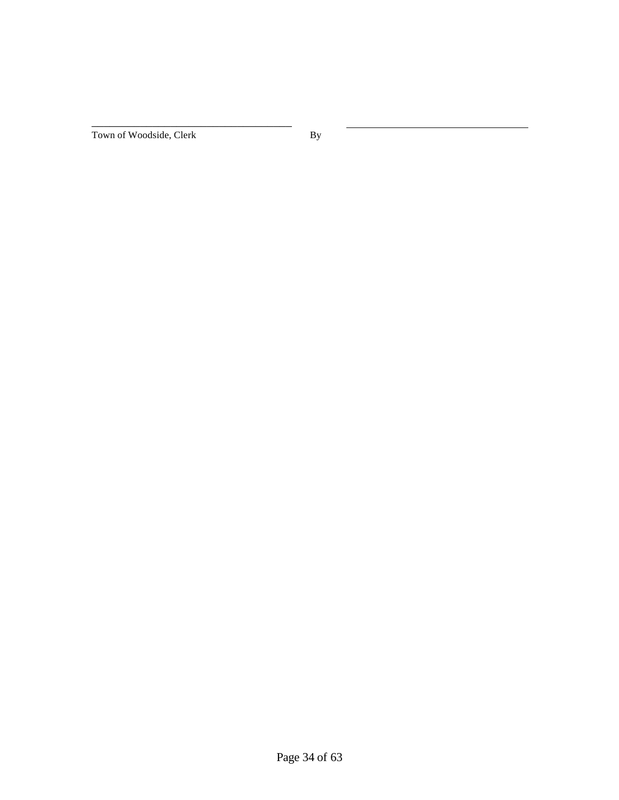Town of Woodside, Clerk By

\_\_\_\_\_\_\_\_\_\_\_\_\_\_\_\_\_\_\_\_\_\_\_\_\_\_\_\_\_\_\_\_\_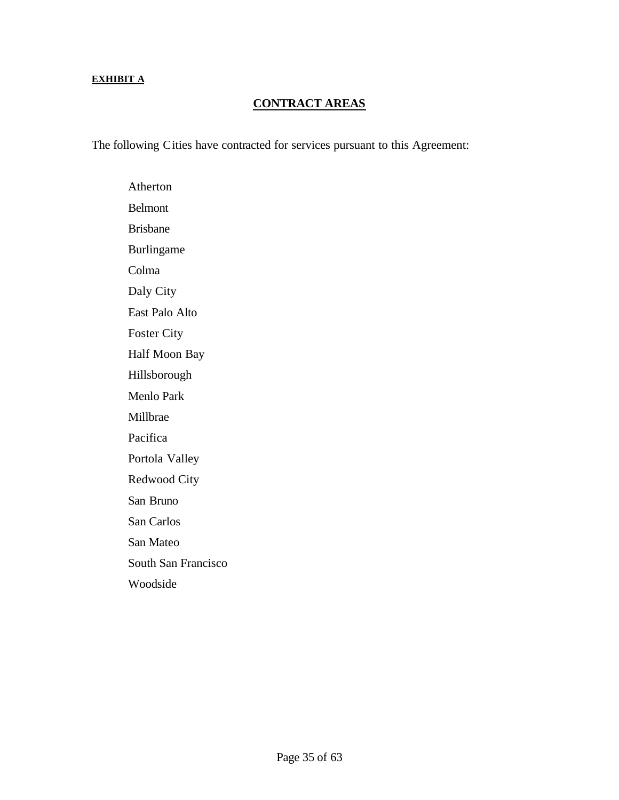#### **EXHIBIT A**

#### **CONTRACT AREAS**

The following Cities have contracted for services pursuant to this Agreement:

Atherton Belmont Brisbane Burlingame Colma Daly City East Palo Alto Foster City Half Moon Bay Hillsborough Menlo Park Millbrae Pacifica Portola Valley Redwood City San Bruno San Carlos San Mateo South San Francisco Woodside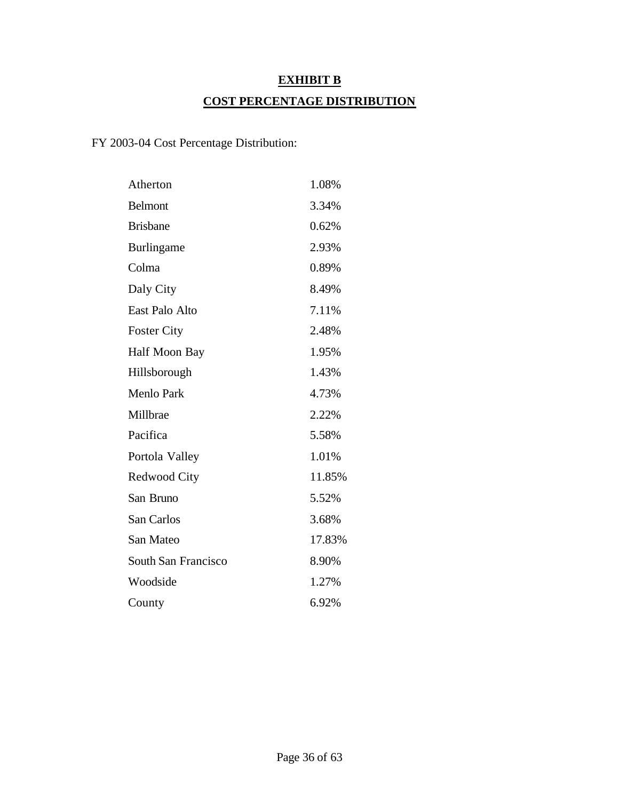# **EXHIBIT B COST PERCENTAGE DISTRIBUTION**

# FY 2003-04 Cost Percentage Distribution:

| Atherton                   | 1.08%  |
|----------------------------|--------|
| <b>Belmont</b>             | 3.34%  |
| <b>Brisbane</b>            | 0.62%  |
| <b>Burlingame</b>          | 2.93%  |
| Colma                      | 0.89%  |
| Daly City                  | 8.49%  |
| East Palo Alto             | 7.11%  |
| <b>Foster City</b>         | 2.48%  |
| Half Moon Bay              | 1.95%  |
| Hillsborough               | 1.43%  |
| Menlo Park                 | 4.73%  |
| Millbrae                   | 2.22%  |
| Pacifica                   | 5.58%  |
| Portola Valley             | 1.01%  |
| Redwood City               | 11.85% |
| San Bruno                  | 5.52%  |
| San Carlos                 | 3.68%  |
| San Mateo                  | 17.83% |
| <b>South San Francisco</b> | 8.90%  |
| Woodside                   | 1.27%  |
| County                     | 6.92%  |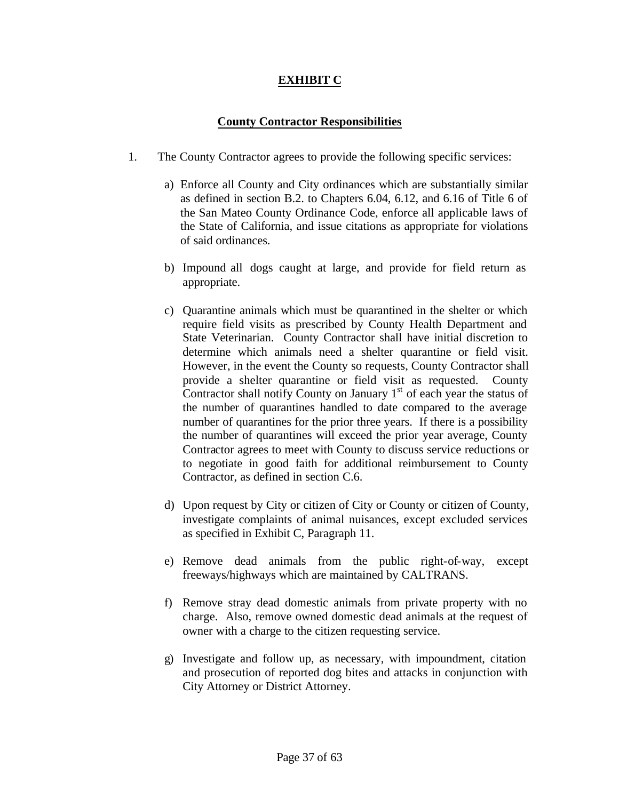### **EXHIBIT C**

#### **County Contractor Responsibilities**

- 1. The County Contractor agrees to provide the following specific services:
	- a) Enforce all County and City ordinances which are substantially similar as defined in section B.2. to Chapters 6.04, 6.12, and 6.16 of Title 6 of the San Mateo County Ordinance Code, enforce all applicable laws of the State of California, and issue citations as appropriate for violations of said ordinances.
	- b) Impound all dogs caught at large, and provide for field return as appropriate.
	- c) Quarantine animals which must be quarantined in the shelter or which require field visits as prescribed by County Health Department and State Veterinarian. County Contractor shall have initial discretion to determine which animals need a shelter quarantine or field visit. However, in the event the County so requests, County Contractor shall provide a shelter quarantine or field visit as requested. County Contractor shall notify County on January  $1<sup>st</sup>$  of each year the status of the number of quarantines handled to date compared to the average number of quarantines for the prior three years. If there is a possibility the number of quarantines will exceed the prior year average, County Contractor agrees to meet with County to discuss service reductions or to negotiate in good faith for additional reimbursement to County Contractor, as defined in section C.6.
	- d) Upon request by City or citizen of City or County or citizen of County, investigate complaints of animal nuisances, except excluded services as specified in Exhibit C, Paragraph 11.
	- e) Remove dead animals from the public right-of-way, except freeways/highways which are maintained by CALTRANS.
	- f) Remove stray dead domestic animals from private property with no charge. Also, remove owned domestic dead animals at the request of owner with a charge to the citizen requesting service.
	- g) Investigate and follow up, as necessary, with impoundment, citation and prosecution of reported dog bites and attacks in conjunction with City Attorney or District Attorney.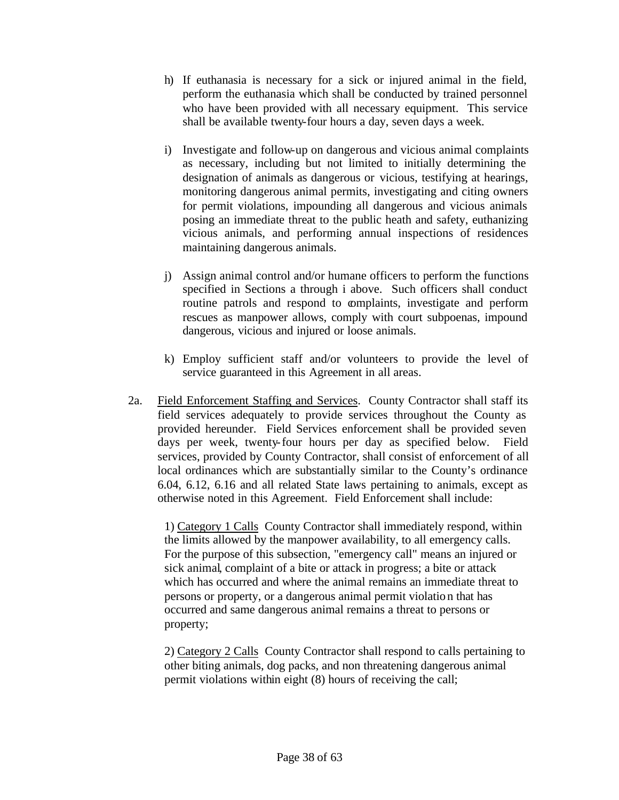- h) If euthanasia is necessary for a sick or injured animal in the field, perform the euthanasia which shall be conducted by trained personnel who have been provided with all necessary equipment. This service shall be available twenty-four hours a day, seven days a week.
- i) Investigate and follow-up on dangerous and vicious animal complaints as necessary, including but not limited to initially determining the designation of animals as dangerous or vicious, testifying at hearings, monitoring dangerous animal permits, investigating and citing owners for permit violations, impounding all dangerous and vicious animals posing an immediate threat to the public heath and safety, euthanizing vicious animals, and performing annual inspections of residences maintaining dangerous animals.
- j) Assign animal control and/or humane officers to perform the functions specified in Sections a through i above. Such officers shall conduct routine patrols and respond to complaints, investigate and perform rescues as manpower allows, comply with court subpoenas, impound dangerous, vicious and injured or loose animals.
- k) Employ sufficient staff and/or volunteers to provide the level of service guaranteed in this Agreement in all areas.
- 2a. Field Enforcement Staffing and Services. County Contractor shall staff its field services adequately to provide services throughout the County as provided hereunder. Field Services enforcement shall be provided seven days per week, twenty-four hours per day as specified below. Field services, provided by County Contractor, shall consist of enforcement of all local ordinances which are substantially similar to the County's ordinance 6.04, 6.12, 6.16 and all related State laws pertaining to animals, except as otherwise noted in this Agreement. Field Enforcement shall include:

1) Category 1 Calls County Contractor shall immediately respond, within the limits allowed by the manpower availability, to all emergency calls. For the purpose of this subsection, "emergency call" means an injured or sick animal*,* complaint of a bite or attack in progress; a bite or attack which has occurred and where the animal remains an immediate threat to persons or property, or a dangerous animal permit violation that has occurred and same dangerous animal remains a threat to persons or property;

2) Category 2 Calls County Contractor shall respond to calls pertaining to other biting animals, dog packs, and non threatening dangerous animal permit violations within eight (8) hours of receiving the call;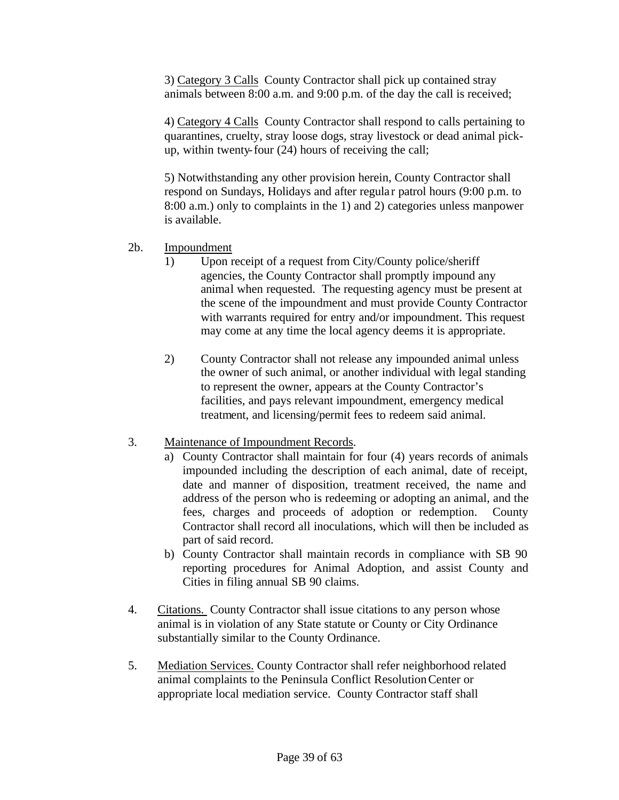3) Category 3 Calls County Contractor shall pick up contained stray animals between 8:00 a.m. and 9:00 p.m. of the day the call is received;

4) Category 4 Calls County Contractor shall respond to calls pertaining to quarantines, cruelty, stray loose dogs, stray livestock or dead animal pickup, within twenty-four (24) hours of receiving the call;

5) Notwithstanding any other provision herein, County Contractor shall respond on Sundays, Holidays and after regula r patrol hours (9:00 p.m. to 8:00 a.m.) only to complaints in the 1) and 2) categories unless manpower is available.

- 2b. Impoundment
	- 1) Upon receipt of a request from City/County police/sheriff agencies, the County Contractor shall promptly impound any animal when requested. The requesting agency must be present at the scene of the impoundment and must provide County Contractor with warrants required for entry and/or impoundment. This request may come at any time the local agency deems it is appropriate.
	- 2) County Contractor shall not release any impounded animal unless the owner of such animal, or another individual with legal standing to represent the owner, appears at the County Contractor's facilities, and pays relevant impoundment, emergency medical treatment, and licensing/permit fees to redeem said animal.

#### 3. Maintenance of Impoundment Records.

- a) County Contractor shall maintain for four (4) years records of animals impounded including the description of each animal, date of receipt, date and manner of disposition, treatment received, the name and address of the person who is redeeming or adopting an animal, and the fees, charges and proceeds of adoption or redemption. County Contractor shall record all inoculations, which will then be included as part of said record.
- b) County Contractor shall maintain records in compliance with SB 90 reporting procedures for Animal Adoption, and assist County and Cities in filing annual SB 90 claims.
- 4. Citations. County Contractor shall issue citations to any person whose animal is in violation of any State statute or County or City Ordinance substantially similar to the County Ordinance.
- 5. Mediation Services. County Contractor shall refer neighborhood related animal complaints to the Peninsula Conflict Resolution Center or appropriate local mediation service. County Contractor staff shall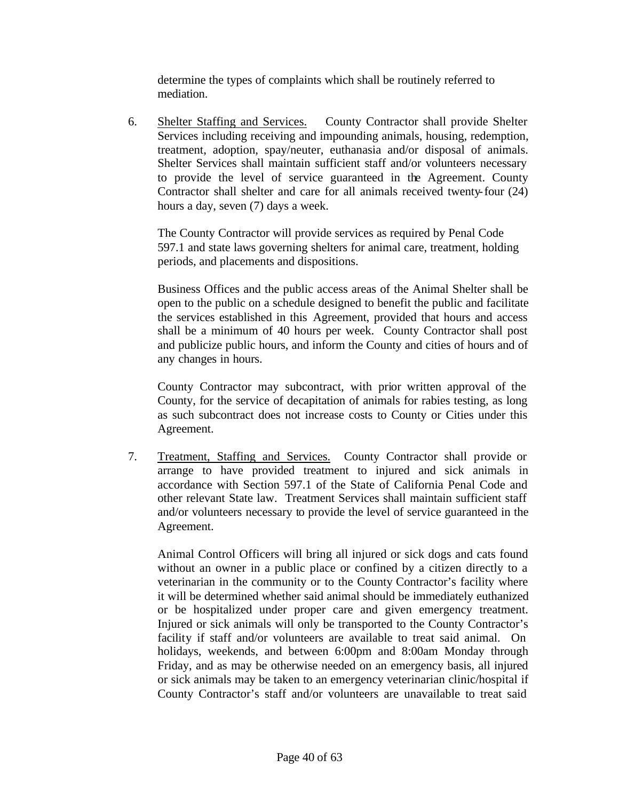determine the types of complaints which shall be routinely referred to mediation.

6. Shelter Staffing and Services. County Contractor shall provide Shelter Services including receiving and impounding animals, housing, redemption, treatment, adoption, spay/neuter, euthanasia and/or disposal of animals. Shelter Services shall maintain sufficient staff and/or volunteers necessary to provide the level of service guaranteed in the Agreement. County Contractor shall shelter and care for all animals received twenty-four (24) hours a day, seven (7) days a week.

The County Contractor will provide services as required by Penal Code 597.1 and state laws governing shelters for animal care, treatment, holding periods, and placements and dispositions.

Business Offices and the public access areas of the Animal Shelter shall be open to the public on a schedule designed to benefit the public and facilitate the services established in this Agreement, provided that hours and access shall be a minimum of 40 hours per week. County Contractor shall post and publicize public hours, and inform the County and cities of hours and of any changes in hours.

County Contractor may subcontract, with prior written approval of the County, for the service of decapitation of animals for rabies testing, as long as such subcontract does not increase costs to County or Cities under this Agreement.

7. Treatment, Staffing and Services. County Contractor shall provide or arrange to have provided treatment to injured and sick animals in accordance with Section 597.1 of the State of California Penal Code and other relevant State law. Treatment Services shall maintain sufficient staff and/or volunteers necessary to provide the level of service guaranteed in the Agreement.

Animal Control Officers will bring all injured or sick dogs and cats found without an owner in a public place or confined by a citizen directly to a veterinarian in the community or to the County Contractor's facility where it will be determined whether said animal should be immediately euthanized or be hospitalized under proper care and given emergency treatment. Injured or sick animals will only be transported to the County Contractor's facility if staff and/or volunteers are available to treat said animal. On holidays, weekends, and between 6:00pm and 8:00am Monday through Friday, and as may be otherwise needed on an emergency basis, all injured or sick animals may be taken to an emergency veterinarian clinic/hospital if County Contractor's staff and/or volunteers are unavailable to treat said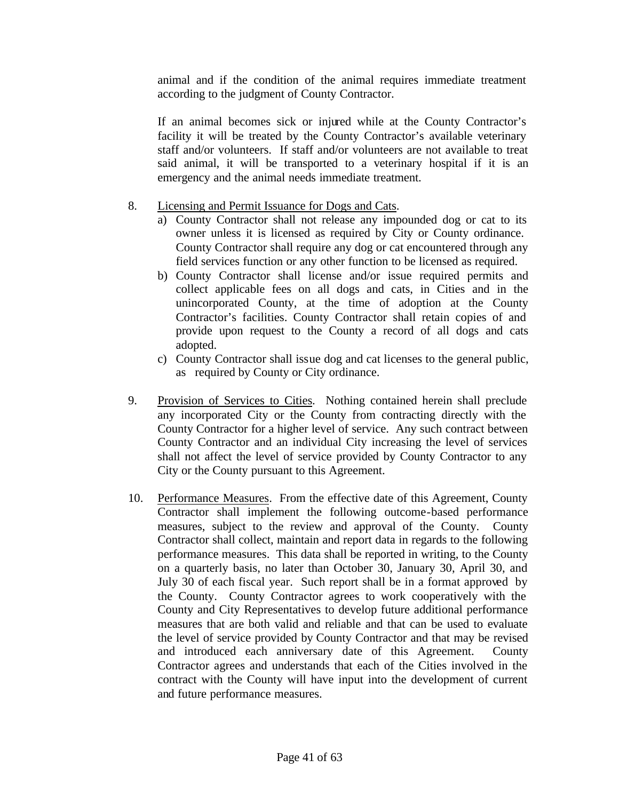animal and if the condition of the animal requires immediate treatment according to the judgment of County Contractor.

If an animal becomes sick or injured while at the County Contractor's facility it will be treated by the County Contractor's available veterinary staff and/or volunteers. If staff and/or volunteers are not available to treat said animal, it will be transported to a veterinary hospital if it is an emergency and the animal needs immediate treatment.

#### 8. Licensing and Permit Issuance for Dogs and Cats.

- a) County Contractor shall not release any impounded dog or cat to its owner unless it is licensed as required by City or County ordinance. County Contractor shall require any dog or cat encountered through any field services function or any other function to be licensed as required.
- b) County Contractor shall license and/or issue required permits and collect applicable fees on all dogs and cats, in Cities and in the unincorporated County, at the time of adoption at the County Contractor's facilities. County Contractor shall retain copies of and provide upon request to the County a record of all dogs and cats adopted.
- c) County Contractor shall issue dog and cat licenses to the general public, as required by County or City ordinance.
- 9. Provision of Services to Cities. Nothing contained herein shall preclude any incorporated City or the County from contracting directly with the County Contractor for a higher level of service. Any such contract between County Contractor and an individual City increasing the level of services shall not affect the level of service provided by County Contractor to any City or the County pursuant to this Agreement.
- 10. Performance Measures. From the effective date of this Agreement, County Contractor shall implement the following outcome-based performance measures, subject to the review and approval of the County. County Contractor shall collect, maintain and report data in regards to the following performance measures. This data shall be reported in writing, to the County on a quarterly basis, no later than October 30, January 30, April 30, and July 30 of each fiscal year. Such report shall be in a format approved by the County. County Contractor agrees to work cooperatively with the County and City Representatives to develop future additional performance measures that are both valid and reliable and that can be used to evaluate the level of service provided by County Contractor and that may be revised and introduced each anniversary date of this Agreement. County Contractor agrees and understands that each of the Cities involved in the contract with the County will have input into the development of current and future performance measures.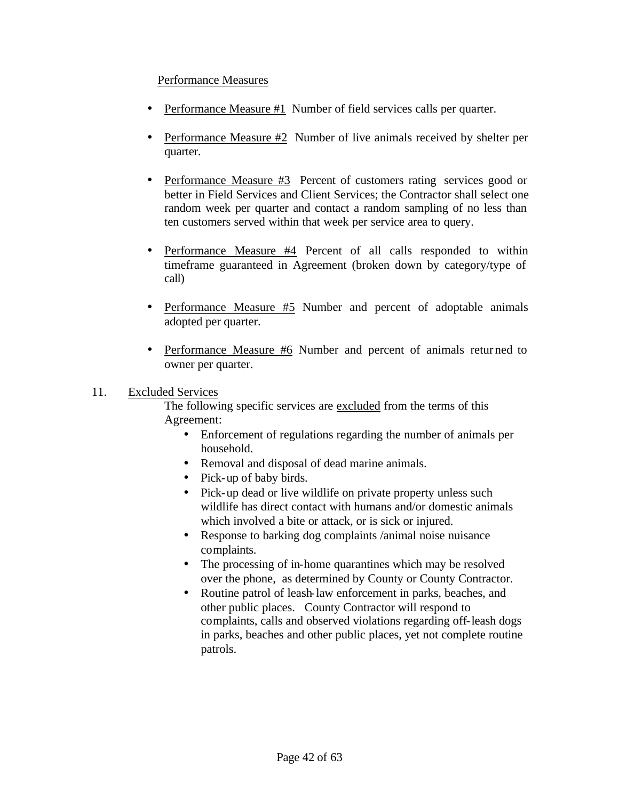#### Performance Measures

- Performance Measure #1 Number of field services calls per quarter.
- Performance Measure #2 Number of live animals received by shelter per quarter.
- Performance Measure #3 Percent of customers rating services good or better in Field Services and Client Services; the Contractor shall select one random week per quarter and contact a random sampling of no less than ten customers served within that week per service area to query.
- Performance Measure #4 Percent of all calls responded to within timeframe guaranteed in Agreement (broken down by category/type of call)
- Performance Measure #5 Number and percent of adoptable animals adopted per quarter.
- Performance Measure #6 Number and percent of animals retur ned to owner per quarter.

#### 11. Excluded Services

The following specific services are excluded from the terms of this Agreement:

- Enforcement of regulations regarding the number of animals per household.
- Removal and disposal of dead marine animals.
- Pick-up of baby birds.
- Pick-up dead or live wildlife on private property unless such wildlife has direct contact with humans and/or domestic animals which involved a bite or attack, or is sick or injured.
- Response to barking dog complaints /animal noise nuisance complaints.
- The processing of in-home quarantines which may be resolved over the phone, as determined by County or County Contractor.
- Routine patrol of leash-law enforcement in parks, beaches, and other public places. County Contractor will respond to complaints, calls and observed violations regarding off-leash dogs in parks, beaches and other public places, yet not complete routine patrols.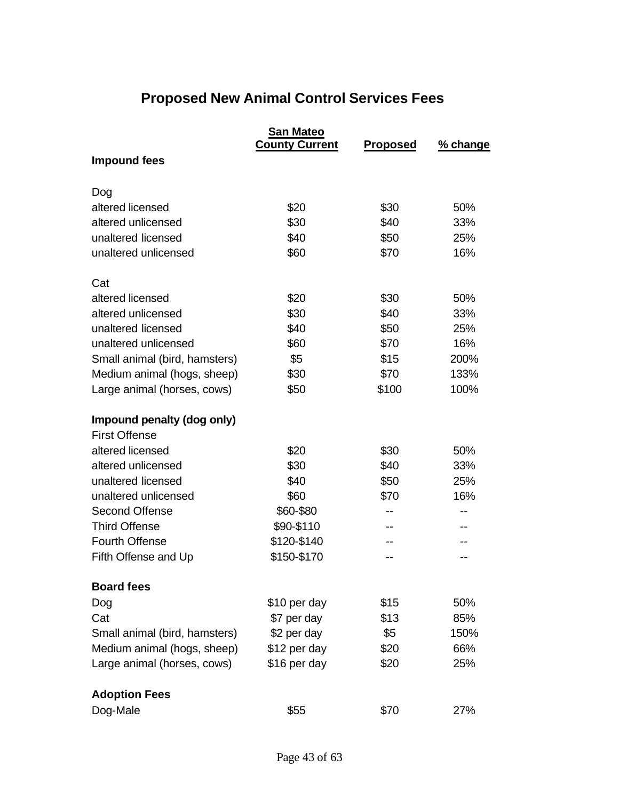# **Proposed New Animal Control Services Fees**

|                               | San Mateo<br><b>County Current</b> | <b>Proposed</b> | % change |
|-------------------------------|------------------------------------|-----------------|----------|
| <b>Impound fees</b>           |                                    |                 |          |
| Dog                           |                                    |                 |          |
| altered licensed              | \$20                               | \$30            | 50%      |
| altered unlicensed            | \$30                               | \$40            | 33%      |
| unaltered licensed            | \$40                               | \$50            | 25%      |
| unaltered unlicensed          | \$60                               | \$70            | 16%      |
| Cat                           |                                    |                 |          |
| altered licensed              | \$20                               | \$30            | 50%      |
| altered unlicensed            | \$30                               | \$40            | 33%      |
| unaltered licensed            | \$40                               | \$50            | 25%      |
| unaltered unlicensed          | \$60                               | \$70            | 16%      |
| Small animal (bird, hamsters) | \$5                                | \$15            | 200%     |
| Medium animal (hogs, sheep)   | \$30                               | \$70            | 133%     |
| Large animal (horses, cows)   | \$50                               | \$100           | 100%     |
| Impound penalty (dog only)    |                                    |                 |          |
| <b>First Offense</b>          |                                    |                 |          |
| altered licensed              | \$20                               | \$30            | 50%      |
| altered unlicensed            | \$30                               | \$40            | 33%      |
| unaltered licensed            | \$40                               | \$50            | 25%      |
| unaltered unlicensed          | \$60                               | \$70            | 16%      |
| <b>Second Offense</b>         | \$60-\$80                          | $- -$           |          |
| <b>Third Offense</b>          | \$90-\$110                         |                 |          |
| <b>Fourth Offense</b>         | \$120-\$140                        |                 |          |
| Fifth Offense and Up          | \$150-\$170                        |                 |          |
| <b>Board fees</b>             |                                    |                 |          |
| Dog                           | \$10 per day                       | \$15            | 50%      |
| Cat                           | \$7 per day                        | \$13            | 85%      |
| Small animal (bird, hamsters) | \$2 per day                        | \$5             | 150%     |
| Medium animal (hogs, sheep)   | \$12 per day                       | \$20            | 66%      |
| Large animal (horses, cows)   | \$16 per day                       | \$20            | 25%      |
| <b>Adoption Fees</b>          |                                    |                 |          |
| Dog-Male                      | \$55                               | \$70            | 27%      |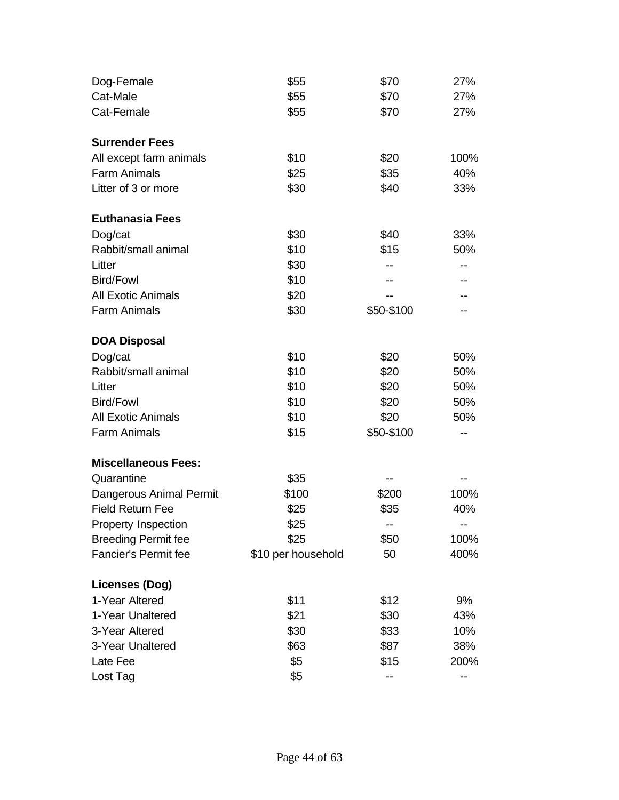| Dog-Female                  | \$55               | \$70       | 27%  |
|-----------------------------|--------------------|------------|------|
| Cat-Male                    | \$55               | \$70       | 27%  |
| Cat-Female                  | \$55               | \$70       | 27%  |
|                             |                    |            |      |
| <b>Surrender Fees</b>       |                    |            |      |
| All except farm animals     | \$10               | \$20       | 100% |
| <b>Farm Animals</b>         | \$25               | \$35       | 40%  |
| Litter of 3 or more         | \$30               | \$40       | 33%  |
| <b>Euthanasia Fees</b>      |                    |            |      |
| Dog/cat                     | \$30               | \$40       | 33%  |
| Rabbit/small animal         | \$10               | \$15       | 50%  |
| Litter                      | \$30               |            |      |
| <b>Bird/Fowl</b>            | \$10               |            |      |
| <b>All Exotic Animals</b>   | \$20               |            |      |
| <b>Farm Animals</b>         | \$30               | \$50-\$100 |      |
|                             |                    |            |      |
| <b>DOA Disposal</b>         |                    |            |      |
| Dog/cat                     | \$10               | \$20       | 50%  |
| Rabbit/small animal         | \$10               | \$20       | 50%  |
| Litter                      | \$10               | \$20       | 50%  |
| <b>Bird/Fowl</b>            | \$10               | \$20       | 50%  |
| <b>All Exotic Animals</b>   | \$10               | \$20       | 50%  |
| <b>Farm Animals</b>         | \$15               | \$50-\$100 |      |
| <b>Miscellaneous Fees:</b>  |                    |            |      |
| Quarantine                  | \$35               | --         |      |
| Dangerous Animal Permit     | \$100              | \$200      | 100% |
| <b>Field Return Fee</b>     | \$25               | \$35       | 40%  |
| Property Inspection         | \$25               |            |      |
| <b>Breeding Permit fee</b>  | \$25               | \$50       | 100% |
| <b>Fancier's Permit fee</b> | \$10 per household | 50         | 400% |
|                             |                    |            |      |
| <b>Licenses (Dog)</b>       |                    |            |      |
| 1-Year Altered              | \$11               | \$12       | 9%   |
| 1-Year Unaltered            | \$21               | \$30       | 43%  |
| 3-Year Altered              | \$30               | \$33       | 10%  |
| 3-Year Unaltered            | \$63               | \$87       | 38%  |
| Late Fee                    | \$5                | \$15       | 200% |
| Lost Tag                    | \$5                |            |      |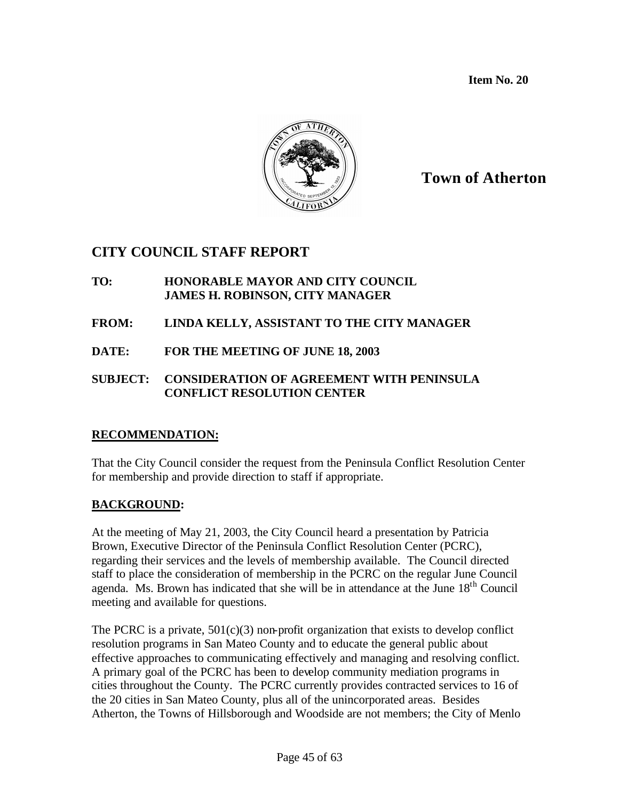**Item No. 20**



# **Town of Atherton**

# **CITY COUNCIL STAFF REPORT**

- **TO: HONORABLE MAYOR AND CITY COUNCIL JAMES H. ROBINSON, CITY MANAGER**
- **FROM: LINDA KELLY, ASSISTANT TO THE CITY MANAGER**
- **DATE: FOR THE MEETING OF JUNE 18, 2003**

#### **SUBJECT: CONSIDERATION OF AGREEMENT WITH PENINSULA CONFLICT RESOLUTION CENTER**

#### **RECOMMENDATION:**

That the City Council consider the request from the Peninsula Conflict Resolution Center for membership and provide direction to staff if appropriate.

### **BACKGROUND:**

At the meeting of May 21, 2003, the City Council heard a presentation by Patricia Brown, Executive Director of the Peninsula Conflict Resolution Center (PCRC), regarding their services and the levels of membership available. The Council directed staff to place the consideration of membership in the PCRC on the regular June Council agenda. Ms. Brown has indicated that she will be in attendance at the June 18<sup>th</sup> Council meeting and available for questions.

The PCRC is a private,  $501(c)(3)$  non-profit organization that exists to develop conflict resolution programs in San Mateo County and to educate the general public about effective approaches to communicating effectively and managing and resolving conflict. A primary goal of the PCRC has been to develop community mediation programs in cities throughout the County. The PCRC currently provides contracted services to 16 of the 20 cities in San Mateo County, plus all of the unincorporated areas. Besides Atherton, the Towns of Hillsborough and Woodside are not members; the City of Menlo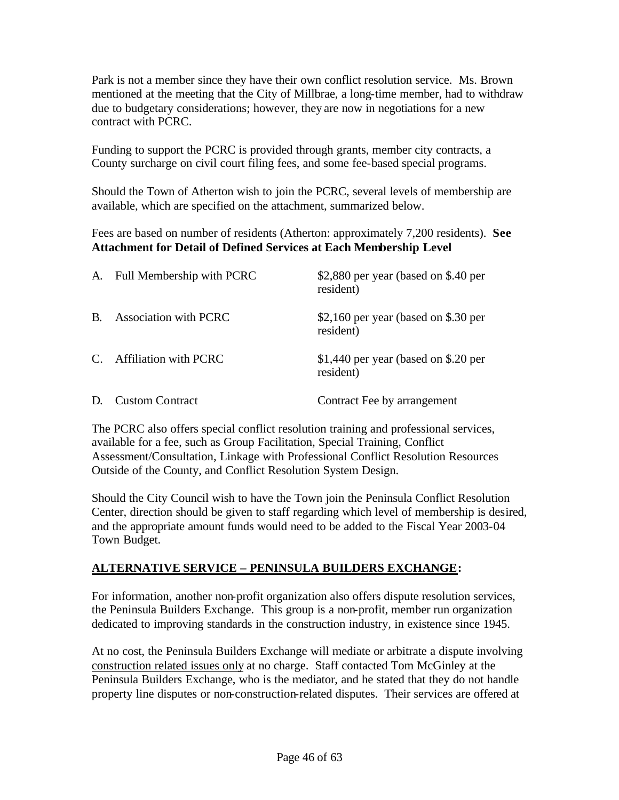Park is not a member since they have their own conflict resolution service. Ms. Brown mentioned at the meeting that the City of Millbrae, a long-time member, had to withdraw due to budgetary considerations; however, they are now in negotiations for a new contract with PCRC.

Funding to support the PCRC is provided through grants, member city contracts, a County surcharge on civil court filing fees, and some fee-based special programs.

Should the Town of Atherton wish to join the PCRC, several levels of membership are available, which are specified on the attachment, summarized below.

Fees are based on number of residents (Atherton: approximately 7,200 residents). **See Attachment for Detail of Defined Services at Each Membership Level**

| A.            | Full Membership with PCRC    | \$2,880 per year (based on \$.40 per<br>resident) |
|---------------|------------------------------|---------------------------------------------------|
| B.            | <b>Association with PCRC</b> | \$2,160 per year (based on \$.30 per<br>resident) |
| $\mathcal{C}$ | <b>Affiliation with PCRC</b> | \$1,440 per year (based on \$.20 per<br>resident) |
| D.            | <b>Custom Contract</b>       | Contract Fee by arrangement                       |

The PCRC also offers special conflict resolution training and professional services, available for a fee, such as Group Facilitation, Special Training, Conflict Assessment/Consultation, Linkage with Professional Conflict Resolution Resources Outside of the County, and Conflict Resolution System Design.

Should the City Council wish to have the Town join the Peninsula Conflict Resolution Center, direction should be given to staff regarding which level of membership is desired, and the appropriate amount funds would need to be added to the Fiscal Year 2003-04 Town Budget.

#### **ALTERNATIVE SERVICE – PENINSULA BUILDERS EXCHANGE:**

For information, another non-profit organization also offers dispute resolution services, the Peninsula Builders Exchange. This group is a non-profit, member run organization dedicated to improving standards in the construction industry, in existence since 1945.

At no cost, the Peninsula Builders Exchange will mediate or arbitrate a dispute involving construction related issues only at no charge. Staff contacted Tom McGinley at the Peninsula Builders Exchange, who is the mediator, and he stated that they do not handle property line disputes or non-construction-related disputes. Their services are offered at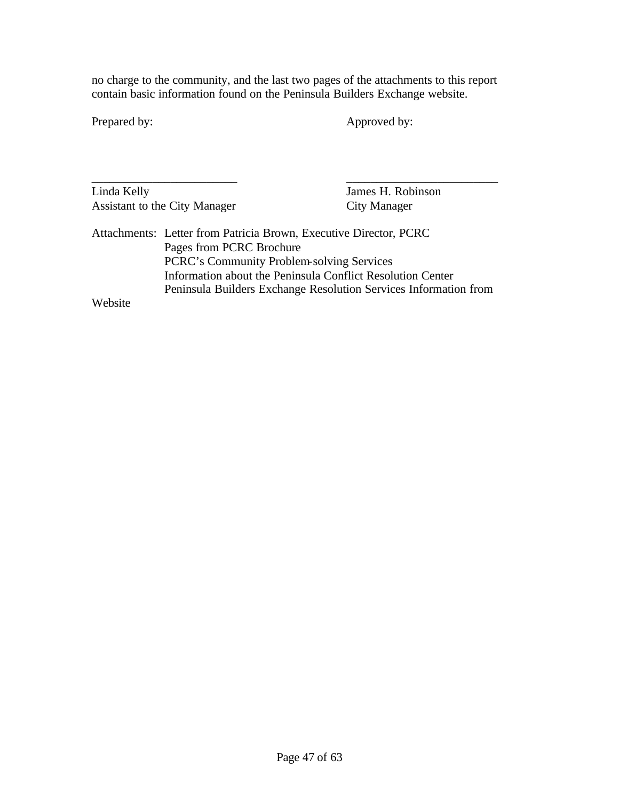no charge to the community, and the last two pages of the attachments to this report contain basic information found on the Peninsula Builders Exchange website.

Prepared by: Approved by:

| Linda Kelly |                                                                   | James H. Robinson   |
|-------------|-------------------------------------------------------------------|---------------------|
|             | Assistant to the City Manager                                     | <b>City Manager</b> |
|             | Attachments: Letter from Patricia Brown, Executive Director, PCRC |                     |
|             | Pages from PCRC Brochure                                          |                     |
|             | PCRC's Community Problem-solving Services                         |                     |
|             | Information about the Peninsula Conflict Resolution Center        |                     |
|             | Peninsula Builders Exchange Resolution Services Information from  |                     |
| Website     |                                                                   |                     |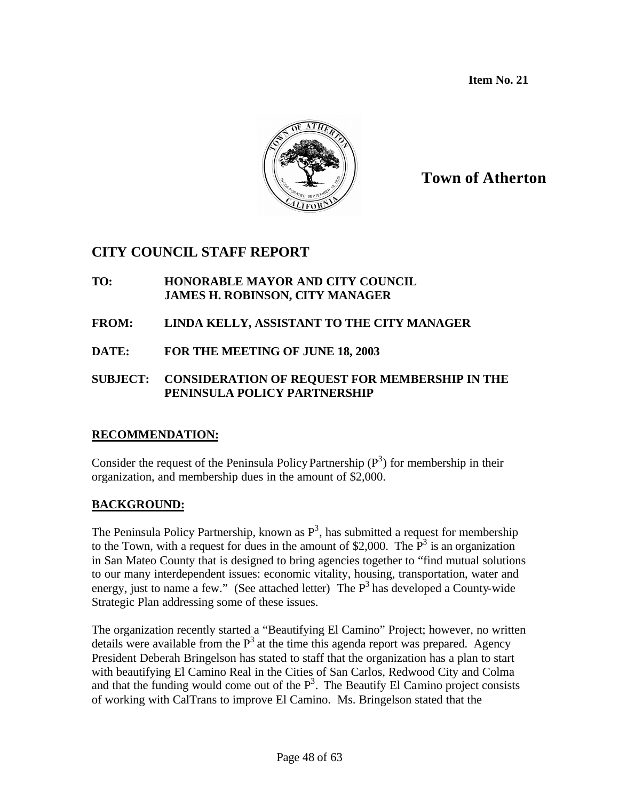**Item No. 21**



## **Town of Atherton**

## **CITY COUNCIL STAFF REPORT**

- **TO: HONORABLE MAYOR AND CITY COUNCIL JAMES H. ROBINSON, CITY MANAGER**
- **FROM: LINDA KELLY, ASSISTANT TO THE CITY MANAGER**
- **DATE: FOR THE MEETING OF JUNE 18, 2003**

#### **SUBJECT: CONSIDERATION OF REQUEST FOR MEMBERSHIP IN THE PENINSULA POLICY PARTNERSHIP**

#### **RECOMMENDATION:**

Consider the request of the Peninsula Policy Partnership  $(P^3)$  for membership in their organization, and membership dues in the amount of \$2,000.

## **BACKGROUND:**

The Peninsula Policy Partnership, known as  $P<sup>3</sup>$ , has submitted a request for membership to the Town, with a request for dues in the amount of \$2,000. The  $P<sup>3</sup>$  is an organization in San Mateo County that is designed to bring agencies together to "find mutual solutions to our many interdependent issues: economic vitality, housing, transportation, water and energy, just to name a few." (See attached letter) The  $P<sup>3</sup>$  has developed a County-wide Strategic Plan addressing some of these issues.

The organization recently started a "Beautifying El Camino" Project; however, no written details were available from the  $P<sup>3</sup>$  at the time this agenda report was prepared. Agency President Deberah Bringelson has stated to staff that the organization has a plan to start with beautifying El Camino Real in the Cities of San Carlos, Redwood City and Colma and that the funding would come out of the  $P<sup>3</sup>$ . The Beautify El Camino project consists of working with CalTrans to improve El Camino. Ms. Bringelson stated that the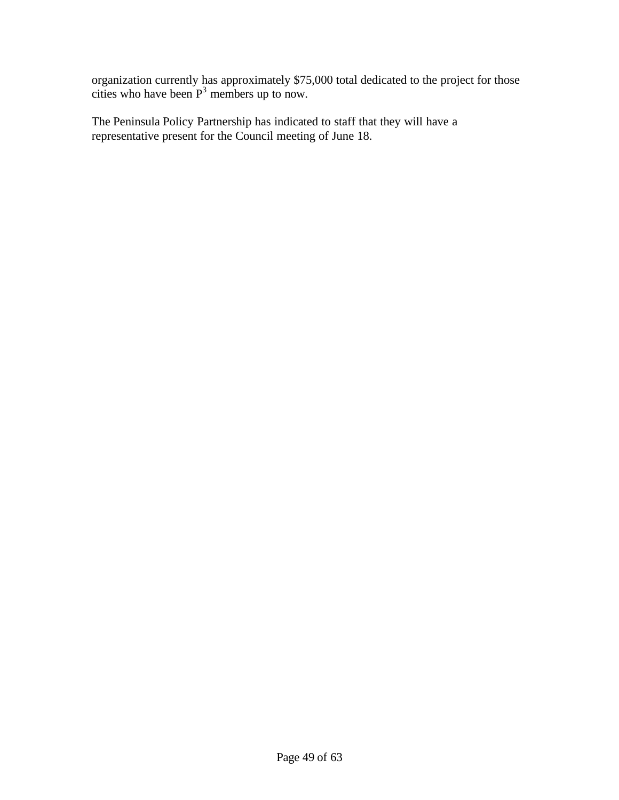organization currently has approximately \$75,000 total dedicated to the project for those cities who have been  $P<sup>3</sup>$  members up to now.

The Peninsula Policy Partnership has indicated to staff that they will have a representative present for the Council meeting of June 18.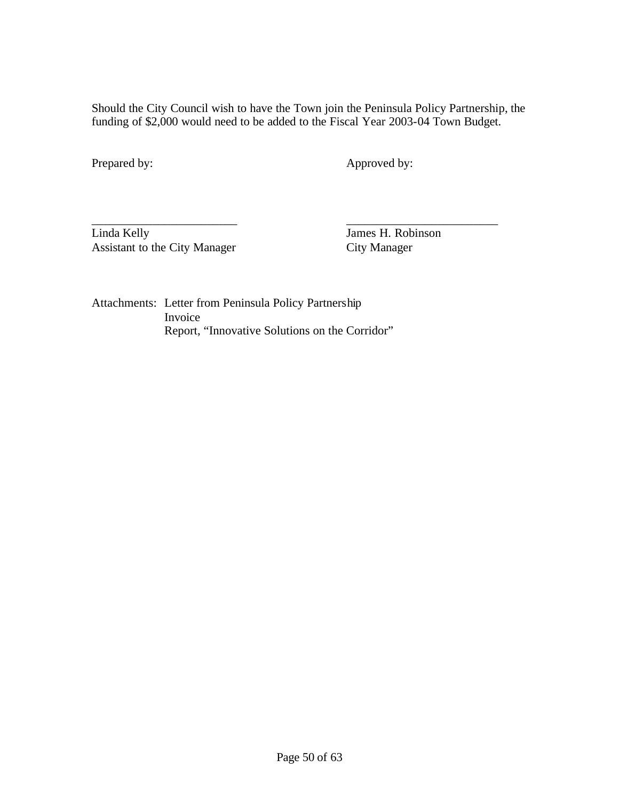Should the City Council wish to have the Town join the Peninsula Policy Partnership, the funding of \$2,000 would need to be added to the Fiscal Year 2003-04 Town Budget.

Prepared by: Approved by:

\_\_\_\_\_\_\_\_\_\_\_\_\_\_\_\_\_\_\_\_\_\_\_\_ \_\_\_\_\_\_\_\_\_\_\_\_\_\_\_\_\_\_\_\_\_\_\_\_\_ Linda Kelly<br>
Assistant to the City Manager<br>
City Manager<br>
City Manager Assistant to the City Manager

Attachments: Letter from Peninsula Policy Partnership Invoice Report, "Innovative Solutions on the Corridor"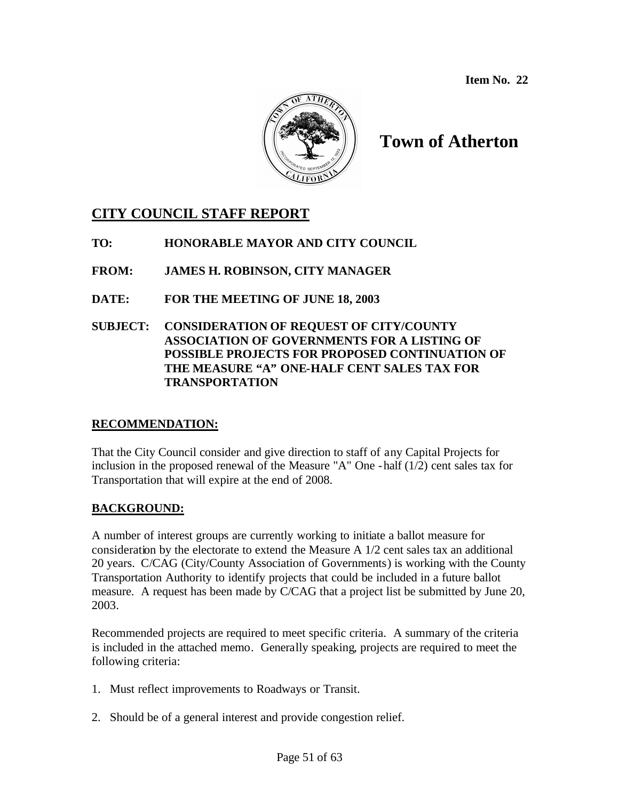**Item No. 22**



# **Town of Atherton**

## **CITY COUNCIL STAFF REPORT**

**TO: HONORABLE MAYOR AND CITY COUNCIL**

**FROM: JAMES H. ROBINSON, CITY MANAGER**

- **DATE: FOR THE MEETING OF JUNE 18, 2003**
- **SUBJECT: CONSIDERATION OF REQUEST OF CITY/COUNTY ASSOCIATION OF GOVERNMENTS FOR A LISTING OF POSSIBLE PROJECTS FOR PROPOSED CONTINUATION OF THE MEASURE "A" ONE-HALF CENT SALES TAX FOR TRANSPORTATION**

#### **RECOMMENDATION:**

That the City Council consider and give direction to staff of any Capital Projects for inclusion in the proposed renewal of the Measure "A" One -half (1/2) cent sales tax for Transportation that will expire at the end of 2008.

## **BACKGROUND:**

A number of interest groups are currently working to initiate a ballot measure for consideration by the electorate to extend the Measure A 1/2 cent sales tax an additional 20 years. C/CAG (City/County Association of Governments) is working with the County Transportation Authority to identify projects that could be included in a future ballot measure. A request has been made by C/CAG that a project list be submitted by June 20, 2003.

Recommended projects are required to meet specific criteria. A summary of the criteria is included in the attached memo. Generally speaking, projects are required to meet the following criteria:

- 1. Must reflect improvements to Roadways or Transit.
- 2. Should be of a general interest and provide congestion relief.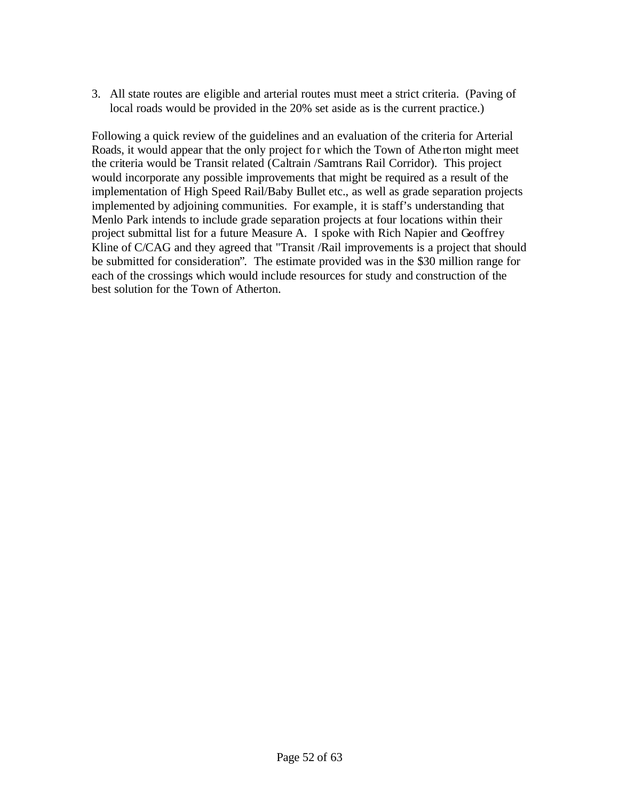3. All state routes are eligible and arterial routes must meet a strict criteria. (Paving of local roads would be provided in the 20% set aside as is the current practice.)

Following a quick review of the guidelines and an evaluation of the criteria for Arterial Roads, it would appear that the only project for which the Town of Athe rton might meet the criteria would be Transit related (Caltrain /Samtrans Rail Corridor). This project would incorporate any possible improvements that might be required as a result of the implementation of High Speed Rail/Baby Bullet etc., as well as grade separation projects implemented by adjoining communities. For example, it is staff's understanding that Menlo Park intends to include grade separation projects at four locations within their project submittal list for a future Measure A. I spoke with Rich Napier and Geoffrey Kline of C/CAG and they agreed that "Transit /Rail improvements is a project that should be submitted for consideration". The estimate provided was in the \$30 million range for each of the crossings which would include resources for study and construction of the best solution for the Town of Atherton.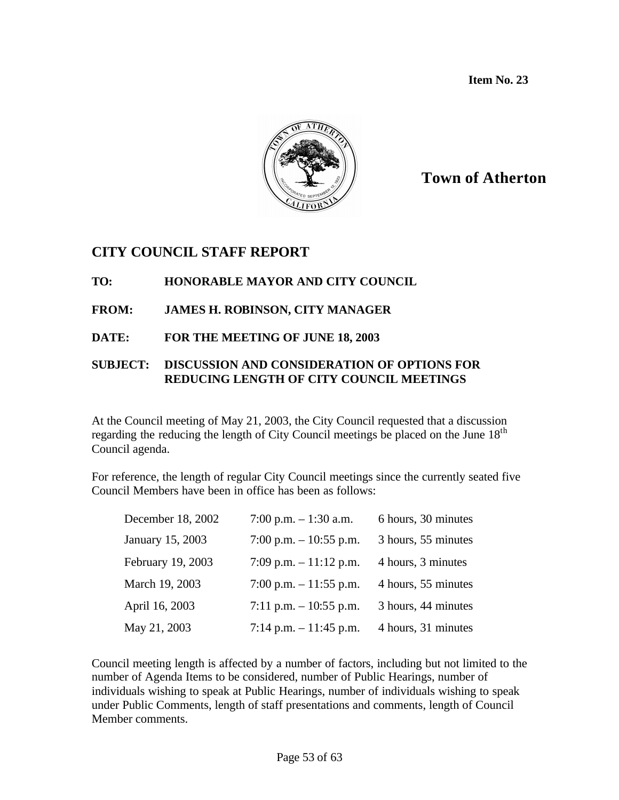**Item No. 23**



## **Town of Atherton**

## **CITY COUNCIL STAFF REPORT**

## **TO: HONORABLE MAYOR AND CITY COUNCIL**

## **FROM: JAMES H. ROBINSON, CITY MANAGER**

## **DATE: FOR THE MEETING OF JUNE 18, 2003**

#### **SUBJECT: DISCUSSION AND CONSIDERATION OF OPTIONS FOR REDUCING LENGTH OF CITY COUNCIL MEETINGS**

At the Council meeting of May 21, 2003, the City Council requested that a discussion regarding the reducing the length of City Council meetings be placed on the June 18<sup>th</sup> Council agenda.

For reference, the length of regular City Council meetings since the currently seated five Council Members have been in office has been as follows:

| December 18, 2002 | 7:00 p.m. $- 1:30$ a.m. | 6 hours, 30 minutes |
|-------------------|-------------------------|---------------------|
| January 15, 2003  | 7:00 p.m. $-10:55$ p.m. | 3 hours, 55 minutes |
| February 19, 2003 | 7:09 p.m. $-11:12$ p.m. | 4 hours, 3 minutes  |
| March 19, 2003    | 7:00 p.m. $-11:55$ p.m. | 4 hours, 55 minutes |
| April 16, 2003    | 7:11 p.m. $-10:55$ p.m. | 3 hours, 44 minutes |
| May 21, 2003      | 7:14 p.m. $-11:45$ p.m. | 4 hours, 31 minutes |

Council meeting length is affected by a number of factors, including but not limited to the number of Agenda Items to be considered, number of Public Hearings, number of individuals wishing to speak at Public Hearings, number of individuals wishing to speak under Public Comments, length of staff presentations and comments, length of Council Member comments.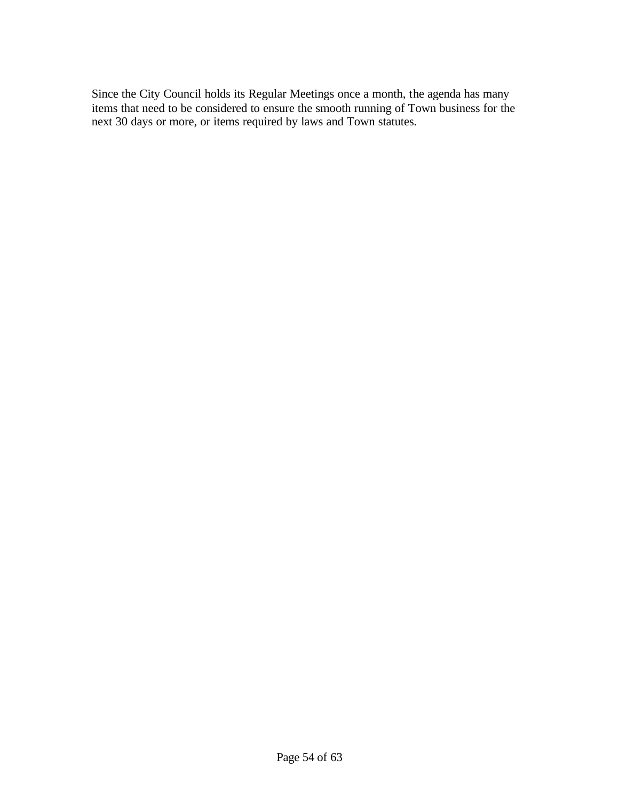Since the City Council holds its Regular Meetings once a month, the agenda has many items that need to be considered to ensure the smooth running of Town business for the next 30 days or more, or items required by laws and Town statutes.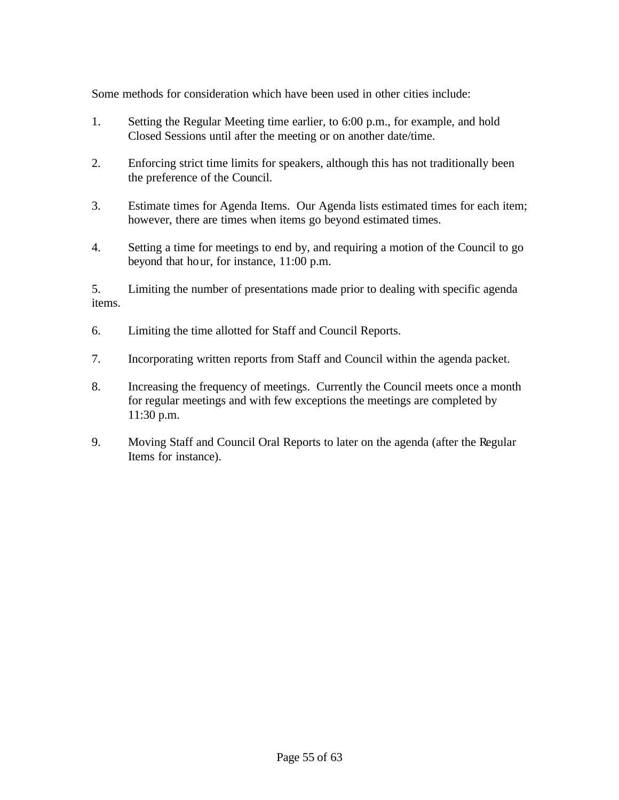Some methods for consideration which have been used in other cities include:

- 1. Setting the Regular Meeting time earlier, to 6:00 p.m., for example, and hold Closed Sessions until after the meeting or on another date/time.
- 2. Enforcing strict time limits for speakers, although this has not traditionally been the preference of the Council.
- 3. Estimate times for Agenda Items. Our Agenda lists estimated times for each item; however, there are times when items go beyond estimated times.
- 4. Setting a time for meetings to end by, and requiring a motion of the Council to go beyond that hour, for instance, 11:00 p.m.

5. Limiting the number of presentations made prior to dealing with specific agenda items.

- 6. Limiting the time allotted for Staff and Council Reports.
- 7. Incorporating written reports from Staff and Council within the agenda packet.
- 8. Increasing the frequency of meetings. Currently the Council meets once a month for regular meetings and with few exceptions the meetings are completed by 11:30 p.m.
- 9. Moving Staff and Council Oral Reports to later on the agenda (after the Regular Items for instance).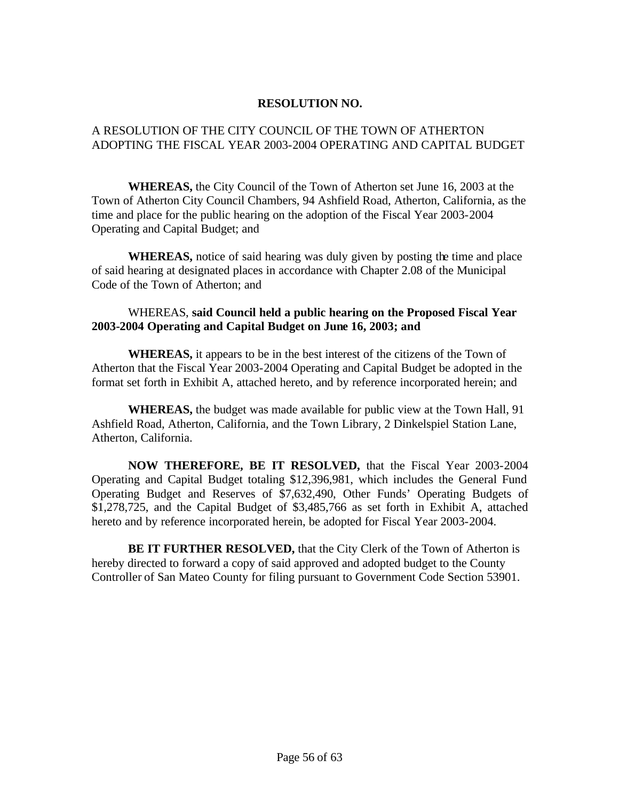#### **RESOLUTION NO.**

#### A RESOLUTION OF THE CITY COUNCIL OF THE TOWN OF ATHERTON ADOPTING THE FISCAL YEAR 2003-2004 OPERATING AND CAPITAL BUDGET

**WHEREAS,** the City Council of the Town of Atherton set June 16, 2003 at the Town of Atherton City Council Chambers, 94 Ashfield Road, Atherton, California, as the time and place for the public hearing on the adoption of the Fiscal Year 2003-2004 Operating and Capital Budget; and

**WHEREAS,** notice of said hearing was duly given by posting the time and place of said hearing at designated places in accordance with Chapter 2.08 of the Municipal Code of the Town of Atherton; and

#### WHEREAS, **said Council held a public hearing on the Proposed Fiscal Year 2003-2004 Operating and Capital Budget on June 16, 2003; and**

**WHEREAS,** it appears to be in the best interest of the citizens of the Town of Atherton that the Fiscal Year 2003-2004 Operating and Capital Budget be adopted in the format set forth in Exhibit A, attached hereto, and by reference incorporated herein; and

 **WHEREAS,** the budget was made available for public view at the Town Hall, 91 Ashfield Road, Atherton, California, and the Town Library, 2 Dinkelspiel Station Lane, Atherton, California.

**NOW THEREFORE, BE IT RESOLVED,** that the Fiscal Year 2003-2004 Operating and Capital Budget totaling \$12,396,981, which includes the General Fund Operating Budget and Reserves of \$7,632,490, Other Funds' Operating Budgets of \$1,278,725, and the Capital Budget of \$3,485,766 as set forth in Exhibit A, attached hereto and by reference incorporated herein, be adopted for Fiscal Year 2003-2004.

**BE IT FURTHER RESOLVED,** that the City Clerk of the Town of Atherton is hereby directed to forward a copy of said approved and adopted budget to the County Controller of San Mateo County for filing pursuant to Government Code Section 53901.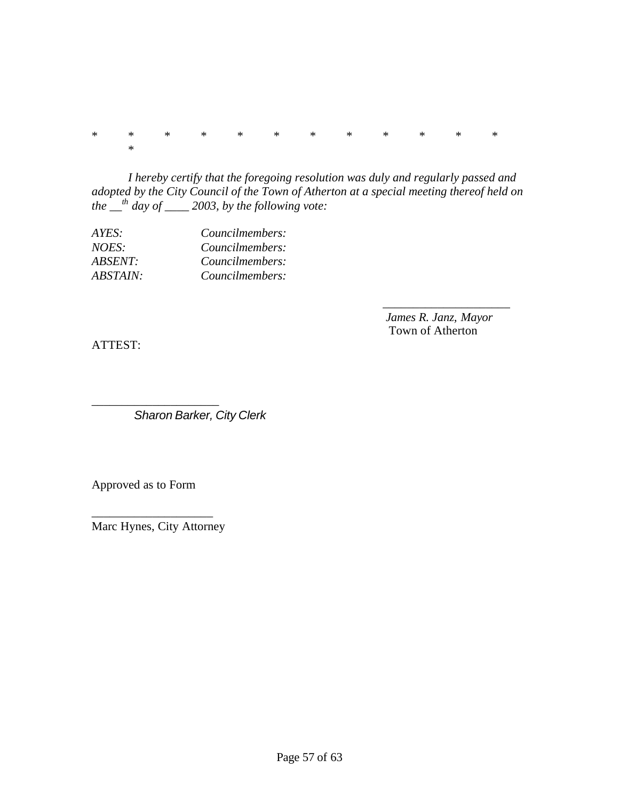\* \* \* \* \* \* \* \* \* \* \* \* \*

*I hereby certify that the foregoing resolution was duly and regularly passed and adopted by the City Council of the Town of Atherton at a special meeting thereof held on the \_\_th day of \_\_\_\_ 2003, by the following vote:*

| AYES:          | Councilmembers: |
|----------------|-----------------|
| NOES:          | Councilmembers: |
| <i>ABSENT:</i> | Councilmembers: |
| ABSTAIN:       | Councilmembers: |

 *James R. Janz, Mayor* Town of Atherton

\_\_\_\_\_\_\_\_\_\_\_\_\_\_\_\_\_\_\_\_\_

ATTEST:

*Sharon Barker, City Clerk*

Approved as to Form

\_\_\_\_\_\_\_\_\_\_\_\_\_\_\_\_\_\_\_\_\_

\_\_\_\_\_\_\_\_\_\_\_\_\_\_\_\_\_\_\_\_ Marc Hynes, City Attorney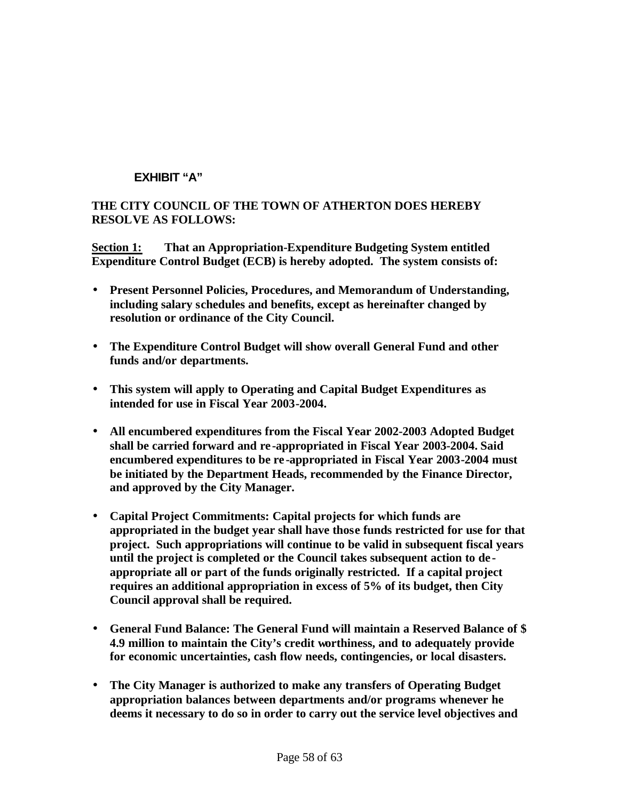## **EXHIBIT "A"**

#### **THE CITY COUNCIL OF THE TOWN OF ATHERTON DOES HEREBY RESOLVE AS FOLLOWS:**

**Section 1: That an Appropriation-Expenditure Budgeting System entitled Expenditure Control Budget (ECB) is hereby adopted. The system consists of:**

- **Present Personnel Policies, Procedures, and Memorandum of Understanding, including salary schedules and benefits, except as hereinafter changed by resolution or ordinance of the City Council.**
- **The Expenditure Control Budget will show overall General Fund and other funds and/or departments.**
- **This system will apply to Operating and Capital Budget Expenditures as intended for use in Fiscal Year 2003-2004.**
- **All encumbered expenditures from the Fiscal Year 2002-2003 Adopted Budget shall be carried forward and re -appropriated in Fiscal Year 2003-2004. Said encumbered expenditures to be re -appropriated in Fiscal Year 2003-2004 must be initiated by the Department Heads, recommended by the Finance Director, and approved by the City Manager.**
- **Capital Project Commitments: Capital projects for which funds are appropriated in the budget year shall have those funds restricted for use for that project. Such appropriations will continue to be valid in subsequent fiscal years until the project is completed or the Council takes subsequent action to de appropriate all or part of the funds originally restricted. If a capital project requires an additional appropriation in excess of 5% of its budget, then City Council approval shall be required.**
- **General Fund Balance: The General Fund will maintain a Reserved Balance of \$ 4.9 million to maintain the City's credit worthiness, and to adequately provide for economic uncertainties, cash flow needs, contingencies, or local disasters.**
- **The City Manager is authorized to make any transfers of Operating Budget appropriation balances between departments and/or programs whenever he deems it necessary to do so in order to carry out the service level objectives and**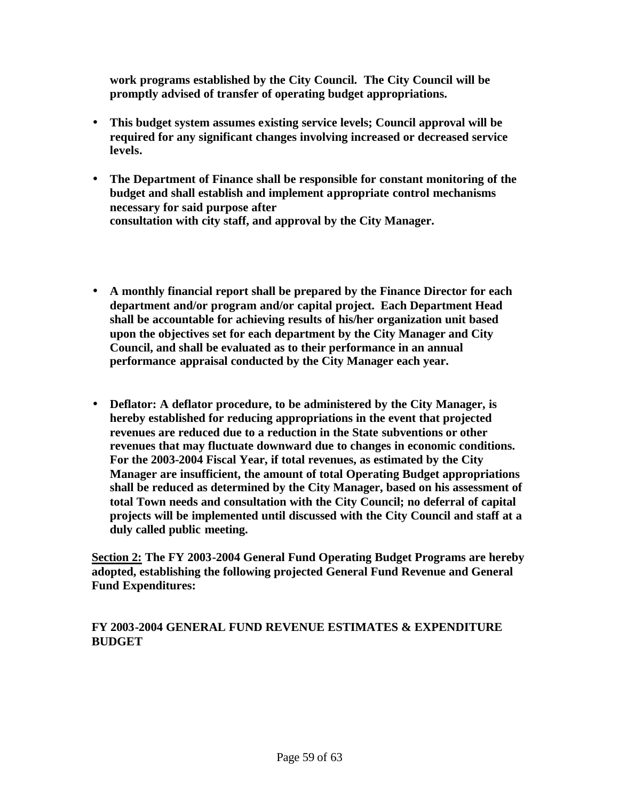**work programs established by the City Council. The City Council will be promptly advised of transfer of operating budget appropriations.**

- **This budget system assumes existing service levels; Council approval will be required for any significant changes involving increased or decreased service levels.**
- **The Department of Finance shall be responsible for constant monitoring of the budget and shall establish and implement appropriate control mechanisms necessary for said purpose after consultation with city staff, and approval by the City Manager.**
- **A monthly financial report shall be prepared by the Finance Director for each department and/or program and/or capital project. Each Department Head shall be accountable for achieving results of his/her organization unit based upon the objectives set for each department by the City Manager and City Council, and shall be evaluated as to their performance in an annual performance appraisal conducted by the City Manager each year.**
- **Deflator: A deflator procedure, to be administered by the City Manager, is hereby established for reducing appropriations in the event that projected revenues are reduced due to a reduction in the State subventions or other revenues that may fluctuate downward due to changes in economic conditions. For the 2003-2004 Fiscal Year, if total revenues, as estimated by the City Manager are insufficient, the amount of total Operating Budget appropriations shall be reduced as determined by the City Manager, based on his assessment of total Town needs and consultation with the City Council; no deferral of capital projects will be implemented until discussed with the City Council and staff at a duly called public meeting.**

**Section 2: The FY 2003-2004 General Fund Operating Budget Programs are hereby adopted, establishing the following projected General Fund Revenue and General Fund Expenditures:** 

#### **FY 2003-2004 GENERAL FUND REVENUE ESTIMATES & EXPENDITURE BUDGET**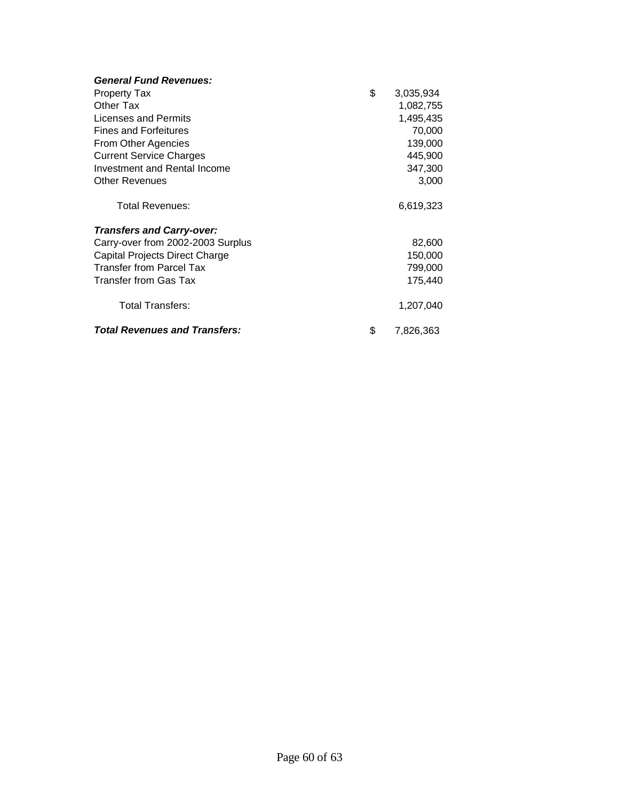| <b>General Fund Revenues:</b>        |                 |
|--------------------------------------|-----------------|
| <b>Property Tax</b>                  | \$<br>3,035,934 |
| Other Tax                            | 1,082,755       |
| Licenses and Permits                 | 1,495,435       |
| <b>Fines and Forfeitures</b>         | 70,000          |
| From Other Agencies                  | 139,000         |
| <b>Current Service Charges</b>       | 445,900         |
| Investment and Rental Income         | 347,300         |
| <b>Other Revenues</b>                | 3,000           |
| Total Revenues:                      | 6,619,323       |
| <b>Transfers and Carry-over:</b>     |                 |
| Carry-over from 2002-2003 Surplus    | 82,600          |
| Capital Projects Direct Charge       | 150,000         |
| <b>Transfer from Parcel Tax</b>      | 799,000         |
| Transfer from Gas Tax                | 175,440         |
| <b>Total Transfers:</b>              | 1,207,040       |
| <b>Total Revenues and Transfers:</b> | \$<br>7,826,363 |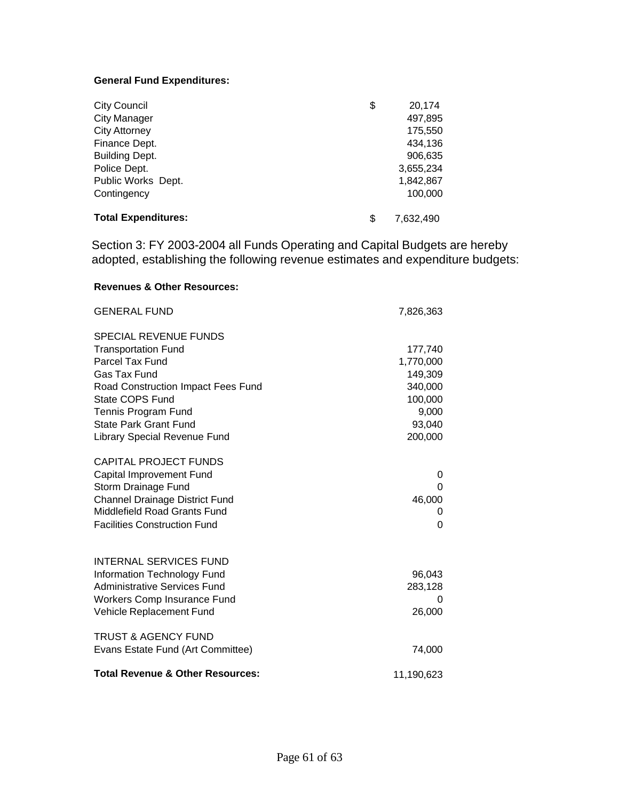#### **General Fund Expenditures:**

| <b>City Council</b>        | \$<br>20,174    |
|----------------------------|-----------------|
| <b>City Manager</b>        | 497,895         |
| <b>City Attorney</b>       | 175,550         |
| Finance Dept.              | 434.136         |
| <b>Building Dept.</b>      | 906,635         |
| Police Dept.               | 3,655,234       |
| Public Works Dept.         | 1,842,867       |
| Contingency                | 100,000         |
| <b>Total Expenditures:</b> | \$<br>7.632.490 |

Section 3: FY 2003-2004 all Funds Operating and Capital Budgets are hereby adopted, establishing the following revenue estimates and expenditure budgets:

#### **Revenues & Other Resources:**

| <b>GENERAL FUND</b>                         | 7,826,363  |
|---------------------------------------------|------------|
| <b>SPECIAL REVENUE FUNDS</b>                |            |
| <b>Transportation Fund</b>                  | 177,740    |
| Parcel Tax Fund                             | 1,770,000  |
| <b>Gas Tax Fund</b>                         | 149,309    |
| Road Construction Impact Fees Fund          | 340,000    |
| State COPS Fund                             | 100,000    |
| Tennis Program Fund                         | 9,000      |
| State Park Grant Fund                       | 93,040     |
| Library Special Revenue Fund                | 200,000    |
| <b>CAPITAL PROJECT FUNDS</b>                |            |
| Capital Improvement Fund                    | 0          |
| Storm Drainage Fund                         | 0          |
| <b>Channel Drainage District Fund</b>       | 46,000     |
| Middlefield Road Grants Fund                |            |
| <b>Facilities Construction Fund</b>         | 0          |
| <b>INTERNAL SERVICES FUND</b>               |            |
| Information Technology Fund                 | 96,043     |
| <b>Administrative Services Fund</b>         | 283,128    |
| Workers Comp Insurance Fund                 | 0          |
| Vehicle Replacement Fund                    | 26,000     |
| <b>TRUST &amp; AGENCY FUND</b>              |            |
| Evans Estate Fund (Art Committee)           | 74,000     |
| <b>Total Revenue &amp; Other Resources:</b> | 11,190,623 |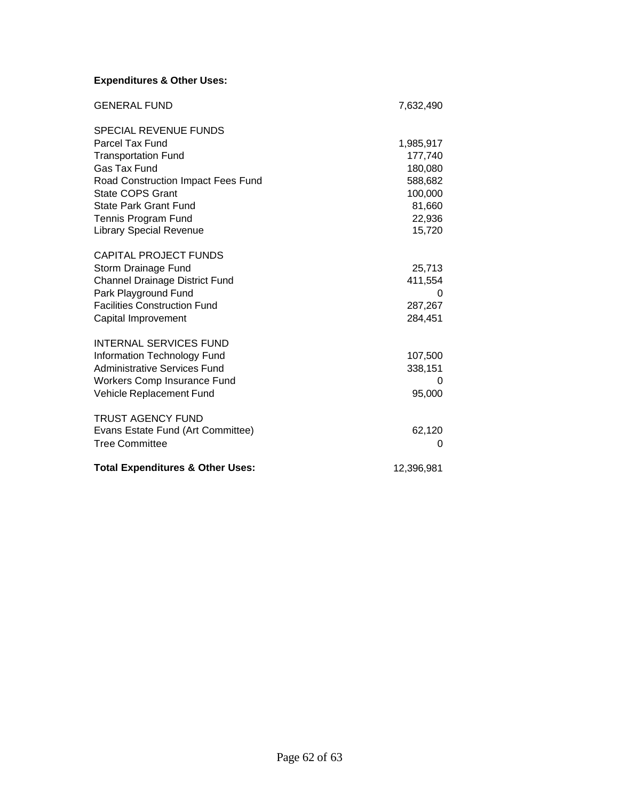## **Expenditures & Other Uses:**

| <b>GENERAL FUND</b>                         | 7,632,490  |
|---------------------------------------------|------------|
| SPECIAL REVENUE FUNDS                       |            |
| Parcel Tax Fund                             | 1,985,917  |
| <b>Transportation Fund</b>                  | 177,740    |
| <b>Gas Tax Fund</b>                         | 180,080    |
| Road Construction Impact Fees Fund          | 588,682    |
| State COPS Grant                            | 100,000    |
| State Park Grant Fund                       | 81,660     |
| Tennis Program Fund                         | 22,936     |
| <b>Library Special Revenue</b>              | 15,720     |
| <b>CAPITAL PROJECT FUNDS</b>                |            |
| Storm Drainage Fund                         | 25,713     |
| <b>Channel Drainage District Fund</b>       | 411,554    |
| Park Playground Fund                        | 0          |
| <b>Facilities Construction Fund</b>         | 287,267    |
| Capital Improvement                         | 284,451    |
| <b>INTERNAL SERVICES FUND</b>               |            |
| Information Technology Fund                 | 107,500    |
| <b>Administrative Services Fund</b>         | 338,151    |
| Workers Comp Insurance Fund                 | 0          |
| Vehicle Replacement Fund                    | 95,000     |
| <b>TRUST AGENCY FUND</b>                    |            |
| Evans Estate Fund (Art Committee)           | 62,120     |
| <b>Tree Committee</b>                       | 0          |
| <b>Total Expenditures &amp; Other Uses:</b> | 12,396,981 |